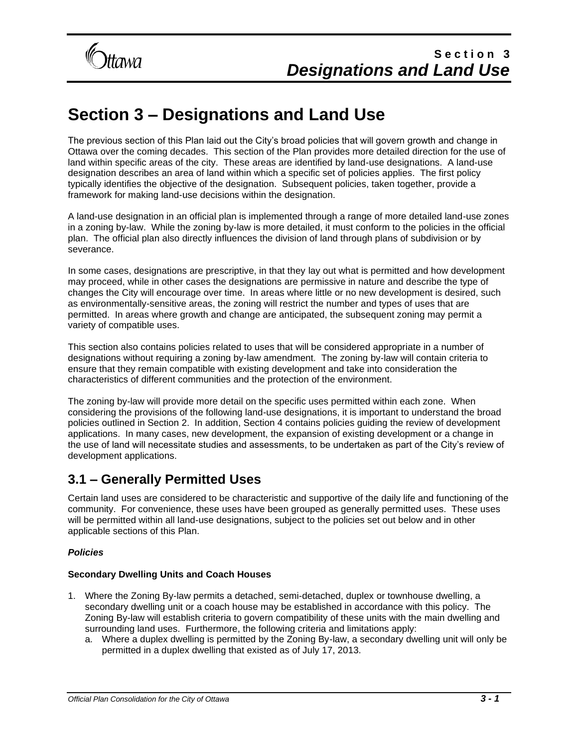# **Section 3 – Designations and Land Use**

The previous section of this Plan laid out the City's broad policies that will govern growth and change in Ottawa over the coming decades. This section of the Plan provides more detailed direction for the use of land within specific areas of the city. These areas are identified by land-use designations. A land-use designation describes an area of land within which a specific set of policies applies. The first policy typically identifies the objective of the designation. Subsequent policies, taken together, provide a framework for making land-use decisions within the designation.

A land-use designation in an official plan is implemented through a range of more detailed land-use zones in a zoning by-law. While the zoning by-law is more detailed, it must conform to the policies in the official plan. The official plan also directly influences the division of land through plans of subdivision or by severance.

In some cases, designations are prescriptive, in that they lay out what is permitted and how development may proceed, while in other cases the designations are permissive in nature and describe the type of changes the City will encourage over time. In areas where little or no new development is desired, such as environmentally-sensitive areas, the zoning will restrict the number and types of uses that are permitted. In areas where growth and change are anticipated, the subsequent zoning may permit a variety of compatible uses.

This section also contains policies related to uses that will be considered appropriate in a number of designations without requiring a zoning by-law amendment. The zoning by-law will contain criteria to ensure that they remain compatible with existing development and take into consideration the characteristics of different communities and the protection of the environment.

The zoning by-law will provide more detail on the specific uses permitted within each zone. When considering the provisions of the following land-use designations, it is important to understand the broad policies outlined in Section 2. In addition, Section 4 contains policies guiding the review of development applications. In many cases, new development, the expansion of existing development or a change in the use of land will necessitate studies and assessments, to be undertaken as part of the City's review of development applications.

### **3.1 – Generally Permitted Uses**

Certain land uses are considered to be characteristic and supportive of the daily life and functioning of the community. For convenience, these uses have been grouped as generally permitted uses. These uses will be permitted within all land-use designations, subject to the policies set out below and in other applicable sections of this Plan.

#### *Policies*

#### **Secondary Dwelling Units and Coach Houses**

- 1. Where the Zoning By-law permits a detached, semi-detached, duplex or townhouse dwelling, a secondary dwelling unit or a coach house may be established in accordance with this policy. The Zoning By-law will establish criteria to govern compatibility of these units with the main dwelling and surrounding land uses. Furthermore, the following criteria and limitations apply:
	- a. Where a duplex dwelling is permitted by the Zoning By-law, a secondary dwelling unit will only be permitted in a duplex dwelling that existed as of July 17, 2013.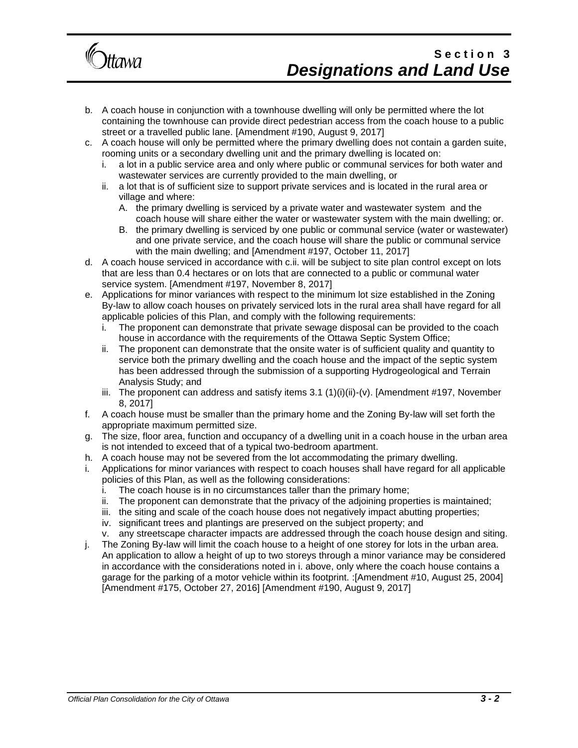

- b. A coach house in conjunction with a townhouse dwelling will only be permitted where the lot containing the townhouse can provide direct pedestrian access from the coach house to a public street or a travelled public lane. [Amendment #190, August 9, 2017]
- c. A coach house will only be permitted where the primary dwelling does not contain a garden suite, rooming units or a secondary dwelling unit and the primary dwelling is located on:
	- i. a lot in a public service area and only where public or communal services for both water and wastewater services are currently provided to the main dwelling, or
	- ii. a lot that is of sufficient size to support private services and is located in the rural area or village and where:
		- A. the primary dwelling is serviced by a private water and wastewater system and the coach house will share either the water or wastewater system with the main dwelling; or.
		- B. the primary dwelling is serviced by one public or communal service (water or wastewater) and one private service, and the coach house will share the public or communal service with the main dwelling; and [Amendment #197, October 11, 2017]
- d. A coach house serviced in accordance with c.ii. will be subject to site plan control except on lots that are less than 0.4 hectares or on lots that are connected to a public or communal water service system. [Amendment #197, November 8, 2017]
- e. Applications for minor variances with respect to the minimum lot size established in the Zoning By-law to allow coach houses on privately serviced lots in the rural area shall have regard for all applicable policies of this Plan, and comply with the following requirements:
	- i. The proponent can demonstrate that private sewage disposal can be provided to the coach house in accordance with the requirements of the Ottawa Septic System Office;
	- ii. The proponent can demonstrate that the onsite water is of sufficient quality and quantity to service both the primary dwelling and the coach house and the impact of the septic system has been addressed through the submission of a supporting Hydrogeological and Terrain Analysis Study; and
	- iii. The proponent can address and satisfy items  $3.1 \left( 1 \right)$ (i)(ii)-(v). [Amendment #197, November 8, 2017]
- f. A coach house must be smaller than the primary home and the Zoning By-law will set forth the appropriate maximum permitted size.
- g. The size, floor area, function and occupancy of a dwelling unit in a coach house in the urban area is not intended to exceed that of a typical two-bedroom apartment.
- h. A coach house may not be severed from the lot accommodating the primary dwelling.
- i. Applications for minor variances with respect to coach houses shall have regard for all applicable policies of this Plan, as well as the following considerations:
	- i. The coach house is in no circumstances taller than the primary home;
	- ii. The proponent can demonstrate that the privacy of the adjoining properties is maintained;
	- iii. the siting and scale of the coach house does not negatively impact abutting properties;
	- iv. significant trees and plantings are preserved on the subject property; and
	- v. any streetscape character impacts are addressed through the coach house design and siting.
- j. The Zoning By-law will limit the coach house to a height of one storey for lots in the urban area. An application to allow a height of up to two storeys through a minor variance may be considered in accordance with the considerations noted in i. above, only where the coach house contains a garage for the parking of a motor vehicle within its footprint. :[Amendment #10, August 25, 2004] [Amendment #175, October 27, 2016] [Amendment #190, August 9, 2017]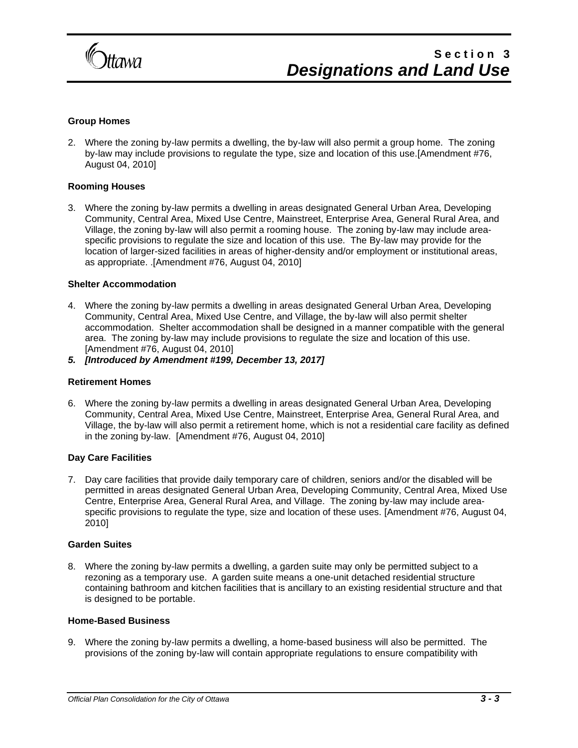

#### **Group Homes**

2. Where the zoning by-law permits a dwelling, the by-law will also permit a group home. The zoning by-law may include provisions to regulate the type, size and location of this use.[Amendment #76, August 04, 2010]

#### **Rooming Houses**

3. Where the zoning by-law permits a dwelling in areas designated General Urban Area, Developing Community, Central Area, Mixed Use Centre, Mainstreet, Enterprise Area, General Rural Area, and Village, the zoning by-law will also permit a rooming house. The zoning by-law may include areaspecific provisions to regulate the size and location of this use. The By-law may provide for the location of larger-sized facilities in areas of higher-density and/or employment or institutional areas, as appropriate. .[Amendment #76, August 04, 2010]

#### **Shelter Accommodation**

- 4. Where the zoning by-law permits a dwelling in areas designated General Urban Area, Developing Community, Central Area, Mixed Use Centre, and Village, the by-law will also permit shelter accommodation. Shelter accommodation shall be designed in a manner compatible with the general area. The zoning by-law may include provisions to regulate the size and location of this use. [Amendment #76, August 04, 2010]
- *5. [Introduced by Amendment #199, December 13, 2017]*

#### **Retirement Homes**

6. Where the zoning by-law permits a dwelling in areas designated General Urban Area, Developing Community, Central Area, Mixed Use Centre, Mainstreet, Enterprise Area, General Rural Area, and Village, the by-law will also permit a retirement home, which is not a residential care facility as defined in the zoning by-law. [Amendment #76, August 04, 2010]

#### **Day Care Facilities**

7. Day care facilities that provide daily temporary care of children, seniors and/or the disabled will be permitted in areas designated General Urban Area, Developing Community, Central Area, Mixed Use Centre, Enterprise Area, General Rural Area, and Village. The zoning by-law may include areaspecific provisions to regulate the type, size and location of these uses. [Amendment #76, August 04, 2010]

#### **Garden Suites**

8. Where the zoning by-law permits a dwelling, a garden suite may only be permitted subject to a rezoning as a temporary use. A garden suite means a one-unit detached residential structure containing bathroom and kitchen facilities that is ancillary to an existing residential structure and that is designed to be portable.

#### **Home-Based Business**

9. Where the zoning by-law permits a dwelling, a home-based business will also be permitted. The provisions of the zoning by-law will contain appropriate regulations to ensure compatibility with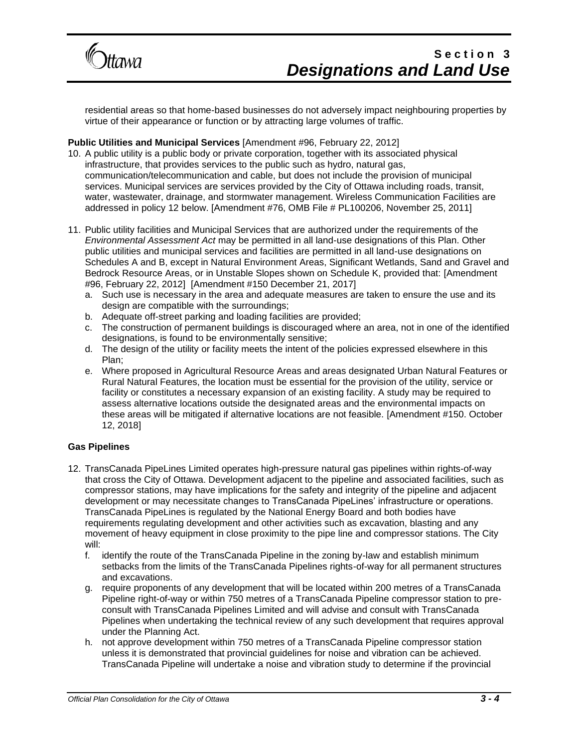

residential areas so that home-based businesses do not adversely impact neighbouring properties by virtue of their appearance or function or by attracting large volumes of traffic.

#### **Public Utilities and Municipal Services** [Amendment #96, February 22, 2012]

- 10. A public utility is a public body or private corporation, together with its associated physical infrastructure, that provides services to the public such as hydro, natural gas, communication/telecommunication and cable, but does not include the provision of municipal services. Municipal services are services provided by the City of Ottawa including roads, transit, water, wastewater, drainage, and stormwater management. Wireless Communication Facilities are addressed in policy 12 below. [Amendment #76, OMB File # PL100206, November 25, 2011]
- 11. Public utility facilities and Municipal Services that are authorized under the requirements of the *Environmental Assessment Act* may be permitted in all land-use designations of this Plan. Other public utilities and municipal services and facilities are permitted in all land-use designations on Schedules A and B, except in Natural Environment Areas, Significant Wetlands, Sand and Gravel and Bedrock Resource Areas, or in Unstable Slopes shown on Schedule K, provided that: [Amendment #96, February 22, 2012] [Amendment #150 December 21, 2017]
	- a. Such use is necessary in the area and adequate measures are taken to ensure the use and its design are compatible with the surroundings;
	- b. Adequate off-street parking and loading facilities are provided;
	- c. The construction of permanent buildings is discouraged where an area, not in one of the identified designations, is found to be environmentally sensitive;
	- d. The design of the utility or facility meets the intent of the policies expressed elsewhere in this Plan;
	- e. Where proposed in Agricultural Resource Areas and areas designated Urban Natural Features or Rural Natural Features, the location must be essential for the provision of the utility, service or facility or constitutes a necessary expansion of an existing facility. A study may be required to assess alternative locations outside the designated areas and the environmental impacts on these areas will be mitigated if alternative locations are not feasible. [Amendment #150. October 12, 2018]

#### **Gas Pipelines**

- 12. TransCanada PipeLines Limited operates high-pressure natural gas pipelines within rights-of-way that cross the City of Ottawa. Development adjacent to the pipeline and associated facilities, such as compressor stations, may have implications for the safety and integrity of the pipeline and adjacent development or may necessitate changes to TransCanada PipeLines' infrastructure or operations. TransCanada PipeLines is regulated by the National Energy Board and both bodies have requirements regulating development and other activities such as excavation, blasting and any movement of heavy equipment in close proximity to the pipe line and compressor stations. The City will:
	- f. identify the route of the TransCanada Pipeline in the zoning by-law and establish minimum setbacks from the limits of the TransCanada Pipelines rights-of-way for all permanent structures and excavations.
	- g. require proponents of any development that will be located within 200 metres of a TransCanada Pipeline right-of-way or within 750 metres of a TransCanada Pipeline compressor station to preconsult with TransCanada Pipelines Limited and will advise and consult with TransCanada Pipelines when undertaking the technical review of any such development that requires approval under the Planning Act.
	- h. not approve development within 750 metres of a TransCanada Pipeline compressor station unless it is demonstrated that provincial guidelines for noise and vibration can be achieved. TransCanada Pipeline will undertake a noise and vibration study to determine if the provincial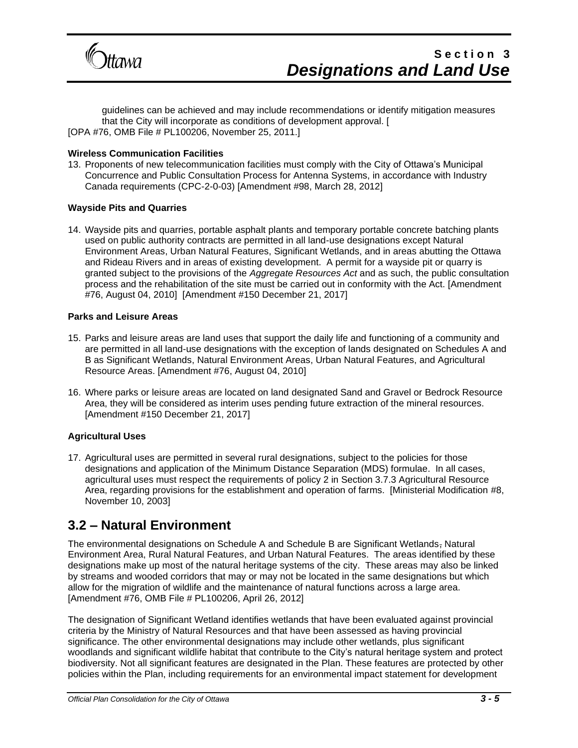

guidelines can be achieved and may include recommendations or identify mitigation measures that the City will incorporate as conditions of development approval. [ [OPA #76, OMB File # PL100206, November 25, 2011.]

#### **Wireless Communication Facilities**

13. Proponents of new telecommunication facilities must comply with the City of Ottawa's Municipal Concurrence and Public Consultation Process for Antenna Systems, in accordance with Industry Canada requirements (CPC-2-0-03) [Amendment #98, March 28, 2012]

#### **Wayside Pits and Quarries**

14. Wayside pits and quarries, portable asphalt plants and temporary portable concrete batching plants used on public authority contracts are permitted in all land-use designations except Natural Environment Areas, Urban Natural Features, Significant Wetlands, and in areas abutting the Ottawa and Rideau Rivers and in areas of existing development. A permit for a wayside pit or quarry is granted subject to the provisions of the *Aggregate Resources Act* and as such, the public consultation process and the rehabilitation of the site must be carried out in conformity with the Act. [Amendment #76, August 04, 2010] [Amendment #150 December 21, 2017]

#### **Parks and Leisure Areas**

- 15. Parks and leisure areas are land uses that support the daily life and functioning of a community and are permitted in all land-use designations with the exception of lands designated on Schedules A and B as Significant Wetlands, Natural Environment Areas, Urban Natural Features, and Agricultural Resource Areas. [Amendment #76, August 04, 2010]
- 16. Where parks or leisure areas are located on land designated Sand and Gravel or Bedrock Resource Area, they will be considered as interim uses pending future extraction of the mineral resources. [Amendment #150 December 21, 2017]

#### **Agricultural Uses**

17. Agricultural uses are permitted in several rural designations, subject to the policies for those designations and application of the Minimum Distance Separation (MDS) formulae. In all cases, agricultural uses must respect the requirements of policy 2 in Section 3.7.3 Agricultural Resource Area, regarding provisions for the establishment and operation of farms. [Ministerial Modification #8, November 10, 2003]

### **3.2 – Natural Environment**

The environmental designations on Schedule A and Schedule B are Significant Wetlands, Natural Environment Area, Rural Natural Features, and Urban Natural Features. The areas identified by these designations make up most of the natural heritage systems of the city. These areas may also be linked by streams and wooded corridors that may or may not be located in the same designations but which allow for the migration of wildlife and the maintenance of natural functions across a large area. [Amendment #76, OMB File # PL100206, April 26, 2012]

The designation of Significant Wetland identifies wetlands that have been evaluated against provincial criteria by the Ministry of Natural Resources and that have been assessed as having provincial significance. The other environmental designations may include other wetlands, plus significant woodlands and significant wildlife habitat that contribute to the City's natural heritage system and protect biodiversity. Not all significant features are designated in the Plan. These features are protected by other policies within the Plan, including requirements for an environmental impact statement for development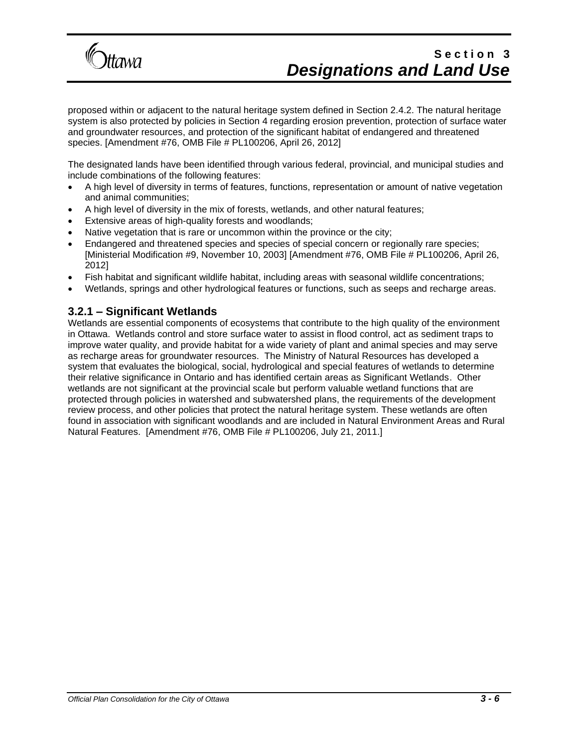

proposed within or adjacent to the natural heritage system defined in Section 2.4.2. The natural heritage system is also protected by policies in Section 4 regarding erosion prevention, protection of surface water and groundwater resources, and protection of the significant habitat of endangered and threatened species. [Amendment #76, OMB File # PL100206, April 26, 2012]

The designated lands have been identified through various federal, provincial, and municipal studies and include combinations of the following features:

- A high level of diversity in terms of features, functions, representation or amount of native vegetation and animal communities;
- A high level of diversity in the mix of forests, wetlands, and other natural features;
- Extensive areas of high-quality forests and woodlands;
- Native vegetation that is rare or uncommon within the province or the city;
- Endangered and threatened species and species of special concern or regionally rare species; [Ministerial Modification #9, November 10, 2003] [Amendment #76, OMB File # PL100206, April 26, 2012]
- Fish habitat and significant wildlife habitat, including areas with seasonal wildlife concentrations;
- Wetlands, springs and other hydrological features or functions, such as seeps and recharge areas.

#### **3.2.1 – Significant Wetlands**

Wetlands are essential components of ecosystems that contribute to the high quality of the environment in Ottawa. Wetlands control and store surface water to assist in flood control, act as sediment traps to improve water quality, and provide habitat for a wide variety of plant and animal species and may serve as recharge areas for groundwater resources. The Ministry of Natural Resources has developed a system that evaluates the biological, social, hydrological and special features of wetlands to determine their relative significance in Ontario and has identified certain areas as Significant Wetlands. Other wetlands are not significant at the provincial scale but perform valuable wetland functions that are protected through policies in watershed and subwatershed plans, the requirements of the development review process, and other policies that protect the natural heritage system. These wetlands are often found in association with significant woodlands and are included in Natural Environment Areas and Rural Natural Features. [Amendment #76, OMB File # PL100206, July 21, 2011.]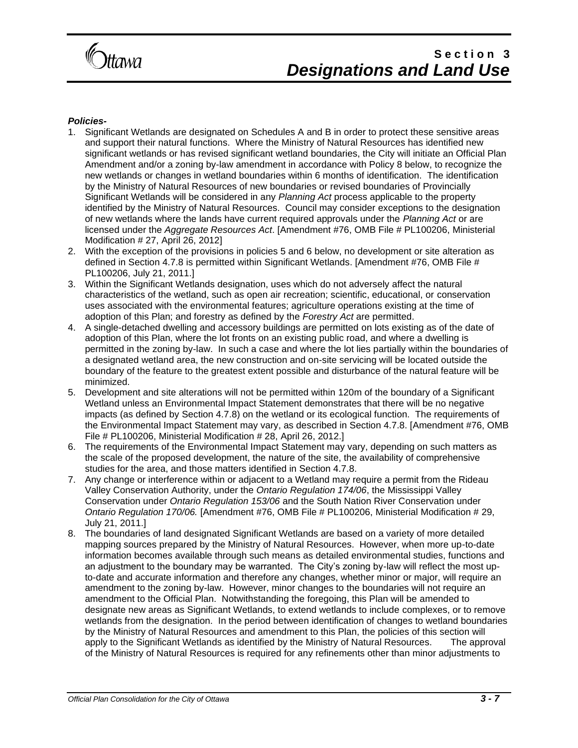

#### *Policies-*

- 1. Significant Wetlands are designated on Schedules A and B in order to protect these sensitive areas and support their natural functions. Where the Ministry of Natural Resources has identified new significant wetlands or has revised significant wetland boundaries, the City will initiate an Official Plan Amendment and/or a zoning by-law amendment in accordance with Policy 8 below, to recognize the new wetlands or changes in wetland boundaries within 6 months of identification. The identification by the Ministry of Natural Resources of new boundaries or revised boundaries of Provincially Significant Wetlands will be considered in any *Planning Act* process applicable to the property identified by the Ministry of Natural Resources. Council may consider exceptions to the designation of new wetlands where the lands have current required approvals under the *Planning Act* or are licensed under the *Aggregate Resources Act*. [Amendment #76, OMB File # PL100206, Ministerial Modification # 27, April 26, 2012]
- 2. With the exception of the provisions in policies 5 and 6 below, no development or site alteration as defined in Section 4.7.8 is permitted within Significant Wetlands. [Amendment #76, OMB File # PL100206, July 21, 2011.]
- 3. Within the Significant Wetlands designation, uses which do not adversely affect the natural characteristics of the wetland, such as open air recreation; scientific, educational, or conservation uses associated with the environmental features; agriculture operations existing at the time of adoption of this Plan; and forestry as defined by the *Forestry Act* are permitted.
- 4. A single-detached dwelling and accessory buildings are permitted on lots existing as of the date of adoption of this Plan, where the lot fronts on an existing public road, and where a dwelling is permitted in the zoning by-law. In such a case and where the lot lies partially within the boundaries of a designated wetland area, the new construction and on-site servicing will be located outside the boundary of the feature to the greatest extent possible and disturbance of the natural feature will be minimized.
- 5. Development and site alterations will not be permitted within 120m of the boundary of a Significant Wetland unless an Environmental Impact Statement demonstrates that there will be no negative impacts (as defined by Section 4.7.8) on the wetland or its ecological function. The requirements of the Environmental Impact Statement may vary, as described in Section 4.7.8. [Amendment #76, OMB File # PL100206, Ministerial Modification # 28, April 26, 2012.]
- 6. The requirements of the Environmental Impact Statement may vary, depending on such matters as the scale of the proposed development, the nature of the site, the availability of comprehensive studies for the area, and those matters identified in Section 4.7.8.
- 7. Any change or interference within or adjacent to a Wetland may require a permit from the Rideau Valley Conservation Authority, under the *Ontario Regulation 174/06*, the Mississippi Valley Conservation under *Ontario Regulation 153/06* and the South Nation River Conservation under *Ontario Regulation 170/06.* [Amendment #76, OMB File # PL100206, Ministerial Modification # 29, July 21, 2011.]
- 8. The boundaries of land designated Significant Wetlands are based on a variety of more detailed mapping sources prepared by the Ministry of Natural Resources. However, when more up-to-date information becomes available through such means as detailed environmental studies, functions and an adjustment to the boundary may be warranted. The City's zoning by-law will reflect the most upto-date and accurate information and therefore any changes, whether minor or major, will require an amendment to the zoning by-law. However, minor changes to the boundaries will not require an amendment to the Official Plan. Notwithstanding the foregoing, this Plan will be amended to designate new areas as Significant Wetlands, to extend wetlands to include complexes, or to remove wetlands from the designation. In the period between identification of changes to wetland boundaries by the Ministry of Natural Resources and amendment to this Plan, the policies of this section will apply to the Significant Wetlands as identified by the Ministry of Natural Resources. The approval of the Ministry of Natural Resources is required for any refinements other than minor adjustments to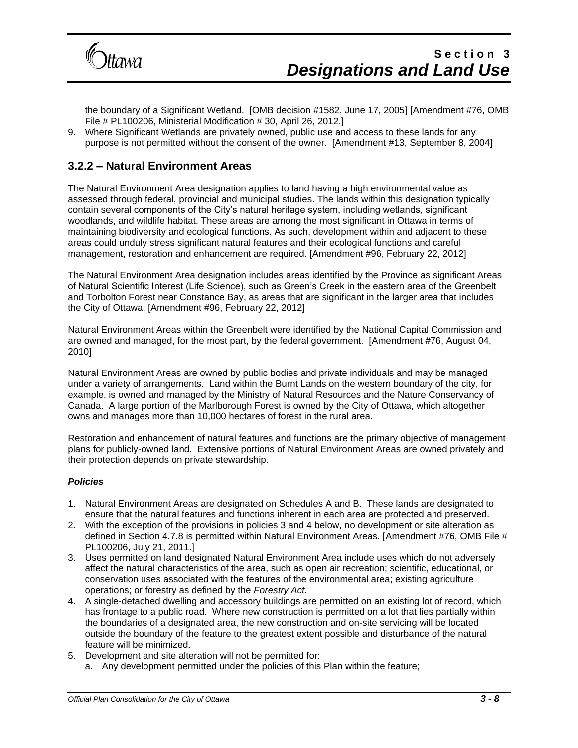

the boundary of a Significant Wetland. [OMB decision #1582, June 17, 2005] [Amendment #76, OMB File # PL100206, Ministerial Modification # 30, April 26, 2012.]

9. Where Significant Wetlands are privately owned, public use and access to these lands for any purpose is not permitted without the consent of the owner. [Amendment #13, September 8, 2004]

### **3.2.2 – Natural Environment Areas**

The Natural Environment Area designation applies to land having a high environmental value as assessed through federal, provincial and municipal studies. The lands within this designation typically contain several components of the City's natural heritage system, including wetlands, significant woodlands, and wildlife habitat. These areas are among the most significant in Ottawa in terms of maintaining biodiversity and ecological functions. As such, development within and adjacent to these areas could unduly stress significant natural features and their ecological functions and careful management, restoration and enhancement are required. [Amendment #96, February 22, 2012]

The Natural Environment Area designation includes areas identified by the Province as significant Areas of Natural Scientific Interest (Life Science), such as Green's Creek in the eastern area of the Greenbelt and Torbolton Forest near Constance Bay, as areas that are significant in the larger area that includes the City of Ottawa. [Amendment #96, February 22, 2012]

Natural Environment Areas within the Greenbelt were identified by the National Capital Commission and are owned and managed, for the most part, by the federal government. [Amendment #76, August 04, 2010]

Natural Environment Areas are owned by public bodies and private individuals and may be managed under a variety of arrangements. Land within the Burnt Lands on the western boundary of the city, for example, is owned and managed by the Ministry of Natural Resources and the Nature Conservancy of Canada. A large portion of the Marlborough Forest is owned by the City of Ottawa, which altogether owns and manages more than 10,000 hectares of forest in the rural area.

Restoration and enhancement of natural features and functions are the primary objective of management plans for publicly-owned land. Extensive portions of Natural Environment Areas are owned privately and their protection depends on private stewardship.

#### *Policies*

- 1. Natural Environment Areas are designated on Schedules A and B. These lands are designated to ensure that the natural features and functions inherent in each area are protected and preserved.
- 2. With the exception of the provisions in policies 3 and 4 below, no development or site alteration as defined in Section 4.7.8 is permitted within Natural Environment Areas. [Amendment #76, OMB File # PL100206, July 21, 2011.]
- 3. Uses permitted on land designated Natural Environment Area include uses which do not adversely affect the natural characteristics of the area, such as open air recreation; scientific, educational, or conservation uses associated with the features of the environmental area; existing agriculture operations; or forestry as defined by the *Forestry Act.*
- 4. A single-detached dwelling and accessory buildings are permitted on an existing lot of record, which has frontage to a public road. Where new construction is permitted on a lot that lies partially within the boundaries of a designated area, the new construction and on-site servicing will be located outside the boundary of the feature to the greatest extent possible and disturbance of the natural feature will be minimized.
- 5. Development and site alteration will not be permitted for:
	- a. Any development permitted under the policies of this Plan within the feature;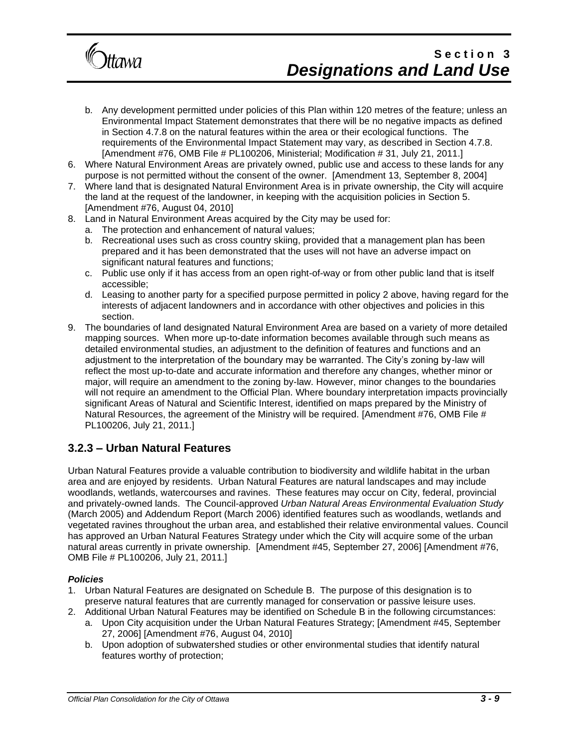

- b. Any development permitted under policies of this Plan within 120 metres of the feature; unless an Environmental Impact Statement demonstrates that there will be no negative impacts as defined in Section 4.7.8 on the natural features within the area or their ecological functions. The requirements of the Environmental Impact Statement may vary, as described in Section 4.7.8. [Amendment #76, OMB File # PL100206, Ministerial; Modification # 31, July 21, 2011.]
- 6. Where Natural Environment Areas are privately owned, public use and access to these lands for any purpose is not permitted without the consent of the owner. [Amendment 13, September 8, 2004]
- 7. Where land that is designated Natural Environment Area is in private ownership, the City will acquire the land at the request of the landowner, in keeping with the acquisition policies in Section 5. [Amendment #76, August 04, 2010]
- 8. Land in Natural Environment Areas acquired by the City may be used for:
	- a. The protection and enhancement of natural values;
	- b. Recreational uses such as cross country skiing, provided that a management plan has been prepared and it has been demonstrated that the uses will not have an adverse impact on significant natural features and functions;
	- c. Public use only if it has access from an open right-of-way or from other public land that is itself accessible;
	- d. Leasing to another party for a specified purpose permitted in policy 2 above, having regard for the interests of adjacent landowners and in accordance with other objectives and policies in this section.
- 9. The boundaries of land designated Natural Environment Area are based on a variety of more detailed mapping sources. When more up-to-date information becomes available through such means as detailed environmental studies, an adjustment to the definition of features and functions and an adjustment to the interpretation of the boundary may be warranted. The City's zoning by-law will reflect the most up-to-date and accurate information and therefore any changes, whether minor or major, will require an amendment to the zoning by-law. However, minor changes to the boundaries will not require an amendment to the Official Plan. Where boundary interpretation impacts provincially significant Areas of Natural and Scientific Interest, identified on maps prepared by the Ministry of Natural Resources, the agreement of the Ministry will be required. [Amendment #76, OMB File # PL100206, July 21, 2011.]

### **3.2.3 – Urban Natural Features**

Urban Natural Features provide a valuable contribution to biodiversity and wildlife habitat in the urban area and are enjoyed by residents. Urban Natural Features are natural landscapes and may include woodlands, wetlands, watercourses and ravines. These features may occur on City, federal, provincial and privately-owned lands. The Council-approved *Urban Natural Areas Environmental Evaluation Study* (March 2005) and Addendum Report (March 2006) identified features such as woodlands, wetlands and vegetated ravines throughout the urban area, and established their relative environmental values. Council has approved an Urban Natural Features Strategy under which the City will acquire some of the urban natural areas currently in private ownership. [Amendment #45, September 27, 2006] [Amendment #76, OMB File # PL100206, July 21, 2011.]

#### *Policies*

- 1. Urban Natural Features are designated on Schedule B. The purpose of this designation is to preserve natural features that are currently managed for conservation or passive leisure uses.
- 2. Additional Urban Natural Features may be identified on Schedule B in the following circumstances:
	- a. Upon City acquisition under the Urban Natural Features Strategy; [Amendment #45, September 27, 2006] [Amendment #76, August 04, 2010]
	- b. Upon adoption of subwatershed studies or other environmental studies that identify natural features worthy of protection;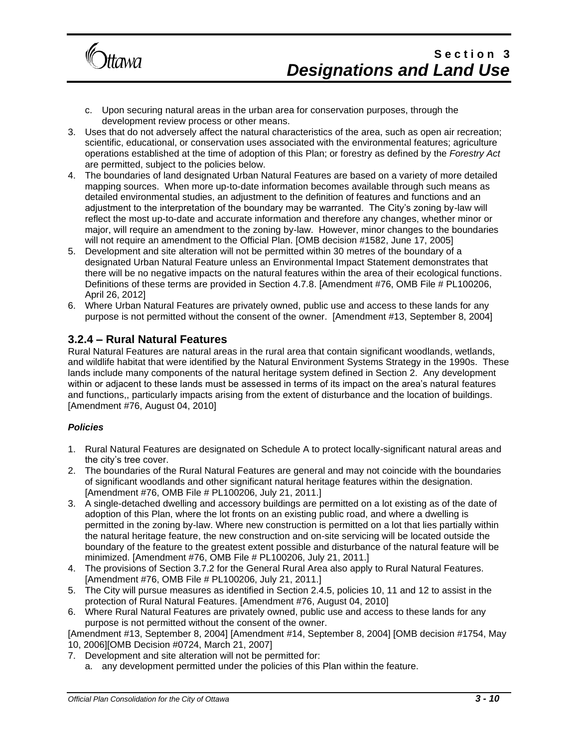

- c. Upon securing natural areas in the urban area for conservation purposes, through the development review process or other means.
- 3. Uses that do not adversely affect the natural characteristics of the area, such as open air recreation; scientific, educational, or conservation uses associated with the environmental features; agriculture operations established at the time of adoption of this Plan; or forestry as defined by the *Forestry Act* are permitted, subject to the policies below.
- 4. The boundaries of land designated Urban Natural Features are based on a variety of more detailed mapping sources. When more up-to-date information becomes available through such means as detailed environmental studies, an adjustment to the definition of features and functions and an adjustment to the interpretation of the boundary may be warranted. The City's zoning by-law will reflect the most up-to-date and accurate information and therefore any changes, whether minor or major, will require an amendment to the zoning by-law. However, minor changes to the boundaries will not require an amendment to the Official Plan. [OMB decision #1582, June 17, 2005]
- 5. Development and site alteration will not be permitted within 30 metres of the boundary of a designated Urban Natural Feature unless an Environmental Impact Statement demonstrates that there will be no negative impacts on the natural features within the area of their ecological functions. Definitions of these terms are provided in Section 4.7.8. [Amendment #76, OMB File # PL100206, April 26, 2012]
- 6. Where Urban Natural Features are privately owned, public use and access to these lands for any purpose is not permitted without the consent of the owner. [Amendment #13, September 8, 2004]

### **3.2.4 – Rural Natural Features**

Rural Natural Features are natural areas in the rural area that contain significant woodlands, wetlands, and wildlife habitat that were identified by the Natural Environment Systems Strategy in the 1990s. These lands include many components of the natural heritage system defined in Section 2. Any development within or adjacent to these lands must be assessed in terms of its impact on the area's natural features and functions,, particularly impacts arising from the extent of disturbance and the location of buildings. [Amendment #76, August 04, 2010]

#### *Policies*

- 1. Rural Natural Features are designated on Schedule A to protect locally-significant natural areas and the city's tree cover.
- 2. The boundaries of the Rural Natural Features are general and may not coincide with the boundaries of significant woodlands and other significant natural heritage features within the designation. [Amendment #76, OMB File # PL100206, July 21, 2011.]
- 3. A single-detached dwelling and accessory buildings are permitted on a lot existing as of the date of adoption of this Plan, where the lot fronts on an existing public road, and where a dwelling is permitted in the zoning by-law. Where new construction is permitted on a lot that lies partially within the natural heritage feature, the new construction and on-site servicing will be located outside the boundary of the feature to the greatest extent possible and disturbance of the natural feature will be minimized. [Amendment #76, OMB File # PL100206, July 21, 2011.]
- 4. The provisions of Section 3.7.2 for the General Rural Area also apply to Rural Natural Features. [Amendment #76, OMB File # PL100206, July 21, 2011.]
- 5. The City will pursue measures as identified in Section 2.4.5, policies 10, 11 and 12 to assist in the protection of Rural Natural Features. [Amendment #76, August 04, 2010]
- 6. Where Rural Natural Features are privately owned, public use and access to these lands for any purpose is not permitted without the consent of the owner.

[Amendment #13, September 8, 2004] [Amendment #14, September 8, 2004] [OMB decision #1754, May 10, 2006][OMB Decision #0724, March 21, 2007]

- 7. Development and site alteration will not be permitted for:
	- a. any development permitted under the policies of this Plan within the feature.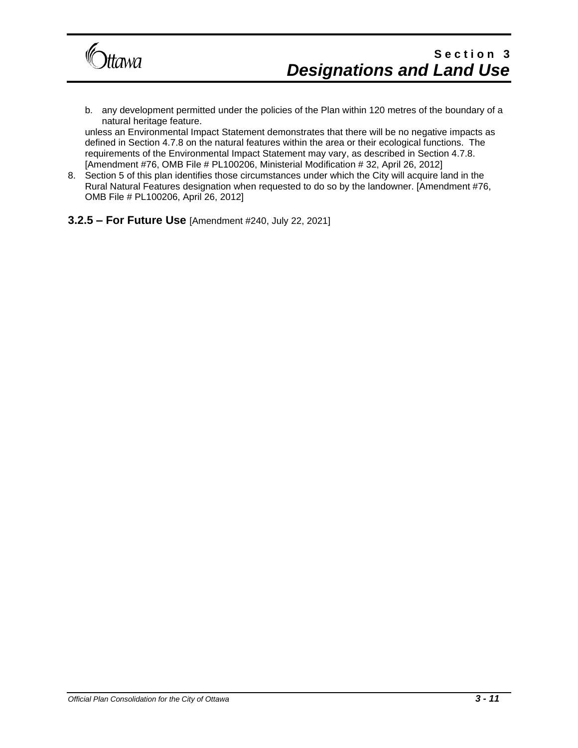

b. any development permitted under the policies of the Plan within 120 metres of the boundary of a natural heritage feature.

unless an Environmental Impact Statement demonstrates that there will be no negative impacts as defined in Section 4.7.8 on the natural features within the area or their ecological functions. The requirements of the Environmental Impact Statement may vary, as described in Section 4.7.8. [Amendment #76, OMB File # PL100206, Ministerial Modification # 32, April 26, 2012]

- 8. Section 5 of this plan identifies those circumstances under which the City will acquire land in the Rural Natural Features designation when requested to do so by the landowner. [Amendment #76, OMB File # PL100206, April 26, 2012]
- **3.2.5 – For Future Use** [Amendment #240, July 22, 2021]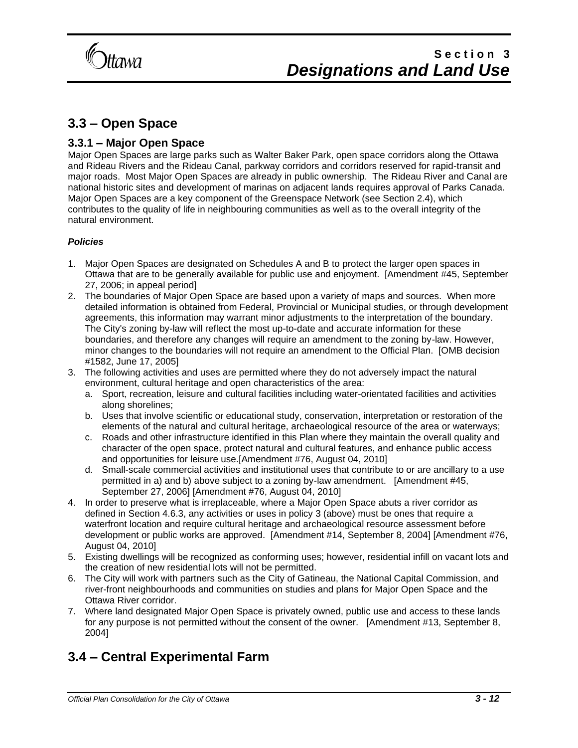

### **3.3 – Open Space**

### **3.3.1 – Major Open Space**

Major Open Spaces are large parks such as Walter Baker Park, open space corridors along the Ottawa and Rideau Rivers and the Rideau Canal, parkway corridors and corridors reserved for rapid-transit and major roads. Most Major Open Spaces are already in public ownership. The Rideau River and Canal are national historic sites and development of marinas on adjacent lands requires approval of Parks Canada. Major Open Spaces are a key component of the Greenspace Network (see Section 2.4), which contributes to the quality of life in neighbouring communities as well as to the overall integrity of the natural environment.

#### *Policies*

- 1. Major Open Spaces are designated on Schedules A and B to protect the larger open spaces in Ottawa that are to be generally available for public use and enjoyment. [Amendment #45, September 27, 2006; in appeal period]
- 2. The boundaries of Major Open Space are based upon a variety of maps and sources. When more detailed information is obtained from Federal, Provincial or Municipal studies, or through development agreements, this information may warrant minor adjustments to the interpretation of the boundary. The City's zoning by-law will reflect the most up-to-date and accurate information for these boundaries, and therefore any changes will require an amendment to the zoning by-law. However, minor changes to the boundaries will not require an amendment to the Official Plan. [OMB decision #1582, June 17, 2005]
- 3. The following activities and uses are permitted where they do not adversely impact the natural environment, cultural heritage and open characteristics of the area:
	- a. Sport, recreation, leisure and cultural facilities including water-orientated facilities and activities along shorelines;
	- b. Uses that involve scientific or educational study, conservation, interpretation or restoration of the elements of the natural and cultural heritage, archaeological resource of the area or waterways;
	- c. Roads and other infrastructure identified in this Plan where they maintain the overall quality and character of the open space, protect natural and cultural features, and enhance public access and opportunities for leisure use.[Amendment #76, August 04, 2010]
	- d. Small-scale commercial activities and institutional uses that contribute to or are ancillary to a use permitted in a) and b) above subject to a zoning by-law amendment. [Amendment #45, September 27, 2006] [Amendment #76, August 04, 2010]
- 4. In order to preserve what is irreplaceable, where a Major Open Space abuts a river corridor as defined in Section 4.6.3, any activities or uses in policy 3 (above) must be ones that require a waterfront location and require cultural heritage and archaeological resource assessment before development or public works are approved. [Amendment #14, September 8, 2004] [Amendment #76, August 04, 2010]
- 5. Existing dwellings will be recognized as conforming uses; however, residential infill on vacant lots and the creation of new residential lots will not be permitted.
- 6. The City will work with partners such as the City of Gatineau, the National Capital Commission, and river-front neighbourhoods and communities on studies and plans for Major Open Space and the Ottawa River corridor.
- 7. Where land designated Major Open Space is privately owned, public use and access to these lands for any purpose is not permitted without the consent of the owner. [Amendment #13, September 8, 2004]

### **3.4 – Central Experimental Farm**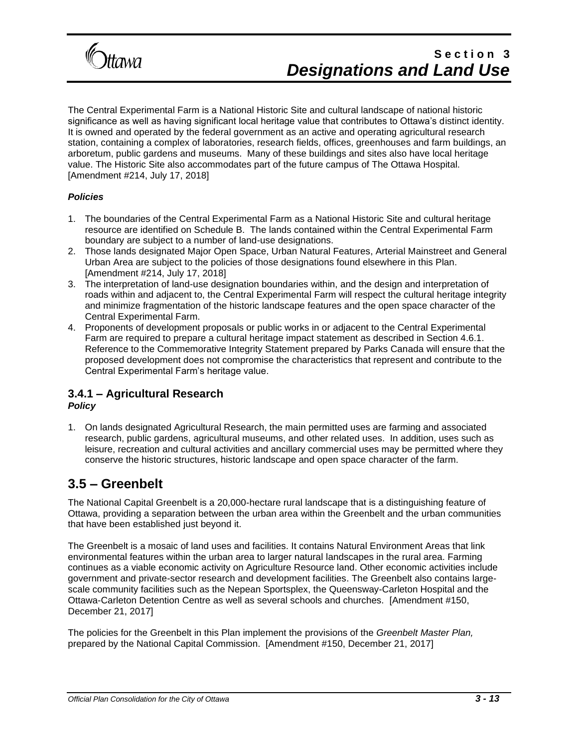

The Central Experimental Farm is a National Historic Site and cultural landscape of national historic significance as well as having significant local heritage value that contributes to Ottawa's distinct identity. It is owned and operated by the federal government as an active and operating agricultural research station, containing a complex of laboratories, research fields, offices, greenhouses and farm buildings, an arboretum, public gardens and museums. Many of these buildings and sites also have local heritage value. The Historic Site also accommodates part of the future campus of The Ottawa Hospital. [Amendment #214, July 17, 2018]

#### *Policies*

- 1. The boundaries of the Central Experimental Farm as a National Historic Site and cultural heritage resource are identified on Schedule B. The lands contained within the Central Experimental Farm boundary are subject to a number of land-use designations.
- 2. Those lands designated Major Open Space, Urban Natural Features, Arterial Mainstreet and General Urban Area are subject to the policies of those designations found elsewhere in this Plan. [Amendment #214, July 17, 2018]
- 3. The interpretation of land-use designation boundaries within, and the design and interpretation of roads within and adjacent to, the Central Experimental Farm will respect the cultural heritage integrity and minimize fragmentation of the historic landscape features and the open space character of the Central Experimental Farm.
- 4. Proponents of development proposals or public works in or adjacent to the Central Experimental Farm are required to prepare a cultural heritage impact statement as described in Section 4.6.1. Reference to the Commemorative Integrity Statement prepared by Parks Canada will ensure that the proposed development does not compromise the characteristics that represent and contribute to the Central Experimental Farm's heritage value.

#### **3.4.1 – Agricultural Research**  *Policy*

1. On lands designated Agricultural Research, the main permitted uses are farming and associated research, public gardens, agricultural museums, and other related uses. In addition, uses such as leisure, recreation and cultural activities and ancillary commercial uses may be permitted where they conserve the historic structures, historic landscape and open space character of the farm.

### **3.5 – Greenbelt**

The National Capital Greenbelt is a 20,000-hectare rural landscape that is a distinguishing feature of Ottawa, providing a separation between the urban area within the Greenbelt and the urban communities that have been established just beyond it.

The Greenbelt is a mosaic of land uses and facilities. It contains Natural Environment Areas that link environmental features within the urban area to larger natural landscapes in the rural area. Farming continues as a viable economic activity on Agriculture Resource land. Other economic activities include government and private-sector research and development facilities. The Greenbelt also contains largescale community facilities such as the Nepean Sportsplex, the Queensway-Carleton Hospital and the Ottawa-Carleton Detention Centre as well as several schools and churches. [Amendment #150, December 21, 2017]

The policies for the Greenbelt in this Plan implement the provisions of the *Greenbelt Master Plan,* prepared by the National Capital Commission. [Amendment #150, December 21, 2017]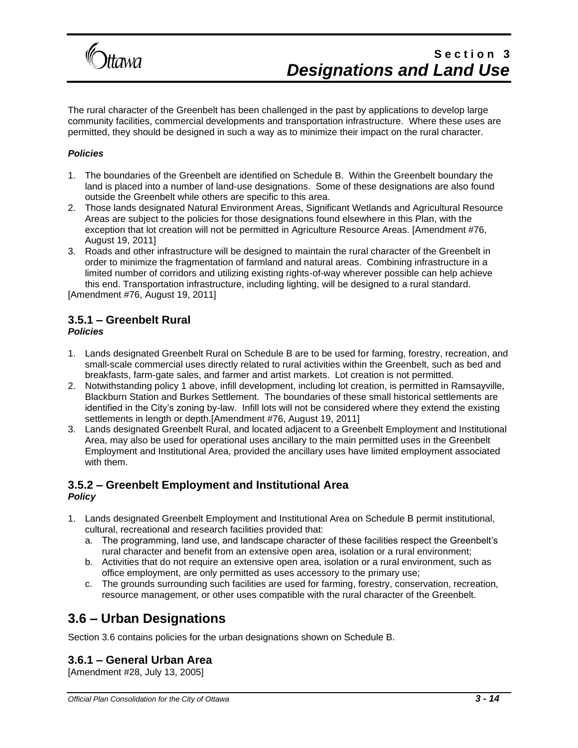

The rural character of the Greenbelt has been challenged in the past by applications to develop large community facilities, commercial developments and transportation infrastructure. Where these uses are permitted, they should be designed in such a way as to minimize their impact on the rural character.

#### *Policies*

- 1. The boundaries of the Greenbelt are identified on Schedule B. Within the Greenbelt boundary the land is placed into a number of land-use designations. Some of these designations are also found outside the Greenbelt while others are specific to this area.
- 2. Those lands designated Natural Environment Areas, Significant Wetlands and Agricultural Resource Areas are subject to the policies for those designations found elsewhere in this Plan, with the exception that lot creation will not be permitted in Agriculture Resource Areas. [Amendment #76, August 19, 2011]
- 3. Roads and other infrastructure will be designed to maintain the rural character of the Greenbelt in order to minimize the fragmentation of farmland and natural areas. Combining infrastructure in a limited number of corridors and utilizing existing rights-of-way wherever possible can help achieve this end. Transportation infrastructure, including lighting, will be designed to a rural standard. [Amendment #76, August 19, 2011]

### **3.5.1 – Greenbelt Rural**

#### *Policies*

- 1. Lands designated Greenbelt Rural on Schedule B are to be used for farming, forestry, recreation, and small-scale commercial uses directly related to rural activities within the Greenbelt, such as bed and breakfasts, farm-gate sales, and farmer and artist markets. Lot creation is not permitted.
- 2. Notwithstanding policy 1 above, infill development, including lot creation, is permitted in Ramsayville, Blackburn Station and Burkes Settlement. The boundaries of these small historical settlements are identified in the City's zoning by-law. Infill lots will not be considered where they extend the existing settlements in length or depth.[Amendment #76, August 19, 2011]
- 3. Lands designated Greenbelt Rural, and located adjacent to a Greenbelt Employment and Institutional Area, may also be used for operational uses ancillary to the main permitted uses in the Greenbelt Employment and Institutional Area, provided the ancillary uses have limited employment associated with them.

#### **3.5.2 – Greenbelt Employment and Institutional Area**  *Policy*

- 1. Lands designated Greenbelt Employment and Institutional Area on Schedule B permit institutional, cultural, recreational and research facilities provided that:
	- a. The programming, land use, and landscape character of these facilities respect the Greenbelt's rural character and benefit from an extensive open area, isolation or a rural environment;
	- b. Activities that do not require an extensive open area, isolation or a rural environment, such as office employment, are only permitted as uses accessory to the primary use;
	- c. The grounds surrounding such facilities are used for farming, forestry, conservation, recreation, resource management, or other uses compatible with the rural character of the Greenbelt.

### **3.6 – Urban Designations**

Section 3.6 contains policies for the urban designations shown on Schedule B.

#### **3.6.1 – General Urban Area**

[Amendment #28, July 13, 2005]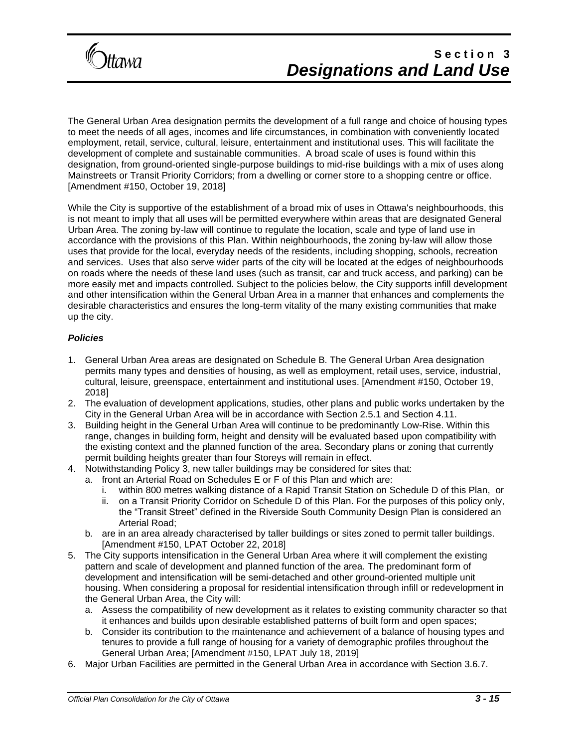

The General Urban Area designation permits the development of a full range and choice of housing types to meet the needs of all ages, incomes and life circumstances, in combination with conveniently located employment, retail, service, cultural, leisure, entertainment and institutional uses. This will facilitate the development of complete and sustainable communities. A broad scale of uses is found within this designation, from ground-oriented single-purpose buildings to mid-rise buildings with a mix of uses along Mainstreets or Transit Priority Corridors; from a dwelling or corner store to a shopping centre or office. [Amendment #150, October 19, 2018]

While the City is supportive of the establishment of a broad mix of uses in Ottawa's neighbourhoods, this is not meant to imply that all uses will be permitted everywhere within areas that are designated General Urban Area. The zoning by-law will continue to regulate the location, scale and type of land use in accordance with the provisions of this Plan. Within neighbourhoods, the zoning by-law will allow those uses that provide for the local, everyday needs of the residents, including shopping, schools, recreation and services. Uses that also serve wider parts of the city will be located at the edges of neighbourhoods on roads where the needs of these land uses (such as transit, car and truck access, and parking) can be more easily met and impacts controlled. Subject to the policies below, the City supports infill development and other intensification within the General Urban Area in a manner that enhances and complements the desirable characteristics and ensures the long-term vitality of the many existing communities that make up the city.

#### *Policies*

- 1. General Urban Area areas are designated on Schedule B. The General Urban Area designation permits many types and densities of housing, as well as employment, retail uses, service, industrial, cultural, leisure, greenspace, entertainment and institutional uses. [Amendment #150, October 19, 2018]
- 2. The evaluation of development applications, studies, other plans and public works undertaken by the City in the General Urban Area will be in accordance with Section 2.5.1 and Section 4.11.
- 3. Building height in the General Urban Area will continue to be predominantly Low-Rise. Within this range, changes in building form, height and density will be evaluated based upon compatibility with the existing context and the planned function of the area. Secondary plans or zoning that currently permit building heights greater than four Storeys will remain in effect.
- 4. Notwithstanding Policy 3, new taller buildings may be considered for sites that:
	- a. front an Arterial Road on Schedules E or F of this Plan and which are:
		- i. within 800 metres walking distance of a Rapid Transit Station on Schedule D of this Plan, or ii. on a Transit Priority Corridor on Schedule D of this Plan. For the purposes of this policy only,
		- the "Transit Street" defined in the Riverside South Community Design Plan is considered an Arterial Road;
	- b. are in an area already characterised by taller buildings or sites zoned to permit taller buildings. [Amendment #150, LPAT October 22, 2018]
- 5. The City supports intensification in the General Urban Area where it will complement the existing pattern and scale of development and planned function of the area. The predominant form of development and intensification will be semi-detached and other ground-oriented multiple unit housing. When considering a proposal for residential intensification through infill or redevelopment in the General Urban Area, the City will:
	- a. Assess the compatibility of new development as it relates to existing community character so that it enhances and builds upon desirable established patterns of built form and open spaces;
	- b. Consider its contribution to the maintenance and achievement of a balance of housing types and tenures to provide a full range of housing for a variety of demographic profiles throughout the General Urban Area; [Amendment #150, LPAT July 18, 2019]
- 6. Major Urban Facilities are permitted in the General Urban Area in accordance with Section 3.6.7.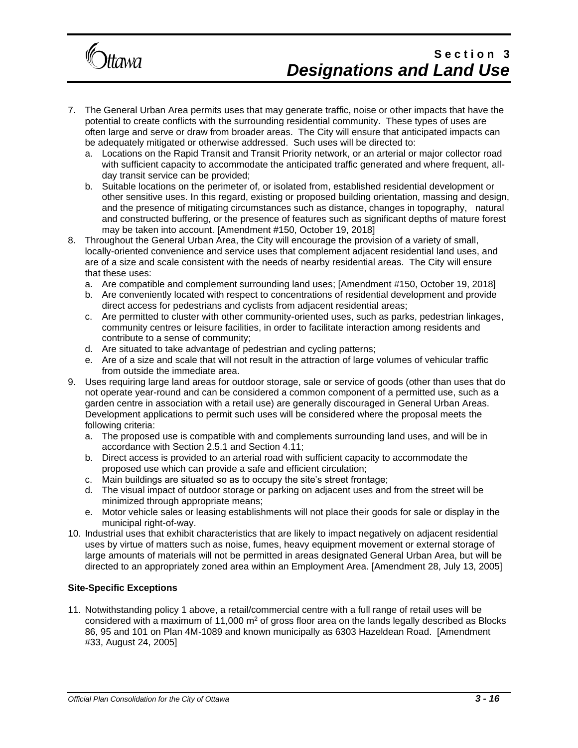

- 7. The General Urban Area permits uses that may generate traffic, noise or other impacts that have the potential to create conflicts with the surrounding residential community. These types of uses are often large and serve or draw from broader areas. The City will ensure that anticipated impacts can be adequately mitigated or otherwise addressed. Such uses will be directed to:
	- a. Locations on the Rapid Transit and Transit Priority network, or an arterial or major collector road with sufficient capacity to accommodate the anticipated traffic generated and where frequent, allday transit service can be provided;
	- b. Suitable locations on the perimeter of, or isolated from, established residential development or other sensitive uses. In this regard, existing or proposed building orientation, massing and design, and the presence of mitigating circumstances such as distance, changes in topography, natural and constructed buffering, or the presence of features such as significant depths of mature forest may be taken into account. [Amendment #150, October 19, 2018]
- 8. Throughout the General Urban Area, the City will encourage the provision of a variety of small, locally-oriented convenience and service uses that complement adjacent residential land uses, and are of a size and scale consistent with the needs of nearby residential areas. The City will ensure that these uses:
	- a. Are compatible and complement surrounding land uses; [Amendment #150, October 19, 2018]
	- b. Are conveniently located with respect to concentrations of residential development and provide direct access for pedestrians and cyclists from adjacent residential areas;
	- c. Are permitted to cluster with other community-oriented uses, such as parks, pedestrian linkages, community centres or leisure facilities, in order to facilitate interaction among residents and contribute to a sense of community;
	- d. Are situated to take advantage of pedestrian and cycling patterns;
	- e. Are of a size and scale that will not result in the attraction of large volumes of vehicular traffic from outside the immediate area.
- 9. Uses requiring large land areas for outdoor storage, sale or service of goods (other than uses that do not operate year-round and can be considered a common component of a permitted use, such as a garden centre in association with a retail use) are generally discouraged in General Urban Areas. Development applications to permit such uses will be considered where the proposal meets the following criteria:
	- a. The proposed use is compatible with and complements surrounding land uses, and will be in accordance with Section 2.5.1 and Section 4.11;
	- b. Direct access is provided to an arterial road with sufficient capacity to accommodate the proposed use which can provide a safe and efficient circulation;
	- c. Main buildings are situated so as to occupy the site's street frontage;
	- d. The visual impact of outdoor storage or parking on adjacent uses and from the street will be minimized through appropriate means;
	- e. Motor vehicle sales or leasing establishments will not place their goods for sale or display in the municipal right-of-way.
- 10. Industrial uses that exhibit characteristics that are likely to impact negatively on adjacent residential uses by virtue of matters such as noise, fumes, heavy equipment movement or external storage of large amounts of materials will not be permitted in areas designated General Urban Area, but will be directed to an appropriately zoned area within an Employment Area. [Amendment 28, July 13, 2005]

#### **Site-Specific Exceptions**

11. Notwithstanding policy 1 above, a retail/commercial centre with a full range of retail uses will be considered with a maximum of 11,000  $m<sup>2</sup>$  of gross floor area on the lands legally described as Blocks 86, 95 and 101 on Plan 4M-1089 and known municipally as 6303 Hazeldean Road. [Amendment #33, August 24, 2005]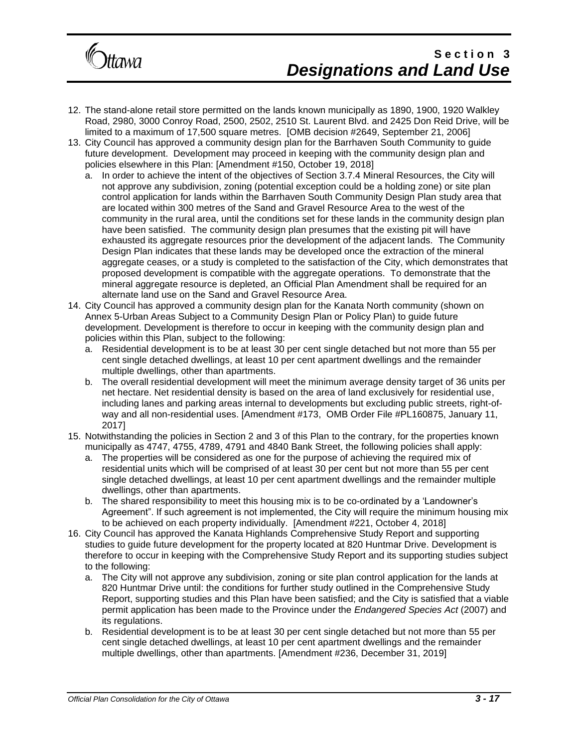

- 12. The stand-alone retail store permitted on the lands known municipally as 1890, 1900, 1920 Walkley Road, 2980, 3000 Conroy Road, 2500, 2502, 2510 St. Laurent Blvd. and 2425 Don Reid Drive, will be limited to a maximum of 17,500 square metres. [OMB decision #2649, September 21, 2006]
- 13. City Council has approved a community design plan for the Barrhaven South Community to guide future development. Development may proceed in keeping with the community design plan and policies elsewhere in this Plan: [Amendment #150, October 19, 2018]
	- a. In order to achieve the intent of the objectives of Section 3.7.4 Mineral Resources, the City will not approve any subdivision, zoning (potential exception could be a holding zone) or site plan control application for lands within the Barrhaven South Community Design Plan study area that are located within 300 metres of the Sand and Gravel Resource Area to the west of the community in the rural area, until the conditions set for these lands in the community design plan have been satisfied. The community design plan presumes that the existing pit will have exhausted its aggregate resources prior the development of the adjacent lands. The Community Design Plan indicates that these lands may be developed once the extraction of the mineral aggregate ceases, or a study is completed to the satisfaction of the City, which demonstrates that proposed development is compatible with the aggregate operations. To demonstrate that the mineral aggregate resource is depleted, an Official Plan Amendment shall be required for an alternate land use on the Sand and Gravel Resource Area.
- 14. City Council has approved a community design plan for the Kanata North community (shown on Annex 5-Urban Areas Subject to a Community Design Plan or Policy Plan) to guide future development. Development is therefore to occur in keeping with the community design plan and policies within this Plan, subject to the following:
	- a. Residential development is to be at least 30 per cent single detached but not more than 55 per cent single detached dwellings, at least 10 per cent apartment dwellings and the remainder multiple dwellings, other than apartments.
	- b. The overall residential development will meet the minimum average density target of 36 units per net hectare. Net residential density is based on the area of land exclusively for residential use, including lanes and parking areas internal to developments but excluding public streets, right-ofway and all non-residential uses. [Amendment #173, OMB Order File #PL160875, January 11, 2017]
- 15. Notwithstanding the policies in Section 2 and 3 of this Plan to the contrary, for the properties known municipally as 4747, 4755, 4789, 4791 and 4840 Bank Street, the following policies shall apply:
	- a. The properties will be considered as one for the purpose of achieving the required mix of residential units which will be comprised of at least 30 per cent but not more than 55 per cent single detached dwellings, at least 10 per cent apartment dwellings and the remainder multiple dwellings, other than apartments.
	- b. The shared responsibility to meet this housing mix is to be co-ordinated by a 'Landowner's Agreement". If such agreement is not implemented, the City will require the minimum housing mix to be achieved on each property individually. [Amendment #221, October 4, 2018]
- 16. City Council has approved the Kanata Highlands Comprehensive Study Report and supporting studies to guide future development for the property located at 820 Huntmar Drive. Development is therefore to occur in keeping with the Comprehensive Study Report and its supporting studies subject to the following:
	- a. The City will not approve any subdivision, zoning or site plan control application for the lands at 820 Huntmar Drive until: the conditions for further study outlined in the Comprehensive Study Report, supporting studies and this Plan have been satisfied; and the City is satisfied that a viable permit application has been made to the Province under the *Endangered Species Act* (2007) and its regulations.
	- b. Residential development is to be at least 30 per cent single detached but not more than 55 per cent single detached dwellings, at least 10 per cent apartment dwellings and the remainder multiple dwellings, other than apartments. [Amendment #236, December 31, 2019]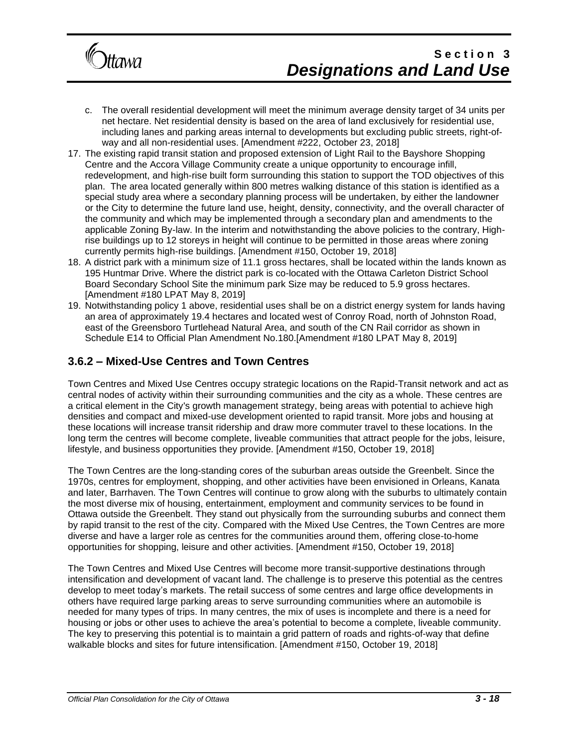

- c. The overall residential development will meet the minimum average density target of 34 units per net hectare. Net residential density is based on the area of land exclusively for residential use, including lanes and parking areas internal to developments but excluding public streets, right-ofway and all non-residential uses. [Amendment #222, October 23, 2018]
- 17. The existing rapid transit station and proposed extension of Light Rail to the Bayshore Shopping Centre and the Accora Village Community create a unique opportunity to encourage infill, redevelopment, and high-rise built form surrounding this station to support the TOD objectives of this plan. The area located generally within 800 metres walking distance of this station is identified as a special study area where a secondary planning process will be undertaken, by either the landowner or the City to determine the future land use, height, density, connectivity, and the overall character of the community and which may be implemented through a secondary plan and amendments to the applicable Zoning By-law. In the interim and notwithstanding the above policies to the contrary, Highrise buildings up to 12 storeys in height will continue to be permitted in those areas where zoning currently permits high-rise buildings. [Amendment #150, October 19, 2018]
- 18. A district park with a minimum size of 11.1 gross hectares, shall be located within the lands known as 195 Huntmar Drive. Where the district park is co-located with the Ottawa Carleton District School Board Secondary School Site the minimum park Size may be reduced to 5.9 gross hectares. [Amendment #180 LPAT May 8, 2019]
- 19. Notwithstanding policy 1 above, residential uses shall be on a district energy system for lands having an area of approximately 19.4 hectares and located west of Conroy Road, north of Johnston Road, east of the Greensboro Turtlehead Natural Area, and south of the CN Rail corridor as shown in Schedule E14 to Official Plan Amendment No.180.[Amendment #180 LPAT May 8, 2019]

### **3.6.2 – Mixed-Use Centres and Town Centres**

Town Centres and Mixed Use Centres occupy strategic locations on the Rapid-Transit network and act as central nodes of activity within their surrounding communities and the city as a whole. These centres are a critical element in the City's growth management strategy, being areas with potential to achieve high densities and compact and mixed-use development oriented to rapid transit. More jobs and housing at these locations will increase transit ridership and draw more commuter travel to these locations. In the long term the centres will become complete, liveable communities that attract people for the jobs, leisure, lifestyle, and business opportunities they provide. [Amendment #150, October 19, 2018]

The Town Centres are the long-standing cores of the suburban areas outside the Greenbelt. Since the 1970s, centres for employment, shopping, and other activities have been envisioned in Orleans, Kanata and later, Barrhaven. The Town Centres will continue to grow along with the suburbs to ultimately contain the most diverse mix of housing, entertainment, employment and community services to be found in Ottawa outside the Greenbelt. They stand out physically from the surrounding suburbs and connect them by rapid transit to the rest of the city. Compared with the Mixed Use Centres, the Town Centres are more diverse and have a larger role as centres for the communities around them, offering close-to-home opportunities for shopping, leisure and other activities. [Amendment #150, October 19, 2018]

The Town Centres and Mixed Use Centres will become more transit-supportive destinations through intensification and development of vacant land. The challenge is to preserve this potential as the centres develop to meet today's markets. The retail success of some centres and large office developments in others have required large parking areas to serve surrounding communities where an automobile is needed for many types of trips. In many centres, the mix of uses is incomplete and there is a need for housing or jobs or other uses to achieve the area's potential to become a complete, liveable community. The key to preserving this potential is to maintain a grid pattern of roads and rights-of-way that define walkable blocks and sites for future intensification. [Amendment #150, October 19, 2018]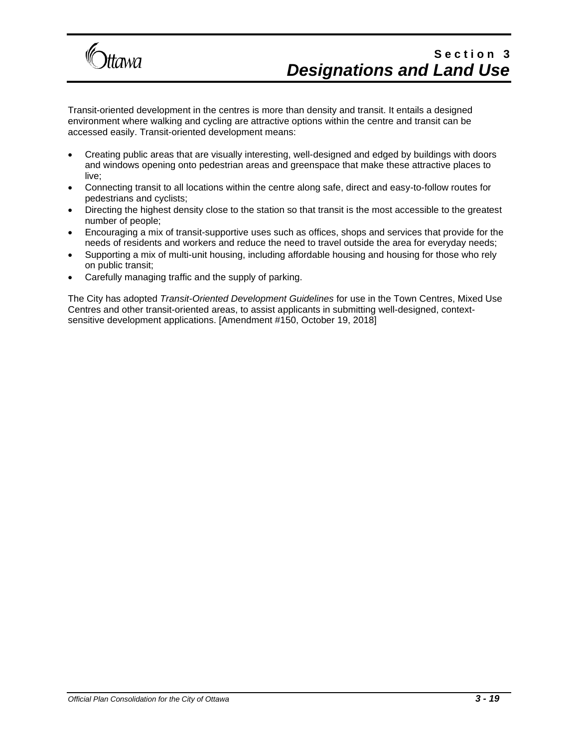

Transit-oriented development in the centres is more than density and transit. It entails a designed environment where walking and cycling are attractive options within the centre and transit can be accessed easily. Transit-oriented development means:

- Creating public areas that are visually interesting, well-designed and edged by buildings with doors and windows opening onto pedestrian areas and greenspace that make these attractive places to live;
- Connecting transit to all locations within the centre along safe, direct and easy-to-follow routes for pedestrians and cyclists;
- Directing the highest density close to the station so that transit is the most accessible to the greatest number of people;
- Encouraging a mix of transit-supportive uses such as offices, shops and services that provide for the needs of residents and workers and reduce the need to travel outside the area for everyday needs;
- Supporting a mix of multi-unit housing, including affordable housing and housing for those who rely on public transit;
- Carefully managing traffic and the supply of parking.

The City has adopted *Transit-Oriented Development Guidelines* for use in the Town Centres, Mixed Use Centres and other transit-oriented areas, to assist applicants in submitting well-designed, contextsensitive development applications. [Amendment #150, October 19, 2018]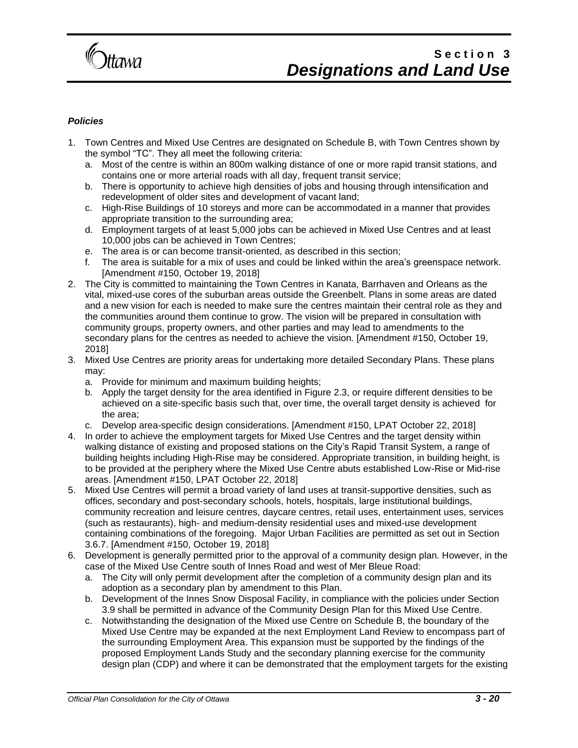

#### *Policies*

- 1. Town Centres and Mixed Use Centres are designated on Schedule B, with Town Centres shown by the symbol "TC". They all meet the following criteria:
	- a. Most of the centre is within an 800m walking distance of one or more rapid transit stations, and contains one or more arterial roads with all day, frequent transit service;
	- b. There is opportunity to achieve high densities of jobs and housing through intensification and redevelopment of older sites and development of vacant land;
	- c. High-Rise Buildings of 10 storeys and more can be accommodated in a manner that provides appropriate transition to the surrounding area;
	- d. Employment targets of at least 5,000 jobs can be achieved in Mixed Use Centres and at least 10,000 jobs can be achieved in Town Centres;
	- e. The area is or can become transit-oriented, as described in this section;
	- f. The area is suitable for a mix of uses and could be linked within the area's greenspace network. [Amendment #150, October 19, 2018]
- 2. The City is committed to maintaining the Town Centres in Kanata, Barrhaven and Orleans as the vital, mixed-use cores of the suburban areas outside the Greenbelt. Plans in some areas are dated and a new vision for each is needed to make sure the centres maintain their central role as they and the communities around them continue to grow. The vision will be prepared in consultation with community groups, property owners, and other parties and may lead to amendments to the secondary plans for the centres as needed to achieve the vision. [Amendment #150, October 19, 2018]
- 3. Mixed Use Centres are priority areas for undertaking more detailed Secondary Plans. These plans may:
	- a. Provide for minimum and maximum building heights;
	- b. Apply the target density for the area identified in Figure 2.3, or require different densities to be achieved on a site-specific basis such that, over time, the overall target density is achieved for the area;
	- c. Develop area-specific design considerations. [Amendment #150, LPAT October 22, 2018]
- 4. In order to achieve the employment targets for Mixed Use Centres and the target density within walking distance of existing and proposed stations on the City's Rapid Transit System, a range of building heights including High-Rise may be considered. Appropriate transition, in building height, is to be provided at the periphery where the Mixed Use Centre abuts established Low-Rise or Mid-rise areas. [Amendment #150, LPAT October 22, 2018]
- 5. Mixed Use Centres will permit a broad variety of land uses at transit-supportive densities, such as offices, secondary and post-secondary schools, hotels, hospitals, large institutional buildings, community recreation and leisure centres, daycare centres, retail uses, entertainment uses, services (such as restaurants), high- and medium-density residential uses and mixed-use development containing combinations of the foregoing. Major Urban Facilities are permitted as set out in Section 3.6.7. [Amendment #150, October 19, 2018]
- 6. Development is generally permitted prior to the approval of a community design plan. However, in the case of the Mixed Use Centre south of Innes Road and west of Mer Bleue Road:
	- a. The City will only permit development after the completion of a community design plan and its adoption as a secondary plan by amendment to this Plan.
	- b. Development of the Innes Snow Disposal Facility, in compliance with the policies under Section 3.9 shall be permitted in advance of the Community Design Plan for this Mixed Use Centre.
	- c. Notwithstanding the designation of the Mixed use Centre on Schedule B, the boundary of the Mixed Use Centre may be expanded at the next Employment Land Review to encompass part of the surrounding Employment Area. This expansion must be supported by the findings of the proposed Employment Lands Study and the secondary planning exercise for the community design plan (CDP) and where it can be demonstrated that the employment targets for the existing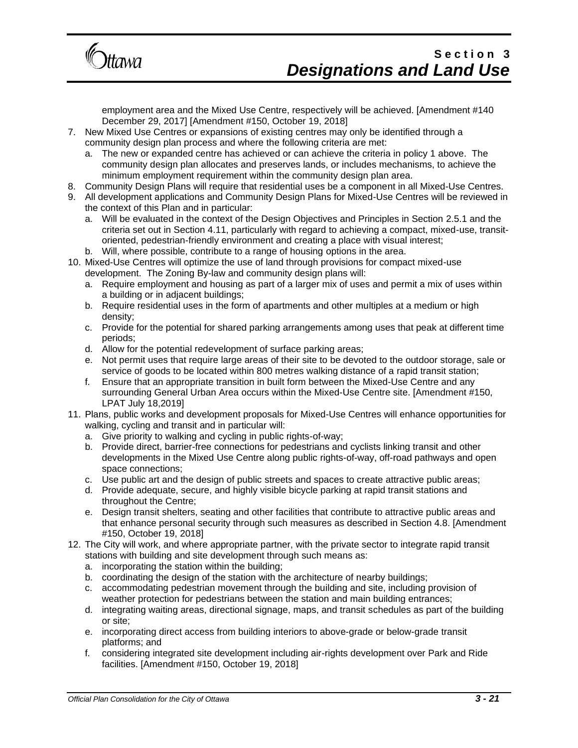

employment area and the Mixed Use Centre, respectively will be achieved. [Amendment #140 December 29, 2017] [Amendment #150, October 19, 2018]

- 7. New Mixed Use Centres or expansions of existing centres may only be identified through a community design plan process and where the following criteria are met:
	- a. The new or expanded centre has achieved or can achieve the criteria in policy 1 above. The community design plan allocates and preserves lands, or includes mechanisms, to achieve the minimum employment requirement within the community design plan area.
- 8. Community Design Plans will require that residential uses be a component in all Mixed-Use Centres.
- 9. All development applications and Community Design Plans for Mixed-Use Centres will be reviewed in the context of this Plan and in particular:
	- a. Will be evaluated in the context of the Design Objectives and Principles in Section 2.5.1 and the criteria set out in Section 4.11, particularly with regard to achieving a compact, mixed-use, transitoriented, pedestrian-friendly environment and creating a place with visual interest;
	- b. Will, where possible, contribute to a range of housing options in the area.
- 10. Mixed-Use Centres will optimize the use of land through provisions for compact mixed-use development. The Zoning By-law and community design plans will:
	- a. Require employment and housing as part of a larger mix of uses and permit a mix of uses within a building or in adjacent buildings;
	- b. Require residential uses in the form of apartments and other multiples at a medium or high density;
	- c. Provide for the potential for shared parking arrangements among uses that peak at different time periods;
	- d. Allow for the potential redevelopment of surface parking areas;
	- e. Not permit uses that require large areas of their site to be devoted to the outdoor storage, sale or service of goods to be located within 800 metres walking distance of a rapid transit station;
	- f. Ensure that an appropriate transition in built form between the Mixed-Use Centre and any surrounding General Urban Area occurs within the Mixed-Use Centre site. [Amendment #150, LPAT July 18,2019]
- 11. Plans, public works and development proposals for Mixed-Use Centres will enhance opportunities for walking, cycling and transit and in particular will:
	- a. Give priority to walking and cycling in public rights-of-way;
	- b. Provide direct, barrier-free connections for pedestrians and cyclists linking transit and other developments in the Mixed Use Centre along public rights-of-way, off-road pathways and open space connections;
	- c. Use public art and the design of public streets and spaces to create attractive public areas;
	- d. Provide adequate, secure, and highly visible bicycle parking at rapid transit stations and throughout the Centre;
	- e. Design transit shelters, seating and other facilities that contribute to attractive public areas and that enhance personal security through such measures as described in Section 4.8. [Amendment #150, October 19, 2018]
- 12. The City will work, and where appropriate partner, with the private sector to integrate rapid transit stations with building and site development through such means as:
	- a. incorporating the station within the building;
	- b. coordinating the design of the station with the architecture of nearby buildings;
	- c. accommodating pedestrian movement through the building and site, including provision of weather protection for pedestrians between the station and main building entrances;
	- d. integrating waiting areas, directional signage, maps, and transit schedules as part of the building or site;
	- e. incorporating direct access from building interiors to above-grade or below-grade transit platforms; and
	- f. considering integrated site development including air-rights development over Park and Ride facilities. [Amendment #150, October 19, 2018]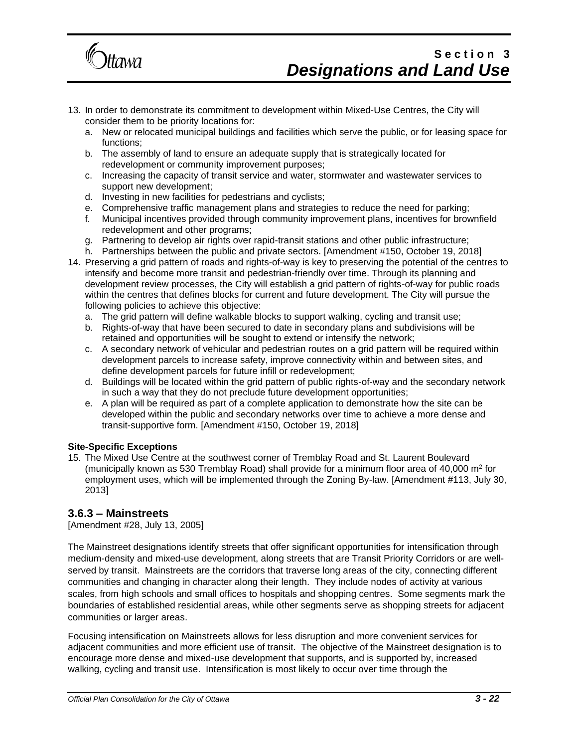

- 13. In order to demonstrate its commitment to development within Mixed-Use Centres, the City will consider them to be priority locations for:
	- a. New or relocated municipal buildings and facilities which serve the public, or for leasing space for functions;
	- b. The assembly of land to ensure an adequate supply that is strategically located for redevelopment or community improvement purposes;
	- c. Increasing the capacity of transit service and water, stormwater and wastewater services to support new development;
	- d. Investing in new facilities for pedestrians and cyclists;
	- e. Comprehensive traffic management plans and strategies to reduce the need for parking;
	- f. Municipal incentives provided through community improvement plans, incentives for brownfield redevelopment and other programs;
	- g. Partnering to develop air rights over rapid-transit stations and other public infrastructure;
	- h. Partnerships between the public and private sectors. [Amendment #150, October 19, 2018]
- 14. Preserving a grid pattern of roads and rights-of-way is key to preserving the potential of the centres to intensify and become more transit and pedestrian-friendly over time. Through its planning and development review processes, the City will establish a grid pattern of rights-of-way for public roads within the centres that defines blocks for current and future development. The City will pursue the following policies to achieve this objective:
	- a. The grid pattern will define walkable blocks to support walking, cycling and transit use;
	- b. Rights-of-way that have been secured to date in secondary plans and subdivisions will be retained and opportunities will be sought to extend or intensify the network;
	- c. A secondary network of vehicular and pedestrian routes on a grid pattern will be required within development parcels to increase safety, improve connectivity within and between sites, and define development parcels for future infill or redevelopment;
	- d. Buildings will be located within the grid pattern of public rights-of-way and the secondary network in such a way that they do not preclude future development opportunities;
	- e. A plan will be required as part of a complete application to demonstrate how the site can be developed within the public and secondary networks over time to achieve a more dense and transit-supportive form. [Amendment #150, October 19, 2018]

#### **Site-Specific Exceptions**

15. The Mixed Use Centre at the southwest corner of Tremblay Road and St. Laurent Boulevard (municipally known as 530 Tremblay Road) shall provide for a minimum floor area of 40,000 m<sup>2</sup> for employment uses, which will be implemented through the Zoning By-law. [Amendment #113, July 30, 2013]

### **3.6.3 – Mainstreets**

[Amendment #28, July 13, 2005]

The Mainstreet designations identify streets that offer significant opportunities for intensification through medium-density and mixed-use development, along streets that are Transit Priority Corridors or are wellserved by transit. Mainstreets are the corridors that traverse long areas of the city, connecting different communities and changing in character along their length. They include nodes of activity at various scales, from high schools and small offices to hospitals and shopping centres. Some segments mark the boundaries of established residential areas, while other segments serve as shopping streets for adjacent communities or larger areas.

Focusing intensification on Mainstreets allows for less disruption and more convenient services for adjacent communities and more efficient use of transit. The objective of the Mainstreet designation is to encourage more dense and mixed-use development that supports, and is supported by, increased walking, cycling and transit use. Intensification is most likely to occur over time through the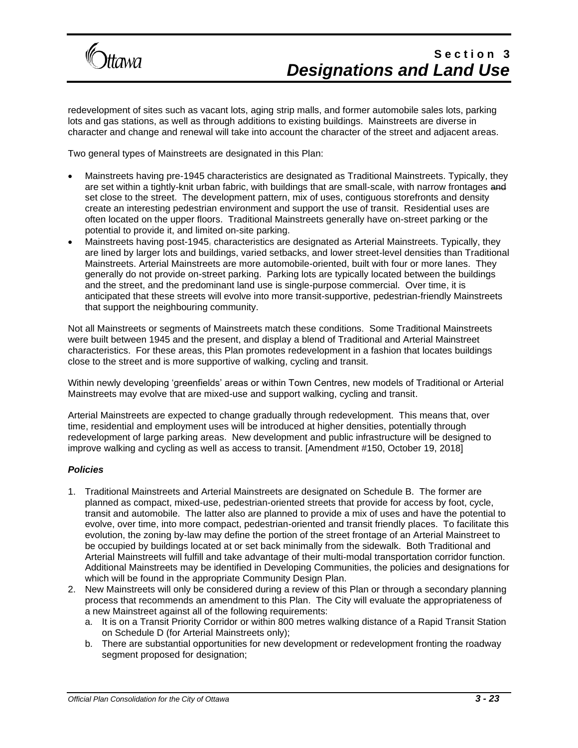

redevelopment of sites such as vacant lots, aging strip malls, and former automobile sales lots, parking lots and gas stations, as well as through additions to existing buildings. Mainstreets are diverse in character and change and renewal will take into account the character of the street and adjacent areas.

Two general types of Mainstreets are designated in this Plan:

- Mainstreets having pre-1945 characteristics are designated as Traditional Mainstreets. Typically, they are set within a tightly-knit urban fabric, with buildings that are small-scale, with narrow frontages and set close to the street. The development pattern, mix of uses, contiguous storefronts and density create an interesting pedestrian environment and support the use of transit. Residential uses are often located on the upper floors. Traditional Mainstreets generally have on-street parking or the potential to provide it, and limited on-site parking.
- Mainstreets having post-1945, characteristics are designated as Arterial Mainstreets. Typically, they are lined by larger lots and buildings, varied setbacks, and lower street-level densities than Traditional Mainstreets. Arterial Mainstreets are more automobile-oriented, built with four or more lanes. They generally do not provide on-street parking. Parking lots are typically located between the buildings and the street, and the predominant land use is single-purpose commercial. Over time, it is anticipated that these streets will evolve into more transit-supportive, pedestrian-friendly Mainstreets that support the neighbouring community.

Not all Mainstreets or segments of Mainstreets match these conditions. Some Traditional Mainstreets were built between 1945 and the present, and display a blend of Traditional and Arterial Mainstreet characteristics. For these areas, this Plan promotes redevelopment in a fashion that locates buildings close to the street and is more supportive of walking, cycling and transit.

Within newly developing 'greenfields' areas or within Town Centres, new models of Traditional or Arterial Mainstreets may evolve that are mixed-use and support walking, cycling and transit.

Arterial Mainstreets are expected to change gradually through redevelopment. This means that, over time, residential and employment uses will be introduced at higher densities, potentially through redevelopment of large parking areas. New development and public infrastructure will be designed to improve walking and cycling as well as access to transit. [Amendment #150, October 19, 2018]

#### *Policies*

- 1. Traditional Mainstreets and Arterial Mainstreets are designated on Schedule B. The former are planned as compact, mixed-use, pedestrian-oriented streets that provide for access by foot, cycle, transit and automobile. The latter also are planned to provide a mix of uses and have the potential to evolve, over time, into more compact, pedestrian-oriented and transit friendly places. To facilitate this evolution, the zoning by-law may define the portion of the street frontage of an Arterial Mainstreet to be occupied by buildings located at or set back minimally from the sidewalk. Both Traditional and Arterial Mainstreets will fulfill and take advantage of their multi-modal transportation corridor function. Additional Mainstreets may be identified in Developing Communities, the policies and designations for which will be found in the appropriate Community Design Plan.
- 2. New Mainstreets will only be considered during a review of this Plan or through a secondary planning process that recommends an amendment to this Plan. The City will evaluate the appropriateness of a new Mainstreet against all of the following requirements:
	- a. It is on a Transit Priority Corridor or within 800 metres walking distance of a Rapid Transit Station on Schedule D (for Arterial Mainstreets only);
	- b. There are substantial opportunities for new development or redevelopment fronting the roadway segment proposed for designation;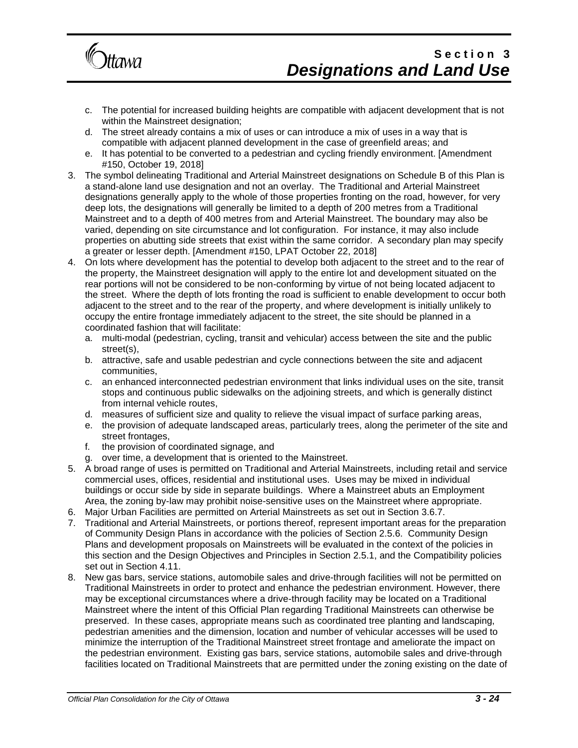

- c. The potential for increased building heights are compatible with adjacent development that is not within the Mainstreet designation;
- d. The street already contains a mix of uses or can introduce a mix of uses in a way that is compatible with adjacent planned development in the case of greenfield areas; and
- e. It has potential to be converted to a pedestrian and cycling friendly environment. [Amendment #150, October 19, 2018]
- 3. The symbol delineating Traditional and Arterial Mainstreet designations on Schedule B of this Plan is a stand-alone land use designation and not an overlay. The Traditional and Arterial Mainstreet designations generally apply to the whole of those properties fronting on the road, however, for very deep lots, the designations will generally be limited to a depth of 200 metres from a Traditional Mainstreet and to a depth of 400 metres from and Arterial Mainstreet. The boundary may also be varied, depending on site circumstance and lot configuration. For instance, it may also include properties on abutting side streets that exist within the same corridor. A secondary plan may specify a greater or lesser depth. [Amendment #150, LPAT October 22, 2018]
- 4. On lots where development has the potential to develop both adjacent to the street and to the rear of the property, the Mainstreet designation will apply to the entire lot and development situated on the rear portions will not be considered to be non-conforming by virtue of not being located adjacent to the street. Where the depth of lots fronting the road is sufficient to enable development to occur both adjacent to the street and to the rear of the property, and where development is initially unlikely to occupy the entire frontage immediately adjacent to the street, the site should be planned in a coordinated fashion that will facilitate:
	- a. multi-modal (pedestrian, cycling, transit and vehicular) access between the site and the public street(s),
	- b. attractive, safe and usable pedestrian and cycle connections between the site and adjacent communities,
	- c. an enhanced interconnected pedestrian environment that links individual uses on the site, transit stops and continuous public sidewalks on the adjoining streets, and which is generally distinct from internal vehicle routes,
	- d. measures of sufficient size and quality to relieve the visual impact of surface parking areas,
	- e. the provision of adequate landscaped areas, particularly trees, along the perimeter of the site and street frontages,
	- f. the provision of coordinated signage, and
	- g. over time, a development that is oriented to the Mainstreet.
- 5. A broad range of uses is permitted on Traditional and Arterial Mainstreets, including retail and service commercial uses, offices, residential and institutional uses. Uses may be mixed in individual buildings or occur side by side in separate buildings. Where a Mainstreet abuts an Employment Area, the zoning by-law may prohibit noise-sensitive uses on the Mainstreet where appropriate.
- 6. Major Urban Facilities are permitted on Arterial Mainstreets as set out in Section 3.6.7.
- 7. Traditional and Arterial Mainstreets, or portions thereof, represent important areas for the preparation of Community Design Plans in accordance with the policies of Section 2.5.6. Community Design Plans and development proposals on Mainstreets will be evaluated in the context of the policies in this section and the Design Objectives and Principles in Section 2.5.1, and the Compatibility policies set out in Section 4.11.
- 8. New gas bars, service stations, automobile sales and drive-through facilities will not be permitted on Traditional Mainstreets in order to protect and enhance the pedestrian environment. However, there may be exceptional circumstances where a drive-through facility may be located on a Traditional Mainstreet where the intent of this Official Plan regarding Traditional Mainstreets can otherwise be preserved. In these cases, appropriate means such as coordinated tree planting and landscaping, pedestrian amenities and the dimension, location and number of vehicular accesses will be used to minimize the interruption of the Traditional Mainstreet street frontage and ameliorate the impact on the pedestrian environment. Existing gas bars, service stations, automobile sales and drive-through facilities located on Traditional Mainstreets that are permitted under the zoning existing on the date of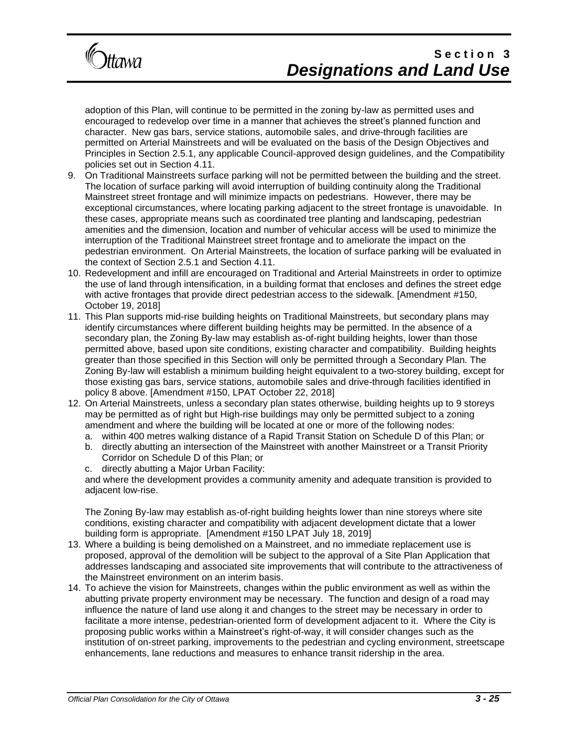

adoption of this Plan, will continue to be permitted in the zoning by-law as permitted uses and encouraged to redevelop over time in a manner that achieves the street's planned function and character. New gas bars, service stations, automobile sales, and drive-through facilities are permitted on Arterial Mainstreets and will be evaluated on the basis of the Design Objectives and Principles in Section 2.5.1, any applicable Council-approved design guidelines, and the Compatibility policies set out in Section 4.11.

- 9. On Traditional Mainstreets surface parking will not be permitted between the building and the street. The location of surface parking will avoid interruption of building continuity along the Traditional Mainstreet street frontage and will minimize impacts on pedestrians. However, there may be exceptional circumstances, where locating parking adjacent to the street frontage is unavoidable. In these cases, appropriate means such as coordinated tree planting and landscaping, pedestrian amenities and the dimension, location and number of vehicular access will be used to minimize the interruption of the Traditional Mainstreet street frontage and to ameliorate the impact on the pedestrian environment. On Arterial Mainstreets, the location of surface parking will be evaluated in the context of Section 2.5.1 and Section 4.11.
- 10. Redevelopment and infill are encouraged on Traditional and Arterial Mainstreets in order to optimize the use of land through intensification, in a building format that encloses and defines the street edge with active frontages that provide direct pedestrian access to the sidewalk. [Amendment #150, October 19, 2018]
- 11. This Plan supports mid-rise building heights on Traditional Mainstreets, but secondary plans may identify circumstances where different building heights may be permitted. In the absence of a secondary plan, the Zoning By-law may establish as-of-right building heights, lower than those permitted above, based upon site conditions, existing character and compatibility. Building heights greater than those specified in this Section will only be permitted through a Secondary Plan. The Zoning By-law will establish a minimum building height equivalent to a two-storey building, except for those existing gas bars, service stations, automobile sales and drive-through facilities identified in policy 8 above. [Amendment #150, LPAT October 22, 2018]
- 12. On Arterial Mainstreets, unless a secondary plan states otherwise, building heights up to 9 storeys may be permitted as of right but High-rise buildings may only be permitted subject to a zoning amendment and where the building will be located at one or more of the following nodes:
	- a. within 400 metres walking distance of a Rapid Transit Station on Schedule D of this Plan; or
	- b. directly abutting an intersection of the Mainstreet with another Mainstreet or a Transit Priority Corridor on Schedule D of this Plan; or
	- c. directly abutting a Major Urban Facility:

and where the development provides a community amenity and adequate transition is provided to adjacent low-rise.

The Zoning By-law may establish as-of-right building heights lower than nine storeys where site conditions, existing character and compatibility with adjacent development dictate that a lower building form is appropriate. [Amendment #150 LPAT July 18, 2019]

- 13. Where a building is being demolished on a Mainstreet, and no immediate replacement use is proposed, approval of the demolition will be subject to the approval of a Site Plan Application that addresses landscaping and associated site improvements that will contribute to the attractiveness of the Mainstreet environment on an interim basis.
- 14. To achieve the vision for Mainstreets, changes within the public environment as well as within the abutting private property environment may be necessary. The function and design of a road may influence the nature of land use along it and changes to the street may be necessary in order to facilitate a more intense, pedestrian-oriented form of development adjacent to it. Where the City is proposing public works within a Mainstreet's right-of-way, it will consider changes such as the institution of on-street parking, improvements to the pedestrian and cycling environment, streetscape enhancements, lane reductions and measures to enhance transit ridership in the area.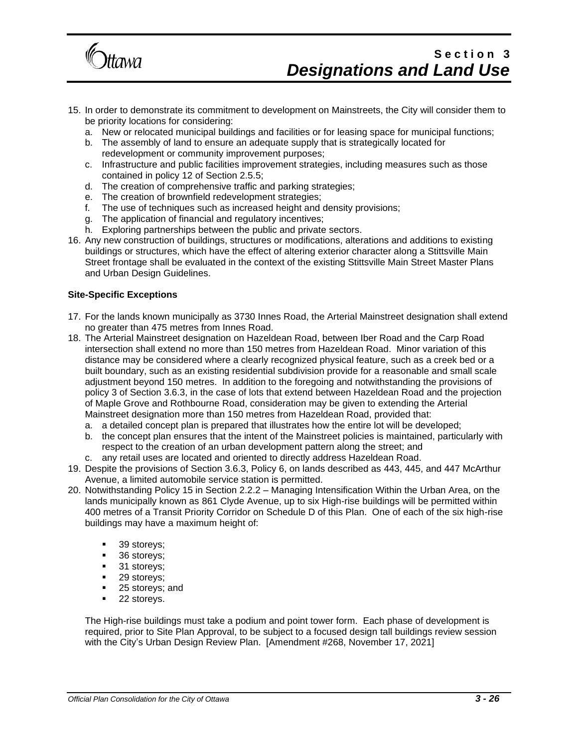

- 15. In order to demonstrate its commitment to development on Mainstreets, the City will consider them to be priority locations for considering:
	- a. New or relocated municipal buildings and facilities or for leasing space for municipal functions;
	- b. The assembly of land to ensure an adequate supply that is strategically located for redevelopment or community improvement purposes;
	- c. Infrastructure and public facilities improvement strategies, including measures such as those contained in policy 12 of Section 2.5.5;
	- d. The creation of comprehensive traffic and parking strategies;
	- e. The creation of brownfield redevelopment strategies;
	- f. The use of techniques such as increased height and density provisions;
	- g. The application of financial and regulatory incentives;
	- h. Exploring partnerships between the public and private sectors.
- 16. Any new construction of buildings, structures or modifications, alterations and additions to existing buildings or structures, which have the effect of altering exterior character along a Stittsville Main Street frontage shall be evaluated in the context of the existing Stittsville Main Street Master Plans and Urban Design Guidelines.

#### **Site-Specific Exceptions**

- 17. For the lands known municipally as 3730 Innes Road, the Arterial Mainstreet designation shall extend no greater than 475 metres from Innes Road.
- 18. The Arterial Mainstreet designation on Hazeldean Road, between Iber Road and the Carp Road intersection shall extend no more than 150 metres from Hazeldean Road. Minor variation of this distance may be considered where a clearly recognized physical feature, such as a creek bed or a built boundary, such as an existing residential subdivision provide for a reasonable and small scale adjustment beyond 150 metres. In addition to the foregoing and notwithstanding the provisions of policy 3 of Section 3.6.3, in the case of lots that extend between Hazeldean Road and the projection of Maple Grove and Rothbourne Road, consideration may be given to extending the Arterial Mainstreet designation more than 150 metres from Hazeldean Road, provided that:
	- a. a detailed concept plan is prepared that illustrates how the entire lot will be developed;
	- b. the concept plan ensures that the intent of the Mainstreet policies is maintained, particularly with respect to the creation of an urban development pattern along the street; and
	- c. any retail uses are located and oriented to directly address Hazeldean Road.
- 19. Despite the provisions of Section 3.6.3, Policy 6, on lands described as 443, 445, and 447 McArthur Avenue, a limited automobile service station is permitted.
- 20. Notwithstanding Policy 15 in Section 2.2.2 Managing Intensification Within the Urban Area, on the lands municipally known as 861 Clyde Avenue, up to six High-rise buildings will be permitted within 400 metres of a Transit Priority Corridor on Schedule D of this Plan. One of each of the six high-rise buildings may have a maximum height of:
	- 39 storeys;
	- 36 storeys;
	- 31 storeys;
	- 29 storeys;
	- 25 storeys; and
	- 22 storeys.

The High-rise buildings must take a podium and point tower form. Each phase of development is required, prior to Site Plan Approval, to be subject to a focused design tall buildings review session with the City's Urban Design Review Plan. [Amendment #268, November 17, 2021]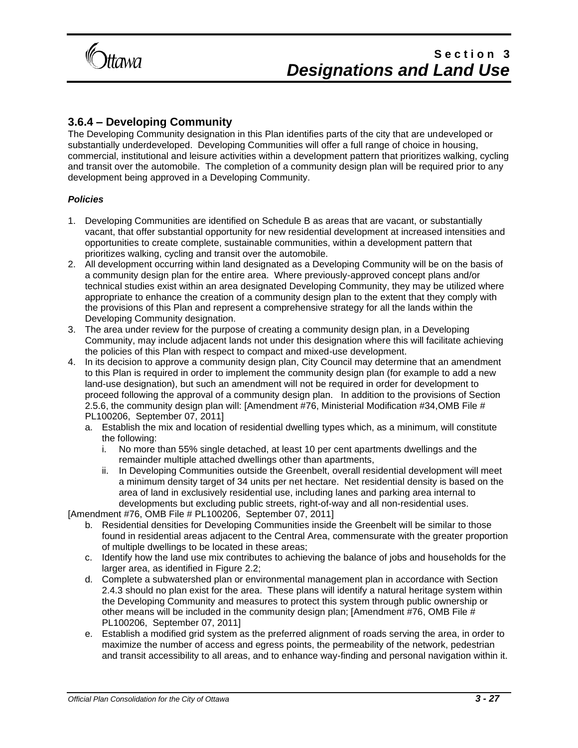

### **3.6.4 – Developing Community**

The Developing Community designation in this Plan identifies parts of the city that are undeveloped or substantially underdeveloped. Developing Communities will offer a full range of choice in housing, commercial, institutional and leisure activities within a development pattern that prioritizes walking, cycling and transit over the automobile. The completion of a community design plan will be required prior to any development being approved in a Developing Community.

#### *Policies*

- 1. Developing Communities are identified on Schedule B as areas that are vacant, or substantially vacant, that offer substantial opportunity for new residential development at increased intensities and opportunities to create complete, sustainable communities, within a development pattern that prioritizes walking, cycling and transit over the automobile.
- 2. All development occurring within land designated as a Developing Community will be on the basis of a community design plan for the entire area. Where previously-approved concept plans and/or technical studies exist within an area designated Developing Community, they may be utilized where appropriate to enhance the creation of a community design plan to the extent that they comply with the provisions of this Plan and represent a comprehensive strategy for all the lands within the Developing Community designation.
- 3. The area under review for the purpose of creating a community design plan, in a Developing Community, may include adjacent lands not under this designation where this will facilitate achieving the policies of this Plan with respect to compact and mixed-use development.
- 4. In its decision to approve a community design plan, City Council may determine that an amendment to this Plan is required in order to implement the community design plan (for example to add a new land-use designation), but such an amendment will not be required in order for development to proceed following the approval of a community design plan. In addition to the provisions of Section 2.5.6, the community design plan will: [Amendment #76, Ministerial Modification #34,OMB File # PL100206, September 07, 2011]
	- a. Establish the mix and location of residential dwelling types which, as a minimum, will constitute the following:
		- i. No more than 55% single detached, at least 10 per cent apartments dwellings and the remainder multiple attached dwellings other than apartments,
		- ii. In Developing Communities outside the Greenbelt, overall residential development will meet a minimum density target of 34 units per net hectare. Net residential density is based on the area of land in exclusively residential use, including lanes and parking area internal to developments but excluding public streets, right-of-way and all non-residential uses.

[Amendment #76, OMB File # PL100206, September 07, 2011]

- b. Residential densities for Developing Communities inside the Greenbelt will be similar to those found in residential areas adjacent to the Central Area, commensurate with the greater proportion of multiple dwellings to be located in these areas;
- c. Identify how the land use mix contributes to achieving the balance of jobs and households for the larger area, as identified in Figure 2.2;
- d. Complete a subwatershed plan or environmental management plan in accordance with Section 2.4.3 should no plan exist for the area. These plans will identify a natural heritage system within the Developing Community and measures to protect this system through public ownership or other means will be included in the community design plan; [Amendment #76, OMB File # PL100206, September 07, 2011]
- e. Establish a modified grid system as the preferred alignment of roads serving the area, in order to maximize the number of access and egress points, the permeability of the network, pedestrian and transit accessibility to all areas, and to enhance way-finding and personal navigation within it.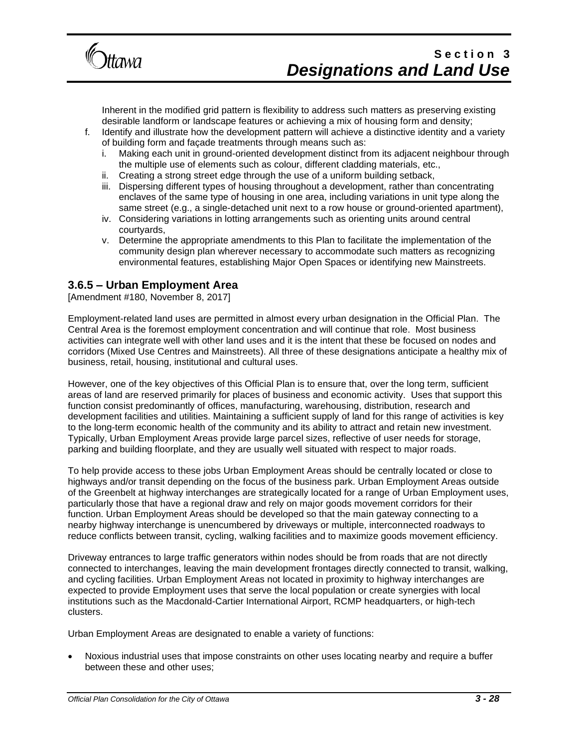

Inherent in the modified grid pattern is flexibility to address such matters as preserving existing desirable landform or landscape features or achieving a mix of housing form and density;

- f. Identify and illustrate how the development pattern will achieve a distinctive identity and a variety of building form and façade treatments through means such as:
	- i. Making each unit in ground-oriented development distinct from its adjacent neighbour through the multiple use of elements such as colour, different cladding materials, etc.,
	- ii. Creating a strong street edge through the use of a uniform building setback,
	- iii. Dispersing different types of housing throughout a development, rather than concentrating enclaves of the same type of housing in one area, including variations in unit type along the same street (e.g., a single-detached unit next to a row house or ground-oriented apartment),
	- iv. Considering variations in lotting arrangements such as orienting units around central courtyards,
	- v. Determine the appropriate amendments to this Plan to facilitate the implementation of the community design plan wherever necessary to accommodate such matters as recognizing environmental features, establishing Major Open Spaces or identifying new Mainstreets.

### **3.6.5 – Urban Employment Area**

[Amendment #180, November 8, 2017]

Employment-related land uses are permitted in almost every urban designation in the Official Plan. The Central Area is the foremost employment concentration and will continue that role. Most business activities can integrate well with other land uses and it is the intent that these be focused on nodes and corridors (Mixed Use Centres and Mainstreets). All three of these designations anticipate a healthy mix of business, retail, housing, institutional and cultural uses.

However, one of the key objectives of this Official Plan is to ensure that, over the long term, sufficient areas of land are reserved primarily for places of business and economic activity. Uses that support this function consist predominantly of offices, manufacturing, warehousing, distribution, research and development facilities and utilities. Maintaining a sufficient supply of land for this range of activities is key to the long-term economic health of the community and its ability to attract and retain new investment. Typically, Urban Employment Areas provide large parcel sizes, reflective of user needs for storage, parking and building floorplate, and they are usually well situated with respect to major roads.

To help provide access to these jobs Urban Employment Areas should be centrally located or close to highways and/or transit depending on the focus of the business park. Urban Employment Areas outside of the Greenbelt at highway interchanges are strategically located for a range of Urban Employment uses, particularly those that have a regional draw and rely on major goods movement corridors for their function. Urban Employment Areas should be developed so that the main gateway connecting to a nearby highway interchange is unencumbered by driveways or multiple, interconnected roadways to reduce conflicts between transit, cycling, walking facilities and to maximize goods movement efficiency.

Driveway entrances to large traffic generators within nodes should be from roads that are not directly connected to interchanges, leaving the main development frontages directly connected to transit, walking, and cycling facilities. Urban Employment Areas not located in proximity to highway interchanges are expected to provide Employment uses that serve the local population or create synergies with local institutions such as the Macdonald-Cartier International Airport, RCMP headquarters, or high-tech clusters.

Urban Employment Areas are designated to enable a variety of functions:

• Noxious industrial uses that impose constraints on other uses locating nearby and require a buffer between these and other uses;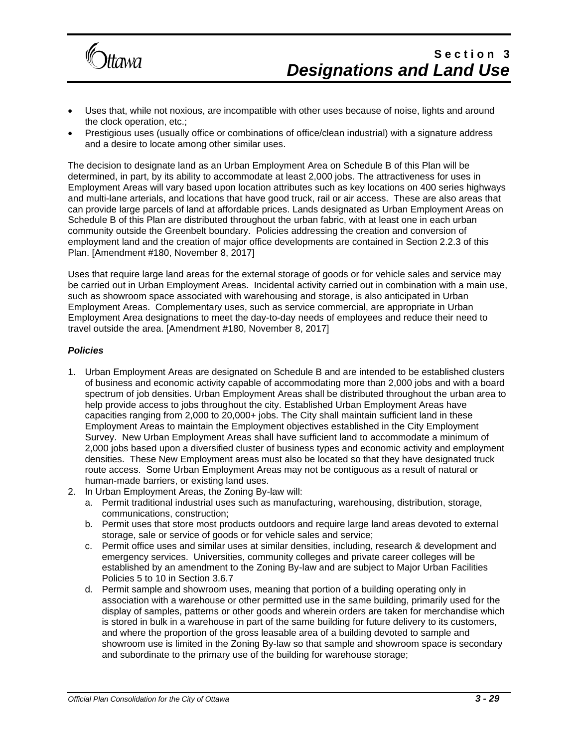

- Uses that, while not noxious, are incompatible with other uses because of noise, lights and around the clock operation, etc.;
- Prestigious uses (usually office or combinations of office/clean industrial) with a signature address and a desire to locate among other similar uses.

The decision to designate land as an Urban Employment Area on Schedule B of this Plan will be determined, in part, by its ability to accommodate at least 2,000 jobs. The attractiveness for uses in Employment Areas will vary based upon location attributes such as key locations on 400 series highways and multi-lane arterials, and locations that have good truck, rail or air access. These are also areas that can provide large parcels of land at affordable prices. Lands designated as Urban Employment Areas on Schedule B of this Plan are distributed throughout the urban fabric, with at least one in each urban community outside the Greenbelt boundary. Policies addressing the creation and conversion of employment land and the creation of major office developments are contained in Section 2.2.3 of this Plan. [Amendment #180, November 8, 2017]

Uses that require large land areas for the external storage of goods or for vehicle sales and service may be carried out in Urban Employment Areas. Incidental activity carried out in combination with a main use, such as showroom space associated with warehousing and storage, is also anticipated in Urban Employment Areas. Complementary uses, such as service commercial, are appropriate in Urban Employment Area designations to meet the day-to-day needs of employees and reduce their need to travel outside the area. [Amendment #180, November 8, 2017]

#### *Policies*

- 1. Urban Employment Areas are designated on Schedule B and are intended to be established clusters of business and economic activity capable of accommodating more than 2,000 jobs and with a board spectrum of job densities. Urban Employment Areas shall be distributed throughout the urban area to help provide access to jobs throughout the city. Established Urban Employment Areas have capacities ranging from 2,000 to 20,000+ jobs. The City shall maintain sufficient land in these Employment Areas to maintain the Employment objectives established in the City Employment Survey. New Urban Employment Areas shall have sufficient land to accommodate a minimum of 2,000 jobs based upon a diversified cluster of business types and economic activity and employment densities. These New Employment areas must also be located so that they have designated truck route access. Some Urban Employment Areas may not be contiguous as a result of natural or human-made barriers, or existing land uses.
- 2. In Urban Employment Areas, the Zoning By-law will:
	- a. Permit traditional industrial uses such as manufacturing, warehousing, distribution, storage, communications, construction;
	- b. Permit uses that store most products outdoors and require large land areas devoted to external storage, sale or service of goods or for vehicle sales and service;
	- c. Permit office uses and similar uses at similar densities, including, research & development and emergency services. Universities, community colleges and private career colleges will be established by an amendment to the Zoning By-law and are subject to Major Urban Facilities Policies 5 to 10 in Section 3.6.7
	- d. Permit sample and showroom uses, meaning that portion of a building operating only in association with a warehouse or other permitted use in the same building, primarily used for the display of samples, patterns or other goods and wherein orders are taken for merchandise which is stored in bulk in a warehouse in part of the same building for future delivery to its customers, and where the proportion of the gross leasable area of a building devoted to sample and showroom use is limited in the Zoning By-law so that sample and showroom space is secondary and subordinate to the primary use of the building for warehouse storage;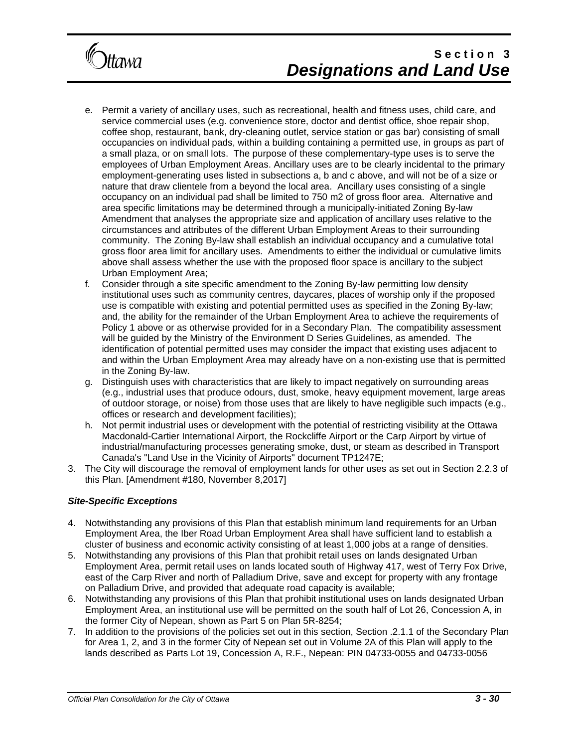

- e. Permit a variety of ancillary uses, such as recreational, health and fitness uses, child care, and service commercial uses (e.g. convenience store, doctor and dentist office, shoe repair shop, coffee shop, restaurant, bank, dry-cleaning outlet, service station or gas bar) consisting of small occupancies on individual pads, within a building containing a permitted use, in groups as part of a small plaza, or on small lots. The purpose of these complementary-type uses is to serve the employees of Urban Employment Areas. Ancillary uses are to be clearly incidental to the primary employment-generating uses listed in subsections a, b and c above, and will not be of a size or nature that draw clientele from a beyond the local area. Ancillary uses consisting of a single occupancy on an individual pad shall be limited to 750 m2 of gross floor area. Alternative and area specific limitations may be determined through a municipally-initiated Zoning By-law Amendment that analyses the appropriate size and application of ancillary uses relative to the circumstances and attributes of the different Urban Employment Areas to their surrounding community. The Zoning By-law shall establish an individual occupancy and a cumulative total gross floor area limit for ancillary uses. Amendments to either the individual or cumulative limits above shall assess whether the use with the proposed floor space is ancillary to the subject Urban Employment Area;
- f. Consider through a site specific amendment to the Zoning By-law permitting low density institutional uses such as community centres, daycares, places of worship only if the proposed use is compatible with existing and potential permitted uses as specified in the Zoning By-law; and, the ability for the remainder of the Urban Employment Area to achieve the requirements of Policy 1 above or as otherwise provided for in a Secondary Plan. The compatibility assessment will be guided by the Ministry of the Environment D Series Guidelines, as amended. The identification of potential permitted uses may consider the impact that existing uses adjacent to and within the Urban Employment Area may already have on a non-existing use that is permitted in the Zoning By-law.
- g. Distinguish uses with characteristics that are likely to impact negatively on surrounding areas (e.g., industrial uses that produce odours, dust, smoke, heavy equipment movement, large areas of outdoor storage, or noise) from those uses that are likely to have negligible such impacts (e.g., offices or research and development facilities);
- h. Not permit industrial uses or development with the potential of restricting visibility at the Ottawa Macdonald-Cartier International Airport, the Rockcliffe Airport or the Carp Airport by virtue of industrial/manufacturing processes generating smoke, dust, or steam as described in Transport Canada's "Land Use in the Vicinity of Airports" document TP1247E;
- 3. The City will discourage the removal of employment lands for other uses as set out in Section 2.2.3 of this Plan. [Amendment #180, November 8,2017]

#### *Site-Specific Exceptions*

- 4. Notwithstanding any provisions of this Plan that establish minimum land requirements for an Urban Employment Area, the Iber Road Urban Employment Area shall have sufficient land to establish a cluster of business and economic activity consisting of at least 1,000 jobs at a range of densities.
- 5. Notwithstanding any provisions of this Plan that prohibit retail uses on lands designated Urban Employment Area, permit retail uses on lands located south of Highway 417, west of Terry Fox Drive, east of the Carp River and north of Palladium Drive, save and except for property with any frontage on Palladium Drive, and provided that adequate road capacity is available;
- 6. Notwithstanding any provisions of this Plan that prohibit institutional uses on lands designated Urban Employment Area, an institutional use will be permitted on the south half of Lot 26, Concession A, in the former City of Nepean, shown as Part 5 on Plan 5R-8254;
- 7. In addition to the provisions of the policies set out in this section, Section .2.1.1 of the Secondary Plan for Area 1, 2, and 3 in the former City of Nepean set out in Volume 2A of this Plan will apply to the lands described as Parts Lot 19, Concession A, R.F., Nepean: PIN 04733-0055 and 04733-0056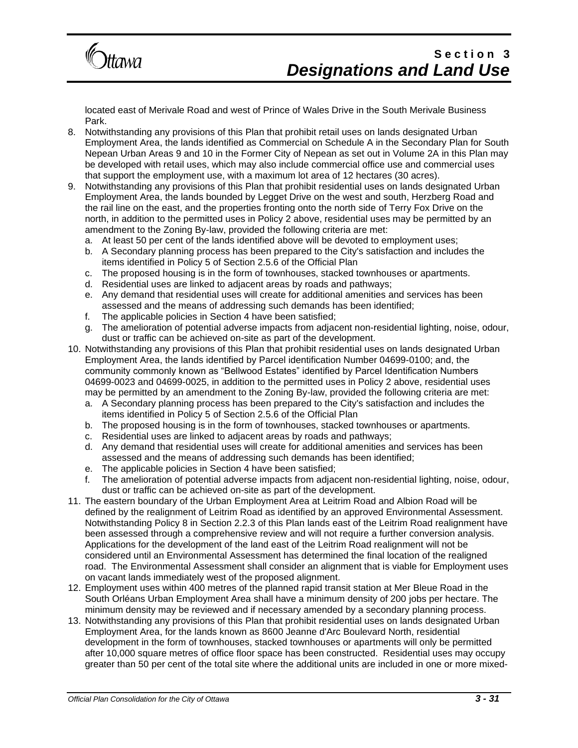

located east of Merivale Road and west of Prince of Wales Drive in the South Merivale Business Park.

- 8. Notwithstanding any provisions of this Plan that prohibit retail uses on lands designated Urban Employment Area, the lands identified as Commercial on Schedule A in the Secondary Plan for South Nepean Urban Areas 9 and 10 in the Former City of Nepean as set out in Volume 2A in this Plan may be developed with retail uses, which may also include commercial office use and commercial uses that support the employment use, with a maximum lot area of 12 hectares (30 acres).
- 9. Notwithstanding any provisions of this Plan that prohibit residential uses on lands designated Urban Employment Area, the lands bounded by Legget Drive on the west and south, Herzberg Road and the rail line on the east, and the properties fronting onto the north side of Terry Fox Drive on the north, in addition to the permitted uses in Policy 2 above, residential uses may be permitted by an amendment to the Zoning By-law, provided the following criteria are met:
	- a. At least 50 per cent of the lands identified above will be devoted to employment uses;
	- b. A Secondary planning process has been prepared to the City's satisfaction and includes the items identified in Policy 5 of Section 2.5.6 of the Official Plan
	- c. The proposed housing is in the form of townhouses, stacked townhouses or apartments.
	- d. Residential uses are linked to adjacent areas by roads and pathways;
	- e. Any demand that residential uses will create for additional amenities and services has been assessed and the means of addressing such demands has been identified;
	- f. The applicable policies in Section 4 have been satisfied;
	- g. The amelioration of potential adverse impacts from adjacent non-residential lighting, noise, odour, dust or traffic can be achieved on-site as part of the development.
- 10. Notwithstanding any provisions of this Plan that prohibit residential uses on lands designated Urban Employment Area, the lands identified by Parcel identification Number 04699-0100; and, the community commonly known as "Bellwood Estates" identified by Parcel Identification Numbers 04699-0023 and 04699-0025, in addition to the permitted uses in Policy 2 above, residential uses may be permitted by an amendment to the Zoning By-law, provided the following criteria are met:
	- a. A Secondary planning process has been prepared to the City's satisfaction and includes the items identified in Policy 5 of Section 2.5.6 of the Official Plan
	- b. The proposed housing is in the form of townhouses, stacked townhouses or apartments.
	- c. Residential uses are linked to adjacent areas by roads and pathways;
	- d. Any demand that residential uses will create for additional amenities and services has been assessed and the means of addressing such demands has been identified;
	- e. The applicable policies in Section 4 have been satisfied;
	- f. The amelioration of potential adverse impacts from adjacent non-residential lighting, noise, odour, dust or traffic can be achieved on-site as part of the development.
- 11. The eastern boundary of the Urban Employment Area at Leitrim Road and Albion Road will be defined by the realignment of Leitrim Road as identified by an approved Environmental Assessment. Notwithstanding Policy 8 in Section 2.2.3 of this Plan lands east of the Leitrim Road realignment have been assessed through a comprehensive review and will not require a further conversion analysis. Applications for the development of the land east of the Leitrim Road realignment will not be considered until an Environmental Assessment has determined the final location of the realigned road. The Environmental Assessment shall consider an alignment that is viable for Employment uses on vacant lands immediately west of the proposed alignment.
- 12. Employment uses within 400 metres of the planned rapid transit station at Mer Bleue Road in the South Orléans Urban Employment Area shall have a minimum density of 200 jobs per hectare. The minimum density may be reviewed and if necessary amended by a secondary planning process.
- 13. Notwithstanding any provisions of this Plan that prohibit residential uses on lands designated Urban Employment Area, for the lands known as 8600 Jeanne d'Arc Boulevard North, residential development in the form of townhouses, stacked townhouses or apartments will only be permitted after 10,000 square metres of office floor space has been constructed. Residential uses may occupy greater than 50 per cent of the total site where the additional units are included in one or more mixed-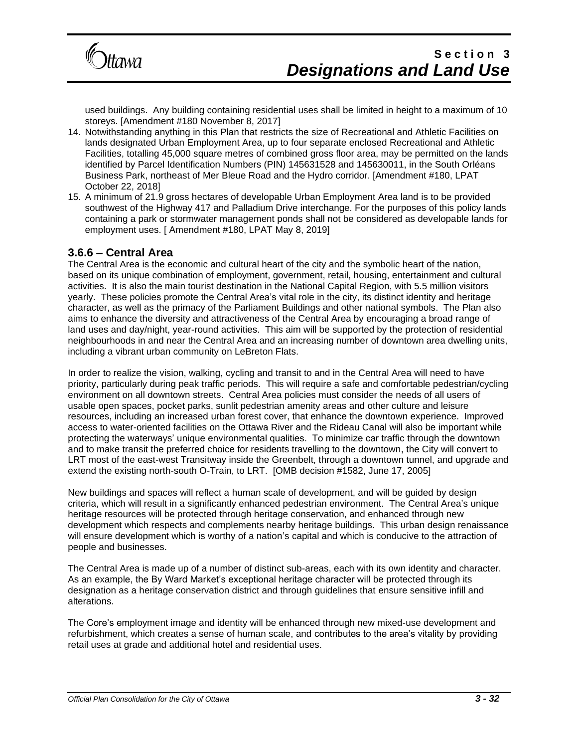

used buildings. Any building containing residential uses shall be limited in height to a maximum of 10 storeys. [Amendment #180 November 8, 2017]

- 14. Notwithstanding anything in this Plan that restricts the size of Recreational and Athletic Facilities on lands designated Urban Employment Area, up to four separate enclosed Recreational and Athletic Facilities, totalling 45,000 square metres of combined gross floor area, may be permitted on the lands identified by Parcel Identification Numbers (PIN) 145631528 and 145630011, in the South Orléans Business Park, northeast of Mer Bleue Road and the Hydro corridor. [Amendment #180, LPAT October 22, 2018]
- 15. A minimum of 21.9 gross hectares of developable Urban Employment Area land is to be provided southwest of the Highway 417 and Palladium Drive interchange. For the purposes of this policy lands containing a park or stormwater management ponds shall not be considered as developable lands for employment uses. [ Amendment #180, LPAT May 8, 2019]

#### **3.6.6 – Central Area**

The Central Area is the economic and cultural heart of the city and the symbolic heart of the nation, based on its unique combination of employment, government, retail, housing, entertainment and cultural activities. It is also the main tourist destination in the National Capital Region, with 5.5 million visitors yearly. These policies promote the Central Area's vital role in the city, its distinct identity and heritage character, as well as the primacy of the Parliament Buildings and other national symbols. The Plan also aims to enhance the diversity and attractiveness of the Central Area by encouraging a broad range of land uses and day/night, year-round activities. This aim will be supported by the protection of residential neighbourhoods in and near the Central Area and an increasing number of downtown area dwelling units, including a vibrant urban community on LeBreton Flats.

In order to realize the vision, walking, cycling and transit to and in the Central Area will need to have priority, particularly during peak traffic periods. This will require a safe and comfortable pedestrian/cycling environment on all downtown streets. Central Area policies must consider the needs of all users of usable open spaces, pocket parks, sunlit pedestrian amenity areas and other culture and leisure resources, including an increased urban forest cover, that enhance the downtown experience. Improved access to water-oriented facilities on the Ottawa River and the Rideau Canal will also be important while protecting the waterways' unique environmental qualities. To minimize car traffic through the downtown and to make transit the preferred choice for residents travelling to the downtown, the City will convert to LRT most of the east-west Transitway inside the Greenbelt, through a downtown tunnel, and upgrade and extend the existing north-south O-Train, to LRT. [OMB decision #1582, June 17, 2005]

New buildings and spaces will reflect a human scale of development, and will be guided by design criteria, which will result in a significantly enhanced pedestrian environment. The Central Area's unique heritage resources will be protected through heritage conservation, and enhanced through new development which respects and complements nearby heritage buildings. This urban design renaissance will ensure development which is worthy of a nation's capital and which is conducive to the attraction of people and businesses.

The Central Area is made up of a number of distinct sub-areas, each with its own identity and character. As an example, the By Ward Market's exceptional heritage character will be protected through its designation as a heritage conservation district and through guidelines that ensure sensitive infill and alterations.

The Core's employment image and identity will be enhanced through new mixed-use development and refurbishment, which creates a sense of human scale, and contributes to the area's vitality by providing retail uses at grade and additional hotel and residential uses.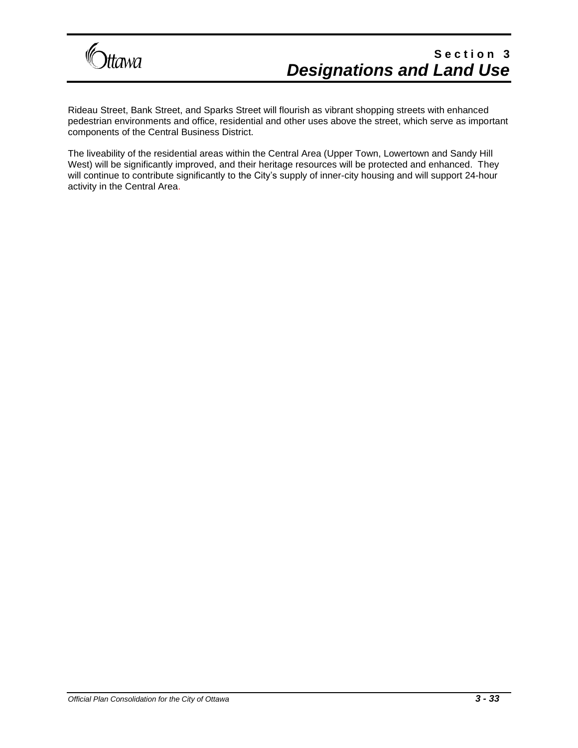

Rideau Street, Bank Street, and Sparks Street will flourish as vibrant shopping streets with enhanced pedestrian environments and office, residential and other uses above the street, which serve as important components of the Central Business District.

The liveability of the residential areas within the Central Area (Upper Town, Lowertown and Sandy Hill West) will be significantly improved, and their heritage resources will be protected and enhanced. They will continue to contribute significantly to the City's supply of inner-city housing and will support 24-hour activity in the Central Area.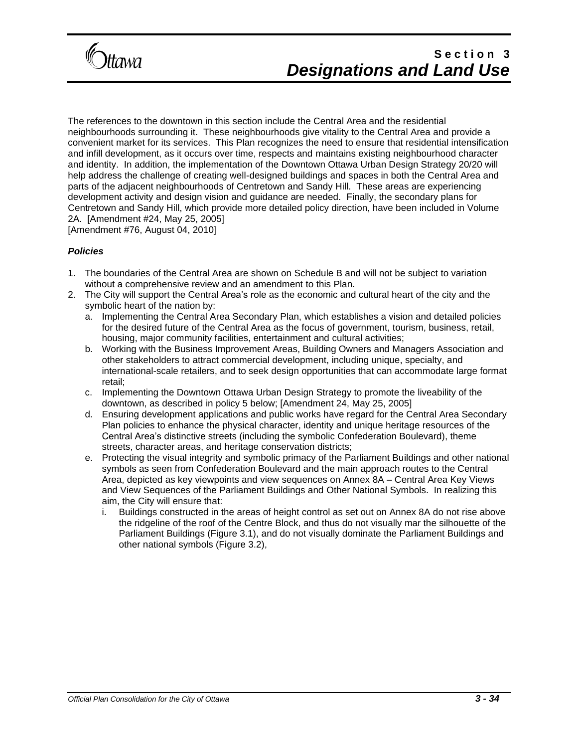

The references to the downtown in this section include the Central Area and the residential neighbourhoods surrounding it. These neighbourhoods give vitality to the Central Area and provide a convenient market for its services. This Plan recognizes the need to ensure that residential intensification and infill development, as it occurs over time, respects and maintains existing neighbourhood character and identity. In addition, the implementation of the Downtown Ottawa Urban Design Strategy 20/20 will help address the challenge of creating well-designed buildings and spaces in both the Central Area and parts of the adjacent neighbourhoods of Centretown and Sandy Hill. These areas are experiencing development activity and design vision and guidance are needed. Finally, the secondary plans for Centretown and Sandy Hill, which provide more detailed policy direction, have been included in Volume 2A. [Amendment #24, May 25, 2005]

[Amendment #76, August 04, 2010]

#### *Policies*

- 1. The boundaries of the Central Area are shown on Schedule B and will not be subject to variation without a comprehensive review and an amendment to this Plan.
- 2. The City will support the Central Area's role as the economic and cultural heart of the city and the symbolic heart of the nation by:
	- a. Implementing the Central Area Secondary Plan, which establishes a vision and detailed policies for the desired future of the Central Area as the focus of government, tourism, business, retail, housing, major community facilities, entertainment and cultural activities;
	- b. Working with the Business Improvement Areas, Building Owners and Managers Association and other stakeholders to attract commercial development, including unique, specialty, and international-scale retailers, and to seek design opportunities that can accommodate large format retail;
	- c. Implementing the Downtown Ottawa Urban Design Strategy to promote the liveability of the downtown, as described in policy 5 below; [Amendment 24, May 25, 2005]
	- d. Ensuring development applications and public works have regard for the Central Area Secondary Plan policies to enhance the physical character, identity and unique heritage resources of the Central Area's distinctive streets (including the symbolic Confederation Boulevard), theme streets, character areas, and heritage conservation districts;
	- e. Protecting the visual integrity and symbolic primacy of the Parliament Buildings and other national symbols as seen from Confederation Boulevard and the main approach routes to the Central Area, depicted as key viewpoints and view sequences on Annex 8A – Central Area Key Views and View Sequences of the Parliament Buildings and Other National Symbols. In realizing this aim, the City will ensure that:
		- i. Buildings constructed in the areas of height control as set out on Annex 8A do not rise above the ridgeline of the roof of the Centre Block, and thus do not visually mar the silhouette of the Parliament Buildings (Figure 3.1), and do not visually dominate the Parliament Buildings and other national symbols (Figure 3.2),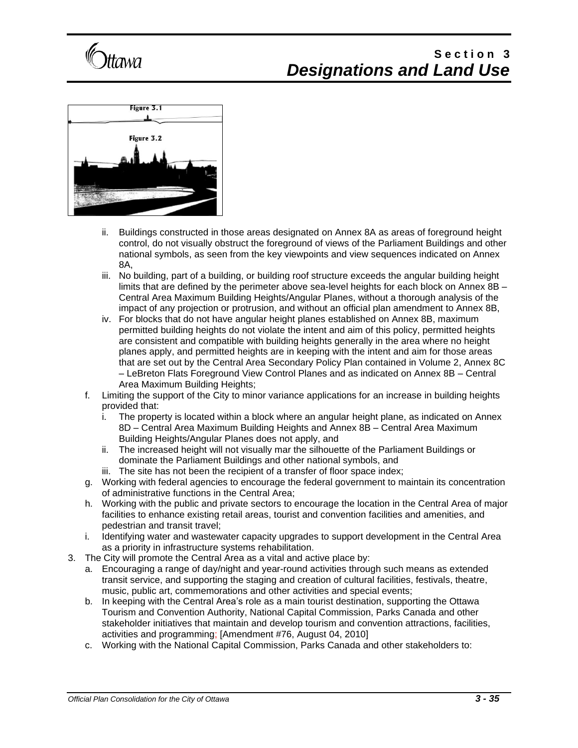



- ii. Buildings constructed in those areas designated on Annex 8A as areas of foreground height control, do not visually obstruct the foreground of views of the Parliament Buildings and other national symbols, as seen from the key viewpoints and view sequences indicated on Annex 8A,
- iii. No building, part of a building, or building roof structure exceeds the angular building height limits that are defined by the perimeter above sea-level heights for each block on Annex 8B – Central Area Maximum Building Heights/Angular Planes, without a thorough analysis of the impact of any projection or protrusion, and without an official plan amendment to Annex 8B,
- iv. For blocks that do not have angular height planes established on Annex 8B, maximum permitted building heights do not violate the intent and aim of this policy, permitted heights are consistent and compatible with building heights generally in the area where no height planes apply, and permitted heights are in keeping with the intent and aim for those areas that are set out by the Central Area Secondary Policy Plan contained in Volume 2, Annex 8C – LeBreton Flats Foreground View Control Planes and as indicated on Annex 8B – Central Area Maximum Building Heights;
- f. Limiting the support of the City to minor variance applications for an increase in building heights provided that:
	- i. The property is located within a block where an angular height plane, as indicated on Annex 8D – Central Area Maximum Building Heights and Annex 8B – Central Area Maximum Building Heights/Angular Planes does not apply, and
	- ii. The increased height will not visually mar the silhouette of the Parliament Buildings or dominate the Parliament Buildings and other national symbols, and
	- iii. The site has not been the recipient of a transfer of floor space index;
- g. Working with federal agencies to encourage the federal government to maintain its concentration of administrative functions in the Central Area;
- h. Working with the public and private sectors to encourage the location in the Central Area of major facilities to enhance existing retail areas, tourist and convention facilities and amenities, and pedestrian and transit travel;
- i. Identifying water and wastewater capacity upgrades to support development in the Central Area as a priority in infrastructure systems rehabilitation.
- 3. The City will promote the Central Area as a vital and active place by:
	- a. Encouraging a range of day/night and year-round activities through such means as extended transit service, and supporting the staging and creation of cultural facilities, festivals, theatre, music, public art, commemorations and other activities and special events;
	- b. In keeping with the Central Area's role as a main tourist destination, supporting the Ottawa Tourism and Convention Authority, National Capital Commission, Parks Canada and other stakeholder initiatives that maintain and develop tourism and convention attractions, facilities, activities and programming; [Amendment #76, August 04, 2010]
	- c. Working with the National Capital Commission, Parks Canada and other stakeholders to: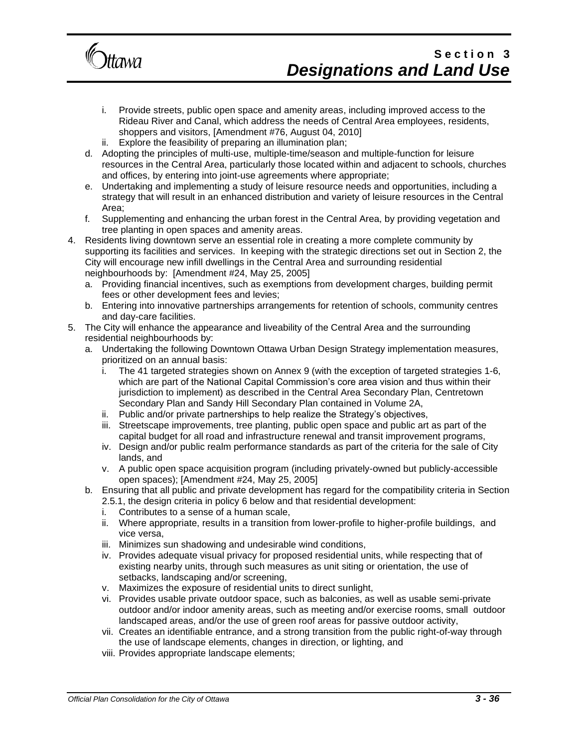

- i. Provide streets, public open space and amenity areas, including improved access to the Rideau River and Canal, which address the needs of Central Area employees, residents, shoppers and visitors, [Amendment #76, August 04, 2010]
- ii. Explore the feasibility of preparing an illumination plan;
- d. Adopting the principles of multi-use, multiple-time/season and multiple-function for leisure resources in the Central Area, particularly those located within and adjacent to schools, churches and offices, by entering into joint-use agreements where appropriate;
- e. Undertaking and implementing a study of leisure resource needs and opportunities, including a strategy that will result in an enhanced distribution and variety of leisure resources in the Central Area;
- f. Supplementing and enhancing the urban forest in the Central Area, by providing vegetation and tree planting in open spaces and amenity areas.
- 4. Residents living downtown serve an essential role in creating a more complete community by supporting its facilities and services. In keeping with the strategic directions set out in Section 2, the City will encourage new infill dwellings in the Central Area and surrounding residential neighbourhoods by: [Amendment #24, May 25, 2005]
	- a. Providing financial incentives, such as exemptions from development charges, building permit fees or other development fees and levies;
	- b. Entering into innovative partnerships arrangements for retention of schools, community centres and day-care facilities.
- 5. The City will enhance the appearance and liveability of the Central Area and the surrounding residential neighbourhoods by:
	- a. Undertaking the following Downtown Ottawa Urban Design Strategy implementation measures, prioritized on an annual basis:
		- i. The 41 targeted strategies shown on Annex 9 (with the exception of targeted strategies 1-6, which are part of the National Capital Commission's core area vision and thus within their jurisdiction to implement) as described in the Central Area Secondary Plan, Centretown Secondary Plan and Sandy Hill Secondary Plan contained in Volume 2A,
		- ii. Public and/or private partnerships to help realize the Strategy's objectives,
		- iii. Streetscape improvements, tree planting, public open space and public art as part of the capital budget for all road and infrastructure renewal and transit improvement programs,
		- iv. Design and/or public realm performance standards as part of the criteria for the sale of City lands, and
		- v. A public open space acquisition program (including privately-owned but publicly-accessible open spaces); [Amendment #24, May 25, 2005]
	- b. Ensuring that all public and private development has regard for the compatibility criteria in Section 2.5.1, the design criteria in policy 6 below and that residential development:
		- i. Contributes to a sense of a human scale,
		- ii. Where appropriate, results in a transition from lower-profile to higher-profile buildings, and vice versa,
		- iii. Minimizes sun shadowing and undesirable wind conditions,
		- iv. Provides adequate visual privacy for proposed residential units, while respecting that of existing nearby units, through such measures as unit siting or orientation, the use of setbacks, landscaping and/or screening,
		- v. Maximizes the exposure of residential units to direct sunlight,
		- vi. Provides usable private outdoor space, such as balconies, as well as usable semi-private outdoor and/or indoor amenity areas, such as meeting and/or exercise rooms, small outdoor landscaped areas, and/or the use of green roof areas for passive outdoor activity,
		- vii. Creates an identifiable entrance, and a strong transition from the public right-of-way through the use of landscape elements, changes in direction, or lighting, and
		- viii. Provides appropriate landscape elements;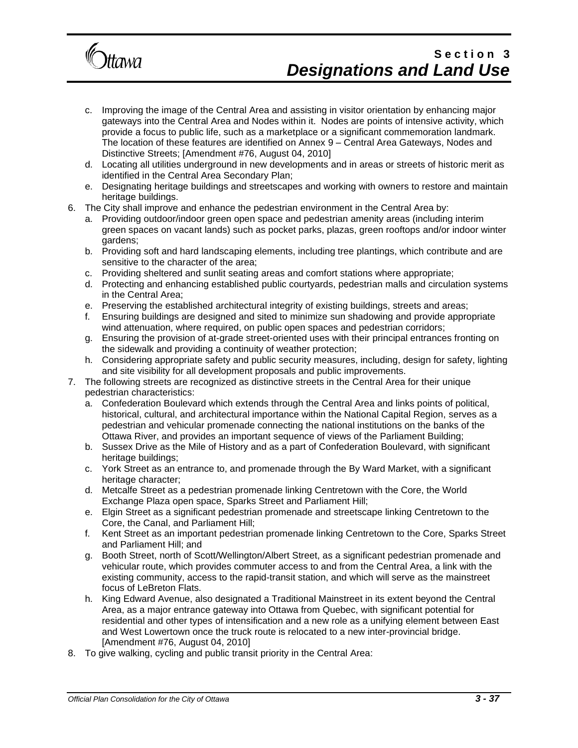

- c. Improving the image of the Central Area and assisting in visitor orientation by enhancing major gateways into the Central Area and Nodes within it. Nodes are points of intensive activity, which provide a focus to public life, such as a marketplace or a significant commemoration landmark. The location of these features are identified on Annex 9 – Central Area Gateways, Nodes and Distinctive Streets; [Amendment #76, August 04, 2010]
- d. Locating all utilities underground in new developments and in areas or streets of historic merit as identified in the Central Area Secondary Plan;
- e. Designating heritage buildings and streetscapes and working with owners to restore and maintain heritage buildings.
- 6. The City shall improve and enhance the pedestrian environment in the Central Area by:
	- a. Providing outdoor/indoor green open space and pedestrian amenity areas (including interim green spaces on vacant lands) such as pocket parks, plazas, green rooftops and/or indoor winter gardens;
	- b. Providing soft and hard landscaping elements, including tree plantings, which contribute and are sensitive to the character of the area;
	- c. Providing sheltered and sunlit seating areas and comfort stations where appropriate;
	- d. Protecting and enhancing established public courtyards, pedestrian malls and circulation systems in the Central Area;
	- e. Preserving the established architectural integrity of existing buildings, streets and areas;
	- f. Ensuring buildings are designed and sited to minimize sun shadowing and provide appropriate wind attenuation, where required, on public open spaces and pedestrian corridors;
	- g. Ensuring the provision of at-grade street-oriented uses with their principal entrances fronting on the sidewalk and providing a continuity of weather protection;
	- h. Considering appropriate safety and public security measures, including, design for safety, lighting and site visibility for all development proposals and public improvements.
- 7. The following streets are recognized as distinctive streets in the Central Area for their unique pedestrian characteristics:
	- a. Confederation Boulevard which extends through the Central Area and links points of political, historical, cultural, and architectural importance within the National Capital Region, serves as a pedestrian and vehicular promenade connecting the national institutions on the banks of the Ottawa River, and provides an important sequence of views of the Parliament Building;
	- b. Sussex Drive as the Mile of History and as a part of Confederation Boulevard, with significant heritage buildings;
	- c. York Street as an entrance to, and promenade through the By Ward Market, with a significant heritage character;
	- d. Metcalfe Street as a pedestrian promenade linking Centretown with the Core, the World Exchange Plaza open space, Sparks Street and Parliament Hill;
	- e. Elgin Street as a significant pedestrian promenade and streetscape linking Centretown to the Core, the Canal, and Parliament Hill;
	- f. Kent Street as an important pedestrian promenade linking Centretown to the Core, Sparks Street and Parliament Hill; and
	- g. Booth Street, north of Scott/Wellington/Albert Street, as a significant pedestrian promenade and vehicular route, which provides commuter access to and from the Central Area, a link with the existing community, access to the rapid-transit station, and which will serve as the mainstreet focus of LeBreton Flats.
	- h. King Edward Avenue, also designated a Traditional Mainstreet in its extent beyond the Central Area, as a major entrance gateway into Ottawa from Quebec, with significant potential for residential and other types of intensification and a new role as a unifying element between East and West Lowertown once the truck route is relocated to a new inter-provincial bridge. [Amendment #76, August 04, 2010]
- 8. To give walking, cycling and public transit priority in the Central Area: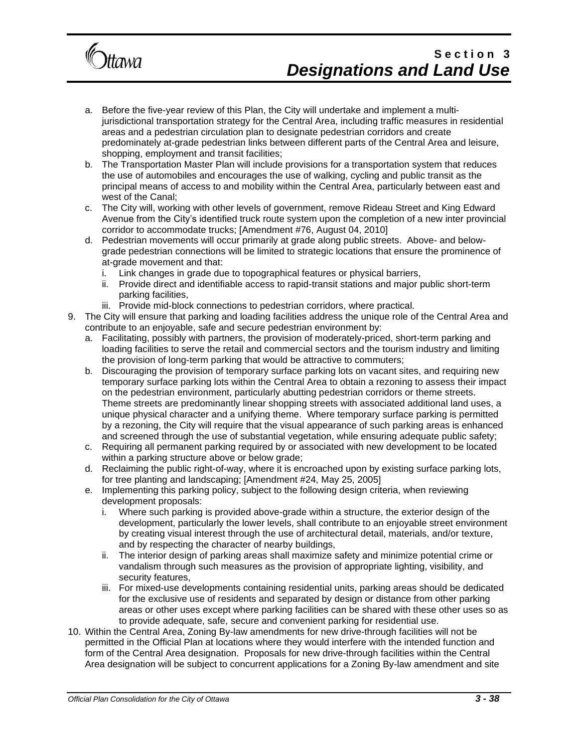

- a. Before the five-year review of this Plan, the City will undertake and implement a multijurisdictional transportation strategy for the Central Area, including traffic measures in residential areas and a pedestrian circulation plan to designate pedestrian corridors and create predominately at-grade pedestrian links between different parts of the Central Area and leisure, shopping, employment and transit facilities;
- b. The Transportation Master Plan will include provisions for a transportation system that reduces the use of automobiles and encourages the use of walking, cycling and public transit as the principal means of access to and mobility within the Central Area, particularly between east and west of the Canal;
- c. The City will, working with other levels of government, remove Rideau Street and King Edward Avenue from the City's identified truck route system upon the completion of a new inter provincial corridor to accommodate trucks; [Amendment #76, August 04, 2010]
- d. Pedestrian movements will occur primarily at grade along public streets. Above- and belowgrade pedestrian connections will be limited to strategic locations that ensure the prominence of at-grade movement and that:
	- i. Link changes in grade due to topographical features or physical barriers,
	- ii. Provide direct and identifiable access to rapid-transit stations and major public short-term parking facilities,
	- iii. Provide mid-block connections to pedestrian corridors, where practical.
- 9. The City will ensure that parking and loading facilities address the unique role of the Central Area and contribute to an enjoyable, safe and secure pedestrian environment by:
	- a. Facilitating, possibly with partners, the provision of moderately-priced, short-term parking and loading facilities to serve the retail and commercial sectors and the tourism industry and limiting the provision of long-term parking that would be attractive to commuters;
	- b. Discouraging the provision of temporary surface parking lots on vacant sites, and requiring new temporary surface parking lots within the Central Area to obtain a rezoning to assess their impact on the pedestrian environment, particularly abutting pedestrian corridors or theme streets. Theme streets are predominantly linear shopping streets with associated additional land uses, a unique physical character and a unifying theme. Where temporary surface parking is permitted by a rezoning, the City will require that the visual appearance of such parking areas is enhanced and screened through the use of substantial vegetation, while ensuring adequate public safety;
	- c. Requiring all permanent parking required by or associated with new development to be located within a parking structure above or below grade;
	- d. Reclaiming the public right-of-way, where it is encroached upon by existing surface parking lots, for tree planting and landscaping; [Amendment #24, May 25, 2005]
	- e. Implementing this parking policy, subject to the following design criteria, when reviewing development proposals:
		- i. Where such parking is provided above-grade within a structure, the exterior design of the development, particularly the lower levels, shall contribute to an enjoyable street environment by creating visual interest through the use of architectural detail, materials, and/or texture, and by respecting the character of nearby buildings,
		- ii. The interior design of parking areas shall maximize safety and minimize potential crime or vandalism through such measures as the provision of appropriate lighting, visibility, and security features,
		- iii. For mixed-use developments containing residential units, parking areas should be dedicated for the exclusive use of residents and separated by design or distance from other parking areas or other uses except where parking facilities can be shared with these other uses so as to provide adequate, safe, secure and convenient parking for residential use.
- 10. Within the Central Area, Zoning By-law amendments for new drive-through facilities will not be permitted in the Official Plan at locations where they would interfere with the intended function and form of the Central Area designation. Proposals for new drive-through facilities within the Central Area designation will be subject to concurrent applications for a Zoning By-law amendment and site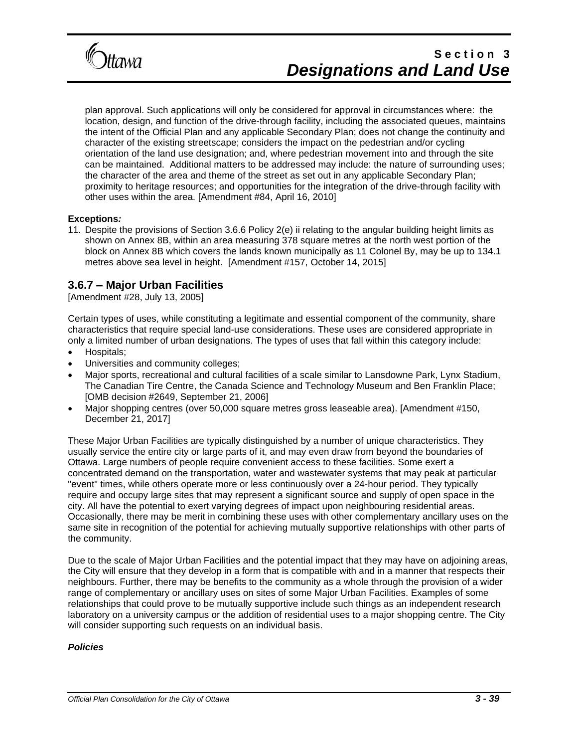

plan approval. Such applications will only be considered for approval in circumstances where: the location, design, and function of the drive-through facility, including the associated queues, maintains the intent of the Official Plan and any applicable Secondary Plan; does not change the continuity and character of the existing streetscape; considers the impact on the pedestrian and/or cycling orientation of the land use designation; and, where pedestrian movement into and through the site can be maintained. Additional matters to be addressed may include: the nature of surrounding uses; the character of the area and theme of the street as set out in any applicable Secondary Plan; proximity to heritage resources; and opportunities for the integration of the drive-through facility with other uses within the area. [Amendment #84, April 16, 2010]

#### **Exceptions***:*

11. Despite the provisions of Section 3.6.6 Policy 2(e) ii relating to the angular building height limits as shown on Annex 8B, within an area measuring 378 square metres at the north west portion of the block on Annex 8B which covers the lands known municipally as 11 Colonel By, may be up to 134.1 metres above sea level in height. [Amendment #157, October 14, 2015]

### **3.6.7 – Major Urban Facilities**

[Amendment #28, July 13, 2005]

Certain types of uses, while constituting a legitimate and essential component of the community, share characteristics that require special land-use considerations. These uses are considered appropriate in only a limited number of urban designations. The types of uses that fall within this category include:

- Hospitals;
- Universities and community colleges;
- Major sports, recreational and cultural facilities of a scale similar to Lansdowne Park, Lynx Stadium, The Canadian Tire Centre, the Canada Science and Technology Museum and Ben Franklin Place; [OMB decision #2649, September 21, 2006]
- Major shopping centres (over 50,000 square metres gross leaseable area). [Amendment #150, December 21, 2017]

These Major Urban Facilities are typically distinguished by a number of unique characteristics. They usually service the entire city or large parts of it, and may even draw from beyond the boundaries of Ottawa. Large numbers of people require convenient access to these facilities. Some exert a concentrated demand on the transportation, water and wastewater systems that may peak at particular "event" times, while others operate more or less continuously over a 24-hour period. They typically require and occupy large sites that may represent a significant source and supply of open space in the city. All have the potential to exert varying degrees of impact upon neighbouring residential areas. Occasionally, there may be merit in combining these uses with other complementary ancillary uses on the same site in recognition of the potential for achieving mutually supportive relationships with other parts of the community.

Due to the scale of Major Urban Facilities and the potential impact that they may have on adjoining areas, the City will ensure that they develop in a form that is compatible with and in a manner that respects their neighbours. Further, there may be benefits to the community as a whole through the provision of a wider range of complementary or ancillary uses on sites of some Major Urban Facilities. Examples of some relationships that could prove to be mutually supportive include such things as an independent research laboratory on a university campus or the addition of residential uses to a major shopping centre. The City will consider supporting such requests on an individual basis.

#### *Policies*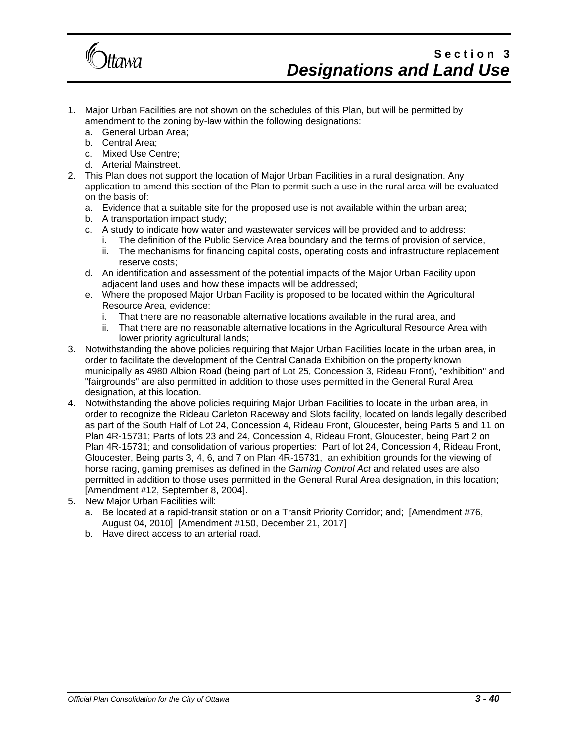

- 1. Major Urban Facilities are not shown on the schedules of this Plan, but will be permitted by amendment to the zoning by-law within the following designations:
	- a. General Urban Area;
	- b. Central Area;
	- c. Mixed Use Centre;
	- d. Arterial Mainstreet.
- 2. This Plan does not support the location of Major Urban Facilities in a rural designation. Any application to amend this section of the Plan to permit such a use in the rural area will be evaluated on the basis of:
	- a. Evidence that a suitable site for the proposed use is not available within the urban area;
	- b. A transportation impact study;
	- c. A study to indicate how water and wastewater services will be provided and to address:
		- i. The definition of the Public Service Area boundary and the terms of provision of service,
		- ii. The mechanisms for financing capital costs, operating costs and infrastructure replacement reserve costs;
	- d. An identification and assessment of the potential impacts of the Major Urban Facility upon adjacent land uses and how these impacts will be addressed;
	- e. Where the proposed Major Urban Facility is proposed to be located within the Agricultural Resource Area, evidence:
		- i. That there are no reasonable alternative locations available in the rural area, and
		- ii. That there are no reasonable alternative locations in the Agricultural Resource Area with lower priority agricultural lands;
- 3. Notwithstanding the above policies requiring that Major Urban Facilities locate in the urban area, in order to facilitate the development of the Central Canada Exhibition on the property known municipally as 4980 Albion Road (being part of Lot 25, Concession 3, Rideau Front), "exhibition" and "fairgrounds" are also permitted in addition to those uses permitted in the General Rural Area designation, at this location.
- 4. Notwithstanding the above policies requiring Major Urban Facilities to locate in the urban area, in order to recognize the Rideau Carleton Raceway and Slots facility, located on lands legally described as part of the South Half of Lot 24, Concession 4, Rideau Front, Gloucester, being Parts 5 and 11 on Plan 4R-15731; Parts of lots 23 and 24, Concession 4, Rideau Front, Gloucester, being Part 2 on Plan 4R-15731; and consolidation of various properties: Part of lot 24, Concession 4, Rideau Front, Gloucester, Being parts 3, 4, 6, and 7 on Plan 4R-15731, an exhibition grounds for the viewing of horse racing, gaming premises as defined in the *Gaming Control Act* and related uses are also permitted in addition to those uses permitted in the General Rural Area designation, in this location; [Amendment #12, September 8, 2004].
- 5. New Major Urban Facilities will:
	- a. Be located at a rapid-transit station or on a Transit Priority Corridor; and; [Amendment #76, August 04, 2010] [Amendment #150, December 21, 2017]
	- b. Have direct access to an arterial road.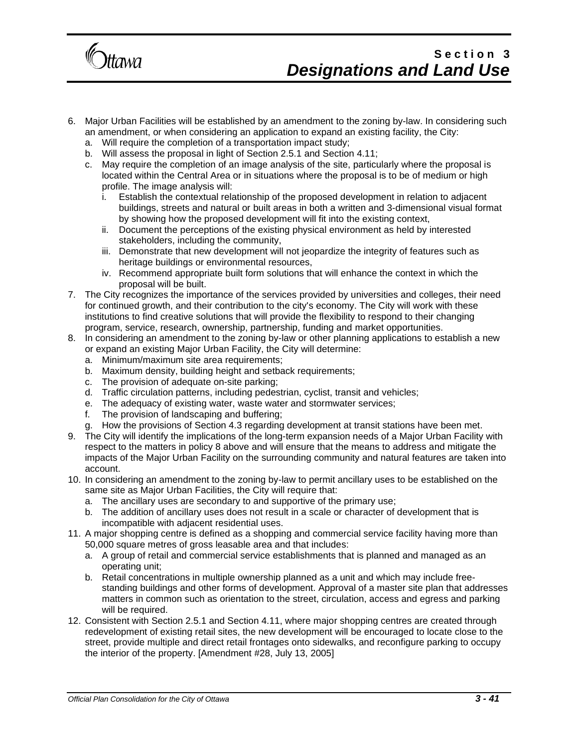

- 6. Major Urban Facilities will be established by an amendment to the zoning by-law. In considering such an amendment, or when considering an application to expand an existing facility, the City:
	- a. Will require the completion of a transportation impact study;
	- b. Will assess the proposal in light of Section 2.5.1 and Section 4.11;
	- c. May require the completion of an image analysis of the site, particularly where the proposal is located within the Central Area or in situations where the proposal is to be of medium or high profile. The image analysis will:
		- i. Establish the contextual relationship of the proposed development in relation to adjacent buildings, streets and natural or built areas in both a written and 3-dimensional visual format by showing how the proposed development will fit into the existing context,
		- ii. Document the perceptions of the existing physical environment as held by interested stakeholders, including the community,
		- iii. Demonstrate that new development will not jeopardize the integrity of features such as heritage buildings or environmental resources,
		- iv. Recommend appropriate built form solutions that will enhance the context in which the proposal will be built.
- 7. The City recognizes the importance of the services provided by universities and colleges, their need for continued growth, and their contribution to the city's economy. The City will work with these institutions to find creative solutions that will provide the flexibility to respond to their changing program, service, research, ownership, partnership, funding and market opportunities.
- 8. In considering an amendment to the zoning by-law or other planning applications to establish a new or expand an existing Major Urban Facility, the City will determine:
	- a. Minimum/maximum site area requirements;
	- b. Maximum density, building height and setback requirements;
	- c. The provision of adequate on-site parking;
	- d. Traffic circulation patterns, including pedestrian, cyclist, transit and vehicles;
	- e. The adequacy of existing water, waste water and stormwater services;
	- f. The provision of landscaping and buffering;
	- g. How the provisions of Section 4.3 regarding development at transit stations have been met.
- 9. The City will identify the implications of the long-term expansion needs of a Major Urban Facility with respect to the matters in policy 8 above and will ensure that the means to address and mitigate the impacts of the Major Urban Facility on the surrounding community and natural features are taken into account.
- 10. In considering an amendment to the zoning by-law to permit ancillary uses to be established on the same site as Major Urban Facilities, the City will require that:
	- a. The ancillary uses are secondary to and supportive of the primary use;
	- b. The addition of ancillary uses does not result in a scale or character of development that is incompatible with adjacent residential uses.
- 11. A major shopping centre is defined as a shopping and commercial service facility having more than 50,000 square metres of gross leasable area and that includes:
	- a. A group of retail and commercial service establishments that is planned and managed as an operating unit;
	- b. Retail concentrations in multiple ownership planned as a unit and which may include freestanding buildings and other forms of development. Approval of a master site plan that addresses matters in common such as orientation to the street, circulation, access and egress and parking will be required.
- 12. Consistent with Section 2.5.1 and Section 4.11, where major shopping centres are created through redevelopment of existing retail sites, the new development will be encouraged to locate close to the street, provide multiple and direct retail frontages onto sidewalks, and reconfigure parking to occupy the interior of the property. [Amendment #28, July 13, 2005]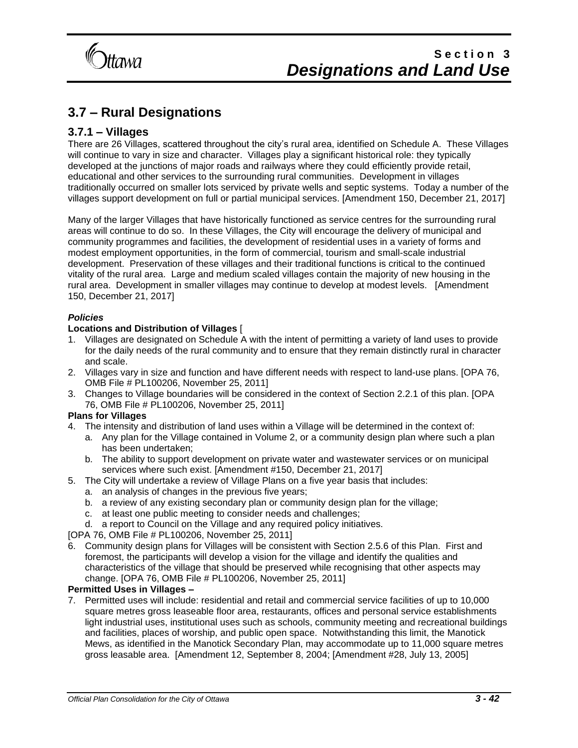

### **3.7 – Rural Designations**

### **3.7.1 – Villages**

There are 26 Villages, scattered throughout the city's rural area, identified on Schedule A. These Villages will continue to vary in size and character. Villages play a significant historical role: they typically developed at the junctions of major roads and railways where they could efficiently provide retail, educational and other services to the surrounding rural communities. Development in villages traditionally occurred on smaller lots serviced by private wells and septic systems. Today a number of the villages support development on full or partial municipal services. [Amendment 150, December 21, 2017]

Many of the larger Villages that have historically functioned as service centres for the surrounding rural areas will continue to do so. In these Villages, the City will encourage the delivery of municipal and community programmes and facilities, the development of residential uses in a variety of forms and modest employment opportunities, in the form of commercial, tourism and small-scale industrial development. Preservation of these villages and their traditional functions is critical to the continued vitality of the rural area. Large and medium scaled villages contain the majority of new housing in the rural area. Development in smaller villages may continue to develop at modest levels. [Amendment 150, December 21, 2017]

#### *Policies*

#### **Locations and Distribution of Villages** [

- 1. Villages are designated on Schedule A with the intent of permitting a variety of land uses to provide for the daily needs of the rural community and to ensure that they remain distinctly rural in character and scale.
- 2. Villages vary in size and function and have different needs with respect to land-use plans. [OPA 76, OMB File # PL100206, November 25, 2011]
- 3. Changes to Village boundaries will be considered in the context of Section 2.2.1 of this plan. [OPA 76, OMB File # PL100206, November 25, 2011]

#### **Plans for Villages**

- 4. The intensity and distribution of land uses within a Village will be determined in the context of:
	- a. Any plan for the Village contained in Volume 2, or a community design plan where such a plan has been undertaken;
	- b. The ability to support development on private water and wastewater services or on municipal services where such exist. [Amendment #150, December 21, 2017]
- 5. The City will undertake a review of Village Plans on a five year basis that includes:
	- a. an analysis of changes in the previous five years;
	- b. a review of any existing secondary plan or community design plan for the village;
	- c. at least one public meeting to consider needs and challenges;
	- d. a report to Council on the Village and any required policy initiatives.

[OPA 76, OMB File # PL100206, November 25, 2011]

6. Community design plans for Villages will be consistent with Section 2.5.6 of this Plan. First and foremost, the participants will develop a vision for the village and identify the qualities and characteristics of the village that should be preserved while recognising that other aspects may change. [OPA 76, OMB File # PL100206, November 25, 2011]

#### **Permitted Uses in Villages –**

7. Permitted uses will include: residential and retail and commercial service facilities of up to 10,000 square metres gross leaseable floor area, restaurants, offices and personal service establishments light industrial uses, institutional uses such as schools, community meeting and recreational buildings and facilities, places of worship, and public open space. Notwithstanding this limit, the Manotick Mews, as identified in the Manotick Secondary Plan, may accommodate up to 11,000 square metres gross leasable area. [Amendment 12, September 8, 2004; [Amendment #28, July 13, 2005]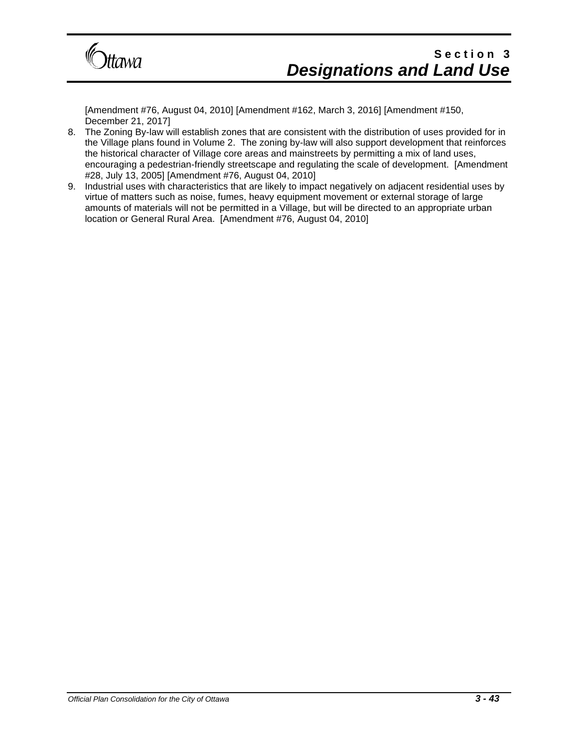

[Amendment #76, August 04, 2010] [Amendment #162, March 3, 2016] [Amendment #150, December 21, 2017]

- 8. The Zoning By-law will establish zones that are consistent with the distribution of uses provided for in the Village plans found in Volume 2. The zoning by-law will also support development that reinforces the historical character of Village core areas and mainstreets by permitting a mix of land uses, encouraging a pedestrian-friendly streetscape and regulating the scale of development. [Amendment #28, July 13, 2005] [Amendment #76, August 04, 2010]
- 9. Industrial uses with characteristics that are likely to impact negatively on adjacent residential uses by virtue of matters such as noise, fumes, heavy equipment movement or external storage of large amounts of materials will not be permitted in a Village, but will be directed to an appropriate urban location or General Rural Area. [Amendment #76, August 04, 2010]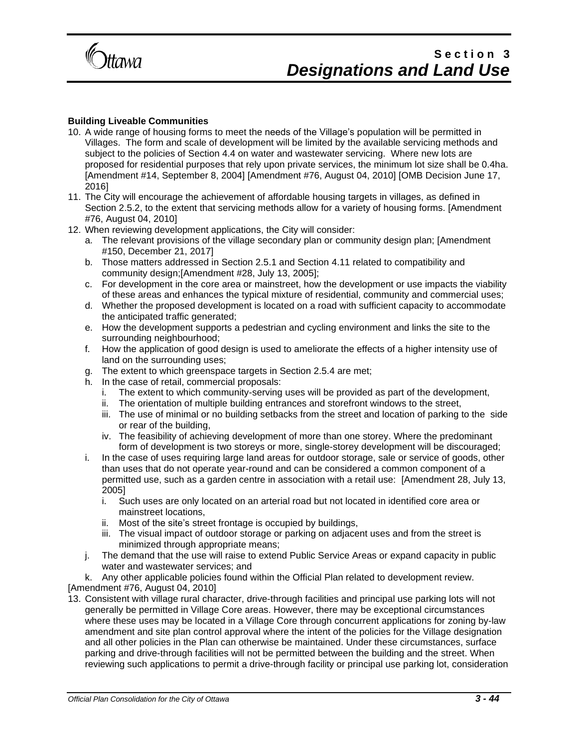

#### **Building Liveable Communities**

- 10. A wide range of housing forms to meet the needs of the Village's population will be permitted in Villages. The form and scale of development will be limited by the available servicing methods and subject to the policies of Section 4.4 on water and wastewater servicing. Where new lots are proposed for residential purposes that rely upon private services, the minimum lot size shall be 0.4ha. [Amendment #14, September 8, 2004] [Amendment #76, August 04, 2010] [OMB Decision June 17, 2016]
- 11. The City will encourage the achievement of affordable housing targets in villages, as defined in Section 2.5.2, to the extent that servicing methods allow for a variety of housing forms. [Amendment #76, August 04, 2010]
- 12. When reviewing development applications, the City will consider:
	- a. The relevant provisions of the village secondary plan or community design plan; [Amendment #150, December 21, 2017]
	- b. Those matters addressed in Section 2.5.1 and Section 4.11 related to compatibility and community design;[Amendment #28, July 13, 2005];
	- c. For development in the core area or mainstreet, how the development or use impacts the viability of these areas and enhances the typical mixture of residential, community and commercial uses;
	- d. Whether the proposed development is located on a road with sufficient capacity to accommodate the anticipated traffic generated;
	- e. How the development supports a pedestrian and cycling environment and links the site to the surrounding neighbourhood;
	- f. How the application of good design is used to ameliorate the effects of a higher intensity use of land on the surrounding uses;
	- g. The extent to which greenspace targets in Section 2.5.4 are met;
	- h. In the case of retail, commercial proposals:
		- i. The extent to which community-serving uses will be provided as part of the development,
		- ii. The orientation of multiple building entrances and storefront windows to the street,
		- iii. The use of minimal or no building setbacks from the street and location of parking to the side or rear of the building,
		- iv. The feasibility of achieving development of more than one storey. Where the predominant form of development is two storeys or more, single-storey development will be discouraged;
	- i. In the case of uses requiring large land areas for outdoor storage, sale or service of goods, other than uses that do not operate year-round and can be considered a common component of a permitted use, such as a garden centre in association with a retail use: [Amendment 28, July 13, 2005]
		- i. Such uses are only located on an arterial road but not located in identified core area or mainstreet locations,
		- ii. Most of the site's street frontage is occupied by buildings,
		- iii. The visual impact of outdoor storage or parking on adjacent uses and from the street is minimized through appropriate means;
	- j. The demand that the use will raise to extend Public Service Areas or expand capacity in public water and wastewater services; and
- k. Any other applicable policies found within the Official Plan related to development review.

[Amendment #76, August 04, 2010]

13. Consistent with village rural character, drive-through facilities and principal use parking lots will not generally be permitted in Village Core areas. However, there may be exceptional circumstances where these uses may be located in a Village Core through concurrent applications for zoning by-law amendment and site plan control approval where the intent of the policies for the Village designation and all other policies in the Plan can otherwise be maintained. Under these circumstances, surface parking and drive-through facilities will not be permitted between the building and the street. When reviewing such applications to permit a drive-through facility or principal use parking lot, consideration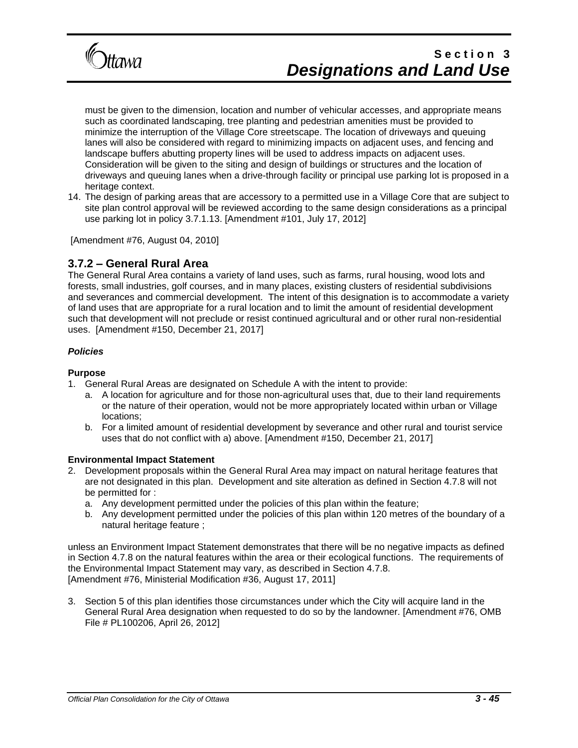

must be given to the dimension, location and number of vehicular accesses, and appropriate means such as coordinated landscaping, tree planting and pedestrian amenities must be provided to minimize the interruption of the Village Core streetscape. The location of driveways and queuing lanes will also be considered with regard to minimizing impacts on adjacent uses, and fencing and landscape buffers abutting property lines will be used to address impacts on adjacent uses. Consideration will be given to the siting and design of buildings or structures and the location of driveways and queuing lanes when a drive-through facility or principal use parking lot is proposed in a heritage context.

14. The design of parking areas that are accessory to a permitted use in a Village Core that are subject to site plan control approval will be reviewed according to the same design considerations as a principal use parking lot in policy 3.7.1.13. [Amendment #101, July 17, 2012]

[Amendment #76, August 04, 2010]

#### **3.7.2 – General Rural Area**

The General Rural Area contains a variety of land uses, such as farms, rural housing, wood lots and forests, small industries, golf courses, and in many places, existing clusters of residential subdivisions and severances and commercial development. The intent of this designation is to accommodate a variety of land uses that are appropriate for a rural location and to limit the amount of residential development such that development will not preclude or resist continued agricultural and or other rural non-residential uses. [Amendment #150, December 21, 2017]

#### *Policies*

#### **Purpose**

- 1. General Rural Areas are designated on Schedule A with the intent to provide:
	- a. A location for agriculture and for those non-agricultural uses that, due to their land requirements or the nature of their operation, would not be more appropriately located within urban or Village locations;
	- b. For a limited amount of residential development by severance and other rural and tourist service uses that do not conflict with a) above. [Amendment #150, December 21, 2017]

#### **Environmental Impact Statement**

- 2. Development proposals within the General Rural Area may impact on natural heritage features that are not designated in this plan. Development and site alteration as defined in Section 4.7.8 will not be permitted for :
	- a. Any development permitted under the policies of this plan within the feature;
	- b. Any development permitted under the policies of this plan within 120 metres of the boundary of a natural heritage feature ;

unless an Environment Impact Statement demonstrates that there will be no negative impacts as defined in Section 4.7.8 on the natural features within the area or their ecological functions. The requirements of the Environmental Impact Statement may vary, as described in Section 4.7.8. [Amendment #76, Ministerial Modification #36, August 17, 2011]

3. Section 5 of this plan identifies those circumstances under which the City will acquire land in the General Rural Area designation when requested to do so by the landowner. [Amendment #76, OMB File # PL100206, April 26, 2012]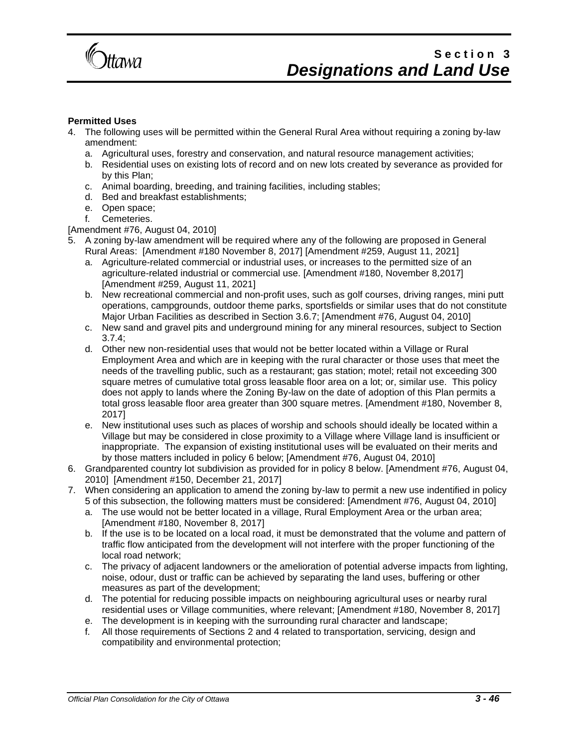

#### **Permitted Uses**

- 4. The following uses will be permitted within the General Rural Area without requiring a zoning by-law amendment:
	- a. Agricultural uses, forestry and conservation, and natural resource management activities;
	- b. Residential uses on existing lots of record and on new lots created by severance as provided for by this Plan;
	- c. Animal boarding, breeding, and training facilities, including stables;
	- d. Bed and breakfast establishments;
	- e. Open space;
	- f. Cemeteries.

#### [Amendment #76, August 04, 2010]

- 5. A zoning by-law amendment will be required where any of the following are proposed in General Rural Areas: [Amendment #180 November 8, 2017] [Amendment #259, August 11, 2021]
	- a. Agriculture-related commercial or industrial uses, or increases to the permitted size of an agriculture-related industrial or commercial use. [Amendment #180, November 8,2017] [Amendment #259, August 11, 2021]
	- b. New recreational commercial and non-profit uses, such as golf courses, driving ranges, mini putt operations, campgrounds, outdoor theme parks, sportsfields or similar uses that do not constitute Major Urban Facilities as described in Section 3.6.7; [Amendment #76, August 04, 2010]
	- c. New sand and gravel pits and underground mining for any mineral resources, subject to Section 3.7.4;
	- d. Other new non-residential uses that would not be better located within a Village or Rural Employment Area and which are in keeping with the rural character or those uses that meet the needs of the travelling public, such as a restaurant; gas station; motel; retail not exceeding 300 square metres of cumulative total gross leasable floor area on a lot; or, similar use. This policy does not apply to lands where the Zoning By-law on the date of adoption of this Plan permits a total gross leasable floor area greater than 300 square metres. [Amendment #180, November 8, 2017]
	- e. New institutional uses such as places of worship and schools should ideally be located within a Village but may be considered in close proximity to a Village where Village land is insufficient or inappropriate. The expansion of existing institutional uses will be evaluated on their merits and by those matters included in policy 6 below; [Amendment #76, August 04, 2010]
- 6. Grandparented country lot subdivision as provided for in policy 8 below. [Amendment #76, August 04, 2010] [Amendment #150, December 21, 2017]
- 7. When considering an application to amend the zoning by-law to permit a new use indentified in policy 5 of this subsection, the following matters must be considered: [Amendment #76, August 04, 2010]
	- a. The use would not be better located in a village, Rural Employment Area or the urban area; [Amendment #180, November 8, 2017]
	- b. If the use is to be located on a local road, it must be demonstrated that the volume and pattern of traffic flow anticipated from the development will not interfere with the proper functioning of the local road network;
	- c. The privacy of adjacent landowners or the amelioration of potential adverse impacts from lighting, noise, odour, dust or traffic can be achieved by separating the land uses, buffering or other measures as part of the development;
	- d. The potential for reducing possible impacts on neighbouring agricultural uses or nearby rural residential uses or Village communities, where relevant; [Amendment #180, November 8, 2017]
	- e. The development is in keeping with the surrounding rural character and landscape;
	- f. All those requirements of Sections 2 and 4 related to transportation, servicing, design and compatibility and environmental protection;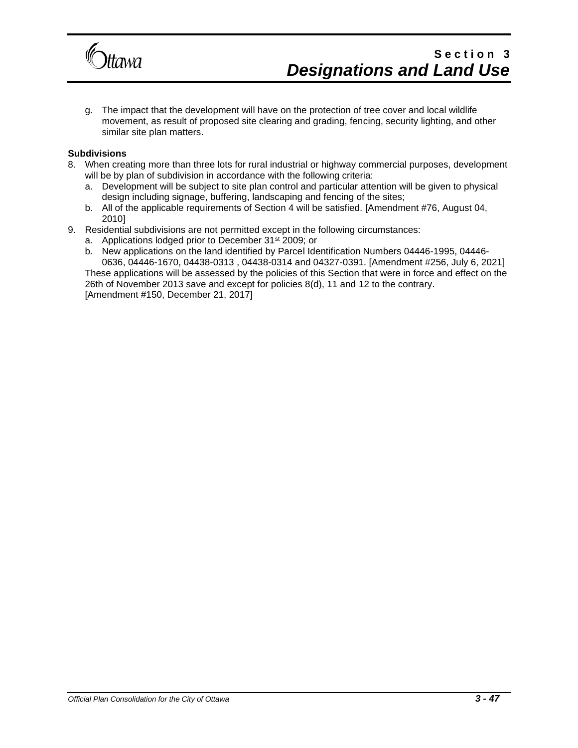

g. The impact that the development will have on the protection of tree cover and local wildlife movement, as result of proposed site clearing and grading, fencing, security lighting, and other similar site plan matters.

#### **Subdivisions**

- 8. When creating more than three lots for rural industrial or highway commercial purposes, development will be by plan of subdivision in accordance with the following criteria:
	- a. Development will be subject to site plan control and particular attention will be given to physical design including signage, buffering, landscaping and fencing of the sites;
	- b. All of the applicable requirements of Section 4 will be satisfied. [Amendment #76, August 04, 2010]
- 9. Residential subdivisions are not permitted except in the following circumstances:
	- a. Applications lodged prior to December 31<sup>st</sup> 2009; or
	- b. New applications on the land identified by Parcel Identification Numbers 04446-1995, 04446- 0636, 04446-1670, 04438-0313 , 04438-0314 and 04327-0391. [Amendment #256, July 6, 2021] These applications will be assessed by the policies of this Section that were in force and effect on the

26th of November 2013 save and except for policies 8(d), 11 and 12 to the contrary. [Amendment #150, December 21, 2017]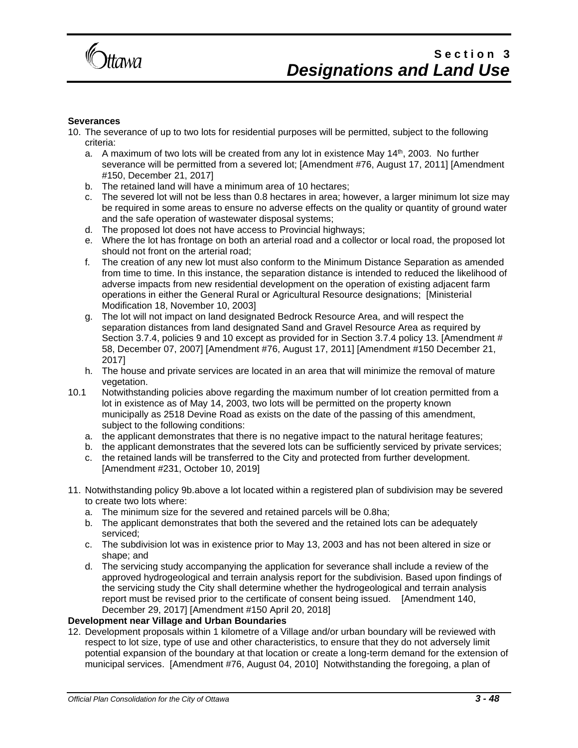

#### **Severances**

- 10. The severance of up to two lots for residential purposes will be permitted, subject to the following criteria:
	- a. A maximum of two lots will be created from any lot in existence May  $14<sup>th</sup>$ , 2003. No further severance will be permitted from a severed lot; [Amendment #76, August 17, 2011] [Amendment #150, December 21, 2017]
	- b. The retained land will have a minimum area of 10 hectares;
	- c. The severed lot will not be less than 0.8 hectares in area; however, a larger minimum lot size may be required in some areas to ensure no adverse effects on the quality or quantity of ground water and the safe operation of wastewater disposal systems;
	- d. The proposed lot does not have access to Provincial highways;
	- e. Where the lot has frontage on both an arterial road and a collector or local road, the proposed lot should not front on the arterial road;
	- f. The creation of any new lot must also conform to the Minimum Distance Separation as amended from time to time. In this instance, the separation distance is intended to reduced the likelihood of adverse impacts from new residential development on the operation of existing adjacent farm operations in either the General Rural or Agricultural Resource designations; [Ministerial Modification 18, November 10, 2003]
	- g. The lot will not impact on land designated Bedrock Resource Area, and will respect the separation distances from land designated Sand and Gravel Resource Area as required by Section 3.7.4, policies 9 and 10 except as provided for in Section 3.7.4 policy 13. [Amendment # 58, December 07, 2007] [Amendment #76, August 17, 2011] [Amendment #150 December 21, 2017]
	- h. The house and private services are located in an area that will minimize the removal of mature vegetation.
- 10.1 Notwithstanding policies above regarding the maximum number of lot creation permitted from a lot in existence as of May 14, 2003, two lots will be permitted on the property known municipally as 2518 Devine Road as exists on the date of the passing of this amendment, subject to the following conditions:
	- a. the applicant demonstrates that there is no negative impact to the natural heritage features;
	- b. the applicant demonstrates that the severed lots can be sufficiently serviced by private services;
	- c. the retained lands will be transferred to the City and protected from further development. [Amendment #231, October 10, 2019]
- 11. Notwithstanding policy 9b.above a lot located within a registered plan of subdivision may be severed to create two lots where:
	- a. The minimum size for the severed and retained parcels will be 0.8ha;
	- b. The applicant demonstrates that both the severed and the retained lots can be adequately serviced;
	- c. The subdivision lot was in existence prior to May 13, 2003 and has not been altered in size or shape; and
	- d. The servicing study accompanying the application for severance shall include a review of the approved hydrogeological and terrain analysis report for the subdivision. Based upon findings of the servicing study the City shall determine whether the hydrogeological and terrain analysis report must be revised prior to the certificate of consent being issued. [Amendment 140, December 29, 2017] [Amendment #150 April 20, 2018]

#### **Development near Village and Urban Boundaries**

12. Development proposals within 1 kilometre of a Village and/or urban boundary will be reviewed with respect to lot size, type of use and other characteristics, to ensure that they do not adversely limit potential expansion of the boundary at that location or create a long-term demand for the extension of municipal services. [Amendment #76, August 04, 2010] Notwithstanding the foregoing, a plan of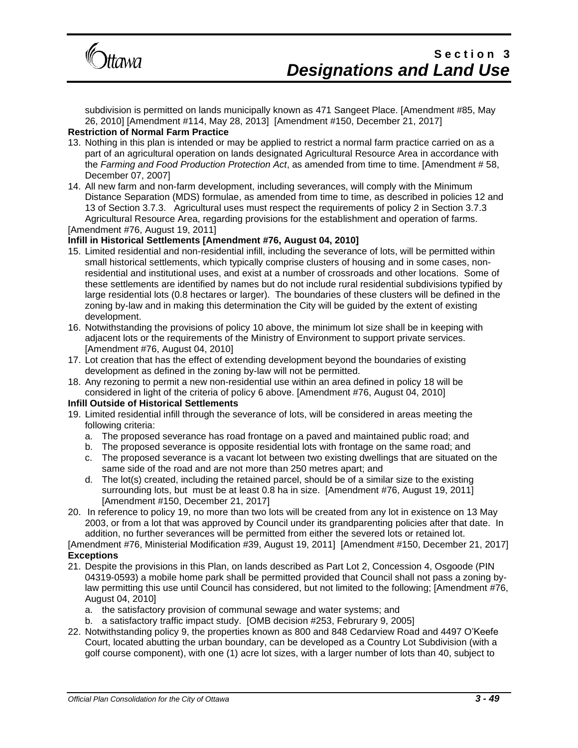

subdivision is permitted on lands municipally known as 471 Sangeet Place. [Amendment #85, May 26, 2010] [Amendment #114, May 28, 2013] [Amendment #150, December 21, 2017] **Restriction of Normal Farm Practice**

#### 13. Nothing in this plan is intended or may be applied to restrict a normal farm practice carried on as a part of an agricultural operation on lands designated Agricultural Resource Area in accordance with the *Farming and Food Production Protection Act*, as amended from time to time. [Amendment # 58, December 07, 2007]

14. All new farm and non-farm development, including severances, will comply with the Minimum Distance Separation (MDS) formulae, as amended from time to time, as described in policies 12 and 13 of Section 3.7.3. Agricultural uses must respect the requirements of policy 2 in Section 3.7.3 Agricultural Resource Area, regarding provisions for the establishment and operation of farms. [Amendment #76, August 19, 2011]

#### **Infill in Historical Settlements [Amendment #76, August 04, 2010]**

- 15. Limited residential and non-residential infill, including the severance of lots, will be permitted within small historical settlements, which typically comprise clusters of housing and in some cases, nonresidential and institutional uses, and exist at a number of crossroads and other locations. Some of these settlements are identified by names but do not include rural residential subdivisions typified by large residential lots (0.8 hectares or larger). The boundaries of these clusters will be defined in the zoning by-law and in making this determination the City will be guided by the extent of existing development.
- 16. Notwithstanding the provisions of policy 10 above, the minimum lot size shall be in keeping with adjacent lots or the requirements of the Ministry of Environment to support private services. [Amendment #76, August 04, 2010]
- 17. Lot creation that has the effect of extending development beyond the boundaries of existing development as defined in the zoning by-law will not be permitted.
- 18. Any rezoning to permit a new non-residential use within an area defined in policy 18 will be considered in light of the criteria of policy 6 above. [Amendment #76, August 04, 2010]

#### **Infill Outside of Historical Settlements**

- 19. Limited residential infill through the severance of lots, will be considered in areas meeting the following criteria:
	- a. The proposed severance has road frontage on a paved and maintained public road; and
	- b. The proposed severance is opposite residential lots with frontage on the same road; and
	- c. The proposed severance is a vacant lot between two existing dwellings that are situated on the same side of the road and are not more than 250 metres apart; and
	- d. The lot(s) created, including the retained parcel, should be of a similar size to the existing surrounding lots, but must be at least 0.8 ha in size. [Amendment #76, August 19, 2011] [Amendment #150, December 21, 2017]
- 20. In reference to policy 19, no more than two lots will be created from any lot in existence on 13 May 2003, or from a lot that was approved by Council under its grandparenting policies after that date. In addition, no further severances will be permitted from either the severed lots or retained lot.

#### [Amendment #76, Ministerial Modification #39, August 19, 2011] [Amendment #150, December 21, 2017] **Exceptions**

- 21. Despite the provisions in this Plan, on lands described as Part Lot 2, Concession 4, Osgoode (PIN 04319-0593) a mobile home park shall be permitted provided that Council shall not pass a zoning bylaw permitting this use until Council has considered, but not limited to the following; [Amendment #76, August 04, 2010]
	- a. the satisfactory provision of communal sewage and water systems; and
	- b. a satisfactory traffic impact study. [OMB decision #253, Februrary 9, 2005]
- 22. Notwithstanding policy 9, the properties known as 800 and 848 Cedarview Road and 4497 O'Keefe Court, located abutting the urban boundary, can be developed as a Country Lot Subdivision (with a golf course component), with one (1) acre lot sizes, with a larger number of lots than 40, subject to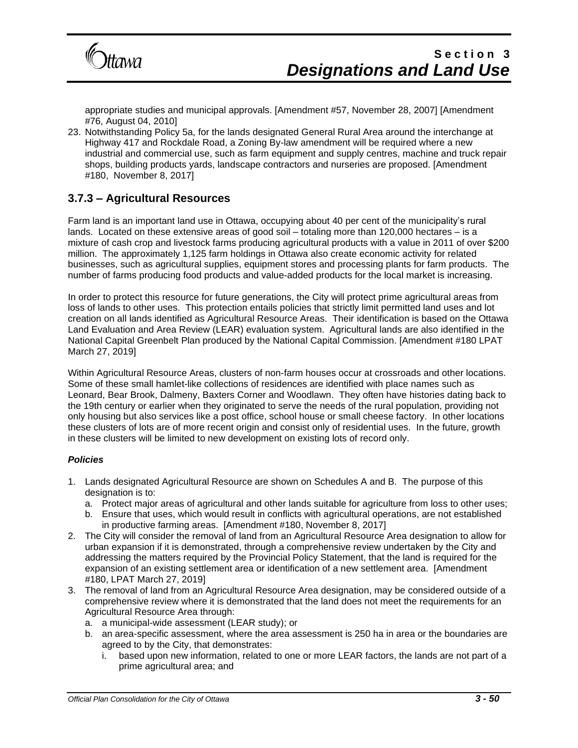

appropriate studies and municipal approvals. [Amendment #57, November 28, 2007] [Amendment #76, August 04, 2010]

23. Notwithstanding Policy 5a, for the lands designated General Rural Area around the interchange at Highway 417 and Rockdale Road, a Zoning By-law amendment will be required where a new industrial and commercial use, such as farm equipment and supply centres, machine and truck repair shops, building products yards, landscape contractors and nurseries are proposed. [Amendment #180, November 8, 2017]

### **3.7.3 – Agricultural Resources**

Farm land is an important land use in Ottawa, occupying about 40 per cent of the municipality's rural lands. Located on these extensive areas of good soil – totaling more than 120,000 hectares – is a mixture of cash crop and livestock farms producing agricultural products with a value in 2011 of over \$200 million. The approximately 1,125 farm holdings in Ottawa also create economic activity for related businesses, such as agricultural supplies, equipment stores and processing plants for farm products. The number of farms producing food products and value-added products for the local market is increasing.

In order to protect this resource for future generations, the City will protect prime agricultural areas from loss of lands to other uses. This protection entails policies that strictly limit permitted land uses and lot creation on all lands identified as Agricultural Resource Areas. Their identification is based on the Ottawa Land Evaluation and Area Review (LEAR) evaluation system. Agricultural lands are also identified in the National Capital Greenbelt Plan produced by the National Capital Commission. [Amendment #180 LPAT March 27, 2019]

Within Agricultural Resource Areas, clusters of non-farm houses occur at crossroads and other locations. Some of these small hamlet-like collections of residences are identified with place names such as Leonard, Bear Brook, Dalmeny, Baxters Corner and Woodlawn. They often have histories dating back to the 19th century or earlier when they originated to serve the needs of the rural population, providing not only housing but also services like a post office, school house or small cheese factory. In other locations these clusters of lots are of more recent origin and consist only of residential uses. In the future, growth in these clusters will be limited to new development on existing lots of record only.

#### *Policies*

- 1. Lands designated Agricultural Resource are shown on Schedules A and B. The purpose of this designation is to:
	- a. Protect major areas of agricultural and other lands suitable for agriculture from loss to other uses;
	- b. Ensure that uses, which would result in conflicts with agricultural operations, are not established in productive farming areas. [Amendment #180, November 8, 2017]
- 2. The City will consider the removal of land from an Agricultural Resource Area designation to allow for urban expansion if it is demonstrated, through a comprehensive review undertaken by the City and addressing the matters required by the Provincial Policy Statement, that the land is required for the expansion of an existing settlement area or identification of a new settlement area. [Amendment #180, LPAT March 27, 2019]
- 3. The removal of land from an Agricultural Resource Area designation, may be considered outside of a comprehensive review where it is demonstrated that the land does not meet the requirements for an Agricultural Resource Area through:
	- a. a municipal-wide assessment (LEAR study); or
	- b. an area-specific assessment, where the area assessment is 250 ha in area or the boundaries are agreed to by the City, that demonstrates:
		- i. based upon new information, related to one or more LEAR factors, the lands are not part of a prime agricultural area; and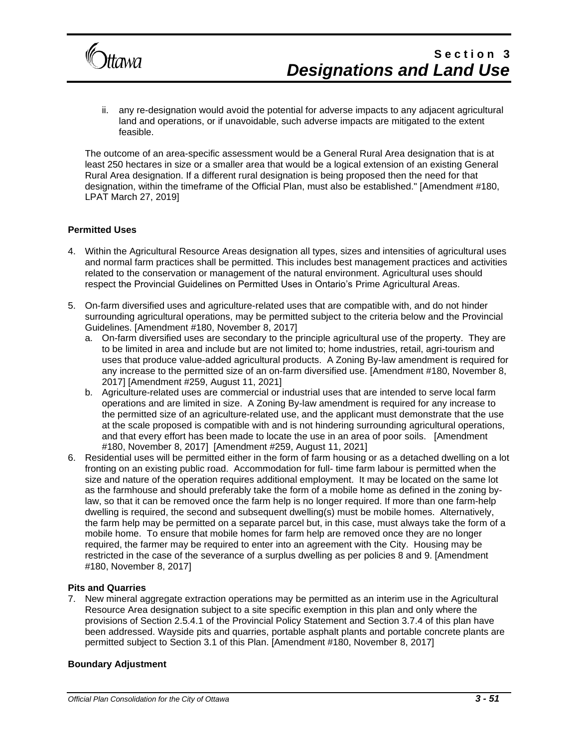

ii. any re-designation would avoid the potential for adverse impacts to any adjacent agricultural land and operations, or if unavoidable, such adverse impacts are mitigated to the extent feasible.

The outcome of an area-specific assessment would be a General Rural Area designation that is at least 250 hectares in size or a smaller area that would be a logical extension of an existing General Rural Area designation. If a different rural designation is being proposed then the need for that designation, within the timeframe of the Official Plan, must also be established." [Amendment #180, LPAT March 27, 2019]

#### **Permitted Uses**

- 4. Within the Agricultural Resource Areas designation all types, sizes and intensities of agricultural uses and normal farm practices shall be permitted. This includes best management practices and activities related to the conservation or management of the natural environment. Agricultural uses should respect the Provincial Guidelines on Permitted Uses in Ontario's Prime Agricultural Areas.
- 5. On-farm diversified uses and agriculture-related uses that are compatible with, and do not hinder surrounding agricultural operations, may be permitted subject to the criteria below and the Provincial Guidelines. [Amendment #180, November 8, 2017]
	- a. On-farm diversified uses are secondary to the principle agricultural use of the property. They are to be limited in area and include but are not limited to; home industries, retail, agri-tourism and uses that produce value-added agricultural products. A Zoning By-law amendment is required for any increase to the permitted size of an on-farm diversified use. [Amendment #180, November 8, 2017] [Amendment #259, August 11, 2021]
	- b. Agriculture-related uses are commercial or industrial uses that are intended to serve local farm operations and are limited in size. A Zoning By-law amendment is required for any increase to the permitted size of an agriculture-related use, and the applicant must demonstrate that the use at the scale proposed is compatible with and is not hindering surrounding agricultural operations, and that every effort has been made to locate the use in an area of poor soils. [Amendment #180, November 8, 2017] [Amendment #259, August 11, 2021]
- 6. Residential uses will be permitted either in the form of farm housing or as a detached dwelling on a lot fronting on an existing public road. Accommodation for full- time farm labour is permitted when the size and nature of the operation requires additional employment. It may be located on the same lot as the farmhouse and should preferably take the form of a mobile home as defined in the zoning bylaw, so that it can be removed once the farm help is no longer required. If more than one farm-help dwelling is required, the second and subsequent dwelling(s) must be mobile homes. Alternatively, the farm help may be permitted on a separate parcel but, in this case, must always take the form of a mobile home. To ensure that mobile homes for farm help are removed once they are no longer required, the farmer may be required to enter into an agreement with the City. Housing may be restricted in the case of the severance of a surplus dwelling as per policies 8 and 9. [Amendment #180, November 8, 2017]

#### **Pits and Quarries**

7. New mineral aggregate extraction operations may be permitted as an interim use in the Agricultural Resource Area designation subject to a site specific exemption in this plan and only where the provisions of Section 2.5.4.1 of the Provincial Policy Statement and Section 3.7.4 of this plan have been addressed. Wayside pits and quarries, portable asphalt plants and portable concrete plants are permitted subject to Section 3.1 of this Plan. [Amendment #180, November 8, 2017]

#### **Boundary Adjustment**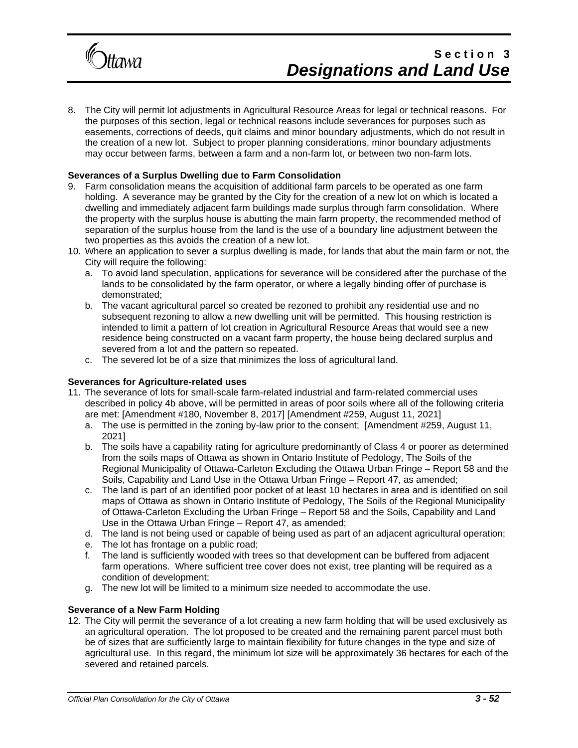

8. The City will permit lot adjustments in Agricultural Resource Areas for legal or technical reasons. For the purposes of this section, legal or technical reasons include severances for purposes such as easements, corrections of deeds, quit claims and minor boundary adjustments, which do not result in the creation of a new lot. Subject to proper planning considerations, minor boundary adjustments may occur between farms, between a farm and a non-farm lot, or between two non-farm lots.

#### **Severances of a Surplus Dwelling due to Farm Consolidation**

- 9. Farm consolidation means the acquisition of additional farm parcels to be operated as one farm holding. A severance may be granted by the City for the creation of a new lot on which is located a dwelling and immediately adjacent farm buildings made surplus through farm consolidation. Where the property with the surplus house is abutting the main farm property, the recommended method of separation of the surplus house from the land is the use of a boundary line adjustment between the two properties as this avoids the creation of a new lot.
- 10. Where an application to sever a surplus dwelling is made, for lands that abut the main farm or not, the City will require the following:
	- a. To avoid land speculation, applications for severance will be considered after the purchase of the lands to be consolidated by the farm operator, or where a legally binding offer of purchase is demonstrated;
	- b. The vacant agricultural parcel so created be rezoned to prohibit any residential use and no subsequent rezoning to allow a new dwelling unit will be permitted. This housing restriction is intended to limit a pattern of lot creation in Agricultural Resource Areas that would see a new residence being constructed on a vacant farm property, the house being declared surplus and severed from a lot and the pattern so repeated.
	- c. The severed lot be of a size that minimizes the loss of agricultural land.

#### **Severances for Agriculture-related uses**

- 11. The severance of lots for small-scale farm-related industrial and farm-related commercial uses described in policy 4b above, will be permitted in areas of poor soils where all of the following criteria are met: [Amendment #180, November 8, 2017] [Amendment #259, August 11, 2021]
	- a. The use is permitted in the zoning by-law prior to the consent; [Amendment #259, August 11, 2021]
	- b. The soils have a capability rating for agriculture predominantly of Class 4 or poorer as determined from the soils maps of Ottawa as shown in Ontario Institute of Pedology, The Soils of the Regional Municipality of Ottawa-Carleton Excluding the Ottawa Urban Fringe – Report 58 and the Soils, Capability and Land Use in the Ottawa Urban Fringe – Report 47, as amended;
	- c. The land is part of an identified poor pocket of at least 10 hectares in area and is identified on soil maps of Ottawa as shown in Ontario Institute of Pedology, The Soils of the Regional Municipality of Ottawa-Carleton Excluding the Urban Fringe – Report 58 and the Soils, Capability and Land Use in the Ottawa Urban Fringe – Report 47, as amended;
	- d. The land is not being used or capable of being used as part of an adjacent agricultural operation;
	- e. The lot has frontage on a public road;
	- f. The land is sufficiently wooded with trees so that development can be buffered from adjacent farm operations. Where sufficient tree cover does not exist, tree planting will be required as a condition of development;
	- g. The new lot will be limited to a minimum size needed to accommodate the use.

#### **Severance of a New Farm Holding**

12. The City will permit the severance of a lot creating a new farm holding that will be used exclusively as an agricultural operation. The lot proposed to be created and the remaining parent parcel must both be of sizes that are sufficiently large to maintain flexibility for future changes in the type and size of agricultural use. In this regard, the minimum lot size will be approximately 36 hectares for each of the severed and retained parcels.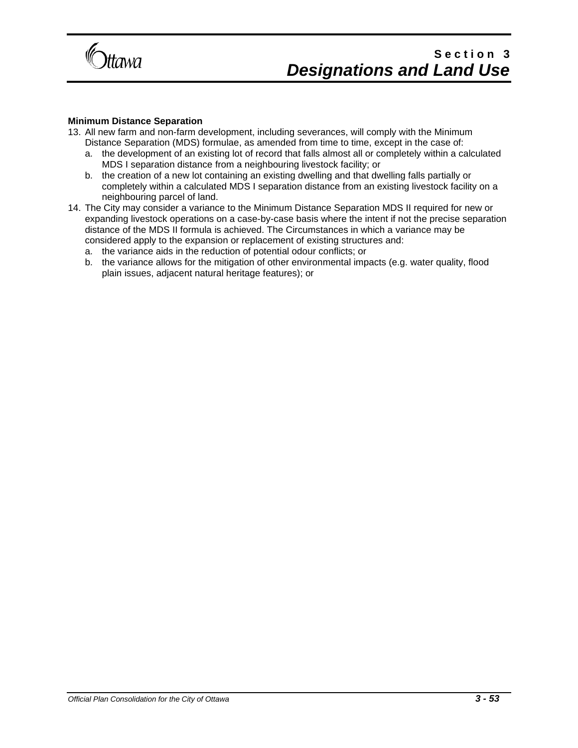

#### **Minimum Distance Separation**

- 13. All new farm and non-farm development, including severances, will comply with the Minimum Distance Separation (MDS) formulae, as amended from time to time, except in the case of:
	- a. the development of an existing lot of record that falls almost all or completely within a calculated MDS I separation distance from a neighbouring livestock facility; or
	- b. the creation of a new lot containing an existing dwelling and that dwelling falls partially or completely within a calculated MDS I separation distance from an existing livestock facility on a neighbouring parcel of land.
- 14. The City may consider a variance to the Minimum Distance Separation MDS II required for new or expanding livestock operations on a case-by-case basis where the intent if not the precise separation distance of the MDS II formula is achieved. The Circumstances in which a variance may be considered apply to the expansion or replacement of existing structures and:
	- a. the variance aids in the reduction of potential odour conflicts; or
	- b. the variance allows for the mitigation of other environmental impacts (e.g. water quality, flood plain issues, adjacent natural heritage features); or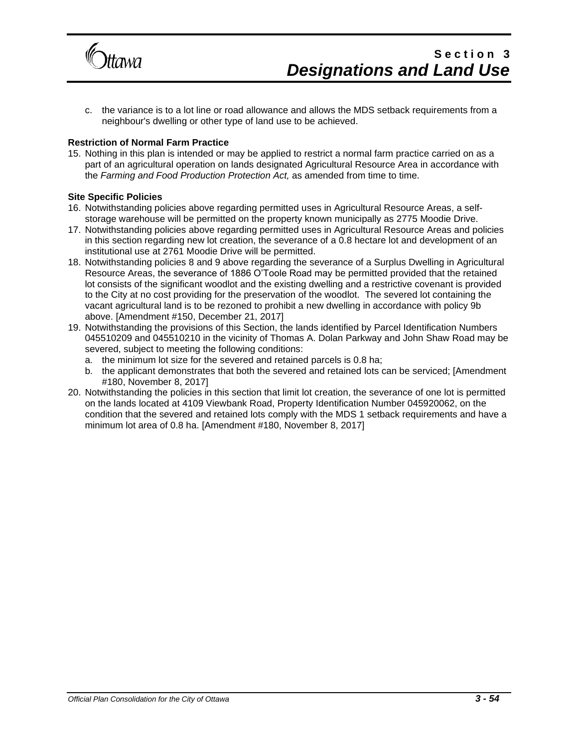

c. the variance is to a lot line or road allowance and allows the MDS setback requirements from a neighbour's dwelling or other type of land use to be achieved.

#### **Restriction of Normal Farm Practice**

15. Nothing in this plan is intended or may be applied to restrict a normal farm practice carried on as a part of an agricultural operation on lands designated Agricultural Resource Area in accordance with the *Farming and Food Production Protection Act,* as amended from time to time.

#### **Site Specific Policies**

- 16. Notwithstanding policies above regarding permitted uses in Agricultural Resource Areas, a selfstorage warehouse will be permitted on the property known municipally as 2775 Moodie Drive.
- 17. Notwithstanding policies above regarding permitted uses in Agricultural Resource Areas and policies in this section regarding new lot creation, the severance of a 0.8 hectare lot and development of an institutional use at 2761 Moodie Drive will be permitted.
- 18. Notwithstanding policies 8 and 9 above regarding the severance of a Surplus Dwelling in Agricultural Resource Areas, the severance of 1886 O'Toole Road may be permitted provided that the retained lot consists of the significant woodlot and the existing dwelling and a restrictive covenant is provided to the City at no cost providing for the preservation of the woodlot. The severed lot containing the vacant agricultural land is to be rezoned to prohibit a new dwelling in accordance with policy 9b above. [Amendment #150, December 21, 2017]
- 19. Notwithstanding the provisions of this Section, the lands identified by Parcel Identification Numbers 045510209 and 045510210 in the vicinity of Thomas A. Dolan Parkway and John Shaw Road may be severed, subject to meeting the following conditions:
	- a. the minimum lot size for the severed and retained parcels is 0.8 ha;
	- b. the applicant demonstrates that both the severed and retained lots can be serviced; [Amendment #180, November 8, 2017]
- 20. Notwithstanding the policies in this section that limit lot creation, the severance of one lot is permitted on the lands located at 4109 Viewbank Road, Property Identification Number 045920062, on the condition that the severed and retained lots comply with the MDS 1 setback requirements and have a minimum lot area of 0.8 ha. [Amendment #180, November 8, 2017]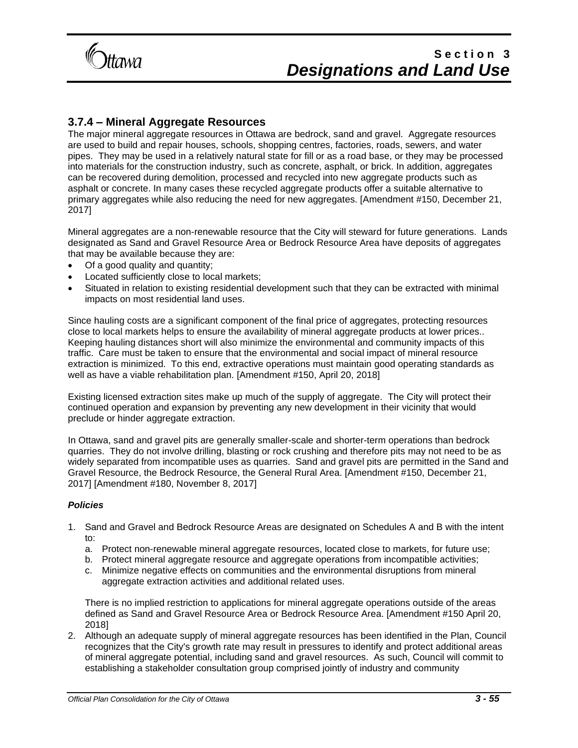

### **3.7.4 – Mineral Aggregate Resources**

The major mineral aggregate resources in Ottawa are bedrock, sand and gravel. Aggregate resources are used to build and repair houses, schools, shopping centres, factories, roads, sewers, and water pipes. They may be used in a relatively natural state for fill or as a road base, or they may be processed into materials for the construction industry, such as concrete, asphalt, or brick. In addition, aggregates can be recovered during demolition, processed and recycled into new aggregate products such as asphalt or concrete. In many cases these recycled aggregate products offer a suitable alternative to primary aggregates while also reducing the need for new aggregates. [Amendment #150, December 21, 2017]

Mineral aggregates are a non-renewable resource that the City will steward for future generations. Lands designated as Sand and Gravel Resource Area or Bedrock Resource Area have deposits of aggregates that may be available because they are:

- Of a good quality and quantity;
- Located sufficiently close to local markets;
- Situated in relation to existing residential development such that they can be extracted with minimal impacts on most residential land uses.

Since hauling costs are a significant component of the final price of aggregates, protecting resources close to local markets helps to ensure the availability of mineral aggregate products at lower prices.. Keeping hauling distances short will also minimize the environmental and community impacts of this traffic. Care must be taken to ensure that the environmental and social impact of mineral resource extraction is minimized. To this end, extractive operations must maintain good operating standards as well as have a viable rehabilitation plan. [Amendment #150, April 20, 2018]

Existing licensed extraction sites make up much of the supply of aggregate. The City will protect their continued operation and expansion by preventing any new development in their vicinity that would preclude or hinder aggregate extraction.

In Ottawa, sand and gravel pits are generally smaller-scale and shorter-term operations than bedrock quarries. They do not involve drilling, blasting or rock crushing and therefore pits may not need to be as widely separated from incompatible uses as quarries. Sand and gravel pits are permitted in the Sand and Gravel Resource, the Bedrock Resource, the General Rural Area. [Amendment #150, December 21, 2017] [Amendment #180, November 8, 2017]

#### *Policies*

- 1. Sand and Gravel and Bedrock Resource Areas are designated on Schedules A and B with the intent to:
	- a. Protect non-renewable mineral aggregate resources, located close to markets, for future use;
	- b. Protect mineral aggregate resource and aggregate operations from incompatible activities;
	- c. Minimize negative effects on communities and the environmental disruptions from mineral aggregate extraction activities and additional related uses.

There is no implied restriction to applications for mineral aggregate operations outside of the areas defined as Sand and Gravel Resource Area or Bedrock Resource Area. [Amendment #150 April 20, 2018]

2. Although an adequate supply of mineral aggregate resources has been identified in the Plan, Council recognizes that the City's growth rate may result in pressures to identify and protect additional areas of mineral aggregate potential, including sand and gravel resources. As such, Council will commit to establishing a stakeholder consultation group comprised jointly of industry and community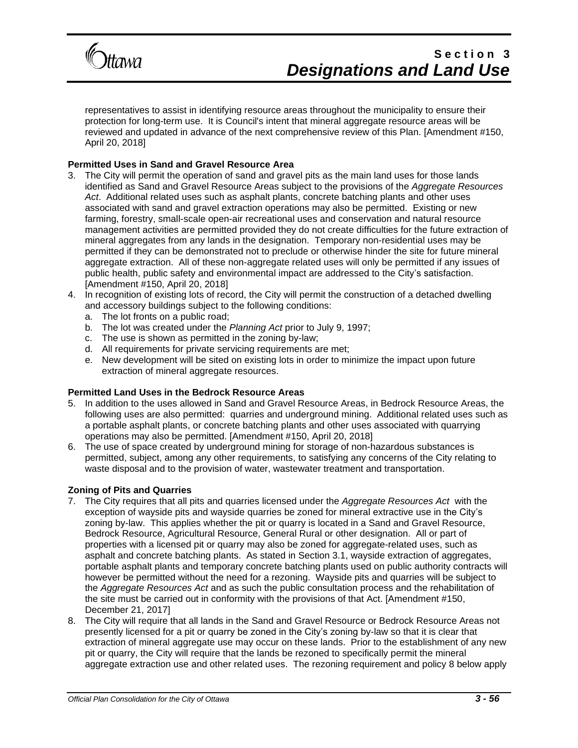

representatives to assist in identifying resource areas throughout the municipality to ensure their protection for long-term use. It is Council's intent that mineral aggregate resource areas will be reviewed and updated in advance of the next comprehensive review of this Plan. [Amendment #150, April 20, 2018]

#### **Permitted Uses in Sand and Gravel Resource Area**

- 3. The City will permit the operation of sand and gravel pits as the main land uses for those lands identified as Sand and Gravel Resource Areas subject to the provisions of the *Aggregate Resources Act*. Additional related uses such as asphalt plants, concrete batching plants and other uses associated with sand and gravel extraction operations may also be permitted. Existing or new farming, forestry, small-scale open-air recreational uses and conservation and natural resource management activities are permitted provided they do not create difficulties for the future extraction of mineral aggregates from any lands in the designation. Temporary non-residential uses may be permitted if they can be demonstrated not to preclude or otherwise hinder the site for future mineral aggregate extraction. All of these non-aggregate related uses will only be permitted if any issues of public health, public safety and environmental impact are addressed to the City's satisfaction. [Amendment #150, April 20, 2018]
- 4. In recognition of existing lots of record, the City will permit the construction of a detached dwelling and accessory buildings subject to the following conditions:
	- a. The lot fronts on a public road;
	- b. The lot was created under the *Planning Act* prior to July 9, 1997;
	- c. The use is shown as permitted in the zoning by-law;
	- d. All requirements for private servicing requirements are met;
	- e. New development will be sited on existing lots in order to minimize the impact upon future extraction of mineral aggregate resources.

#### **Permitted Land Uses in the Bedrock Resource Areas**

- 5. In addition to the uses allowed in Sand and Gravel Resource Areas, in Bedrock Resource Areas, the following uses are also permitted: quarries and underground mining. Additional related uses such as a portable asphalt plants, or concrete batching plants and other uses associated with quarrying operations may also be permitted. [Amendment #150, April 20, 2018]
- 6. The use of space created by underground mining for storage of non-hazardous substances is permitted, subject, among any other requirements, to satisfying any concerns of the City relating to waste disposal and to the provision of water, wastewater treatment and transportation.

#### **Zoning of Pits and Quarries**

- 7. The City requires that all pits and quarries licensed under the *Aggregate Resources Act* with the exception of wayside pits and wayside quarries be zoned for mineral extractive use in the City's zoning by-law. This applies whether the pit or quarry is located in a Sand and Gravel Resource, Bedrock Resource, Agricultural Resource, General Rural or other designation. All or part of properties with a licensed pit or quarry may also be zoned for aggregate-related uses, such as asphalt and concrete batching plants. As stated in Section 3.1, wayside extraction of aggregates, portable asphalt plants and temporary concrete batching plants used on public authority contracts will however be permitted without the need for a rezoning. Wayside pits and quarries will be subject to the *Aggregate Resources Act* and as such the public consultation process and the rehabilitation of the site must be carried out in conformity with the provisions of that Act. [Amendment #150, December 21, 2017]
- 8. The City will require that all lands in the Sand and Gravel Resource or Bedrock Resource Areas not presently licensed for a pit or quarry be zoned in the City's zoning by-law so that it is clear that extraction of mineral aggregate use may occur on these lands. Prior to the establishment of any new pit or quarry, the City will require that the lands be rezoned to specifically permit the mineral aggregate extraction use and other related uses. The rezoning requirement and policy 8 below apply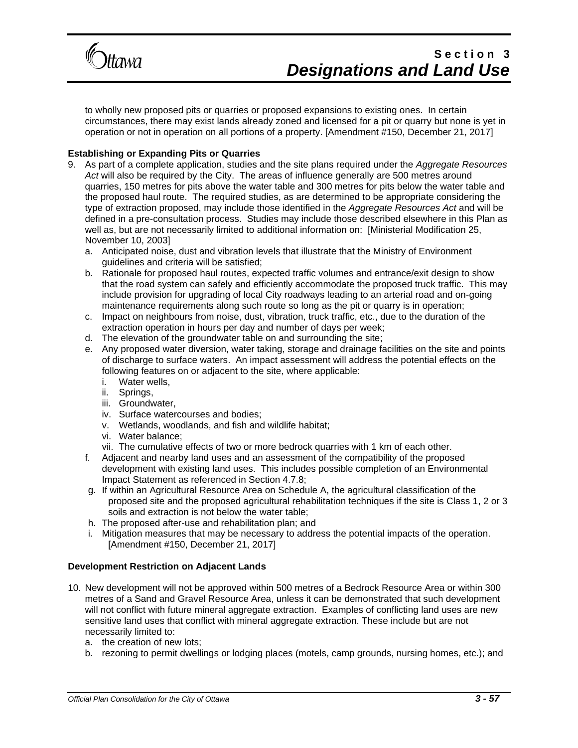

to wholly new proposed pits or quarries or proposed expansions to existing ones. In certain circumstances, there may exist lands already zoned and licensed for a pit or quarry but none is yet in operation or not in operation on all portions of a property. [Amendment #150, December 21, 2017]

#### **Establishing or Expanding Pits or Quarries**

- 9. As part of a complete application, studies and the site plans required under the *Aggregate Resources Act* will also be required by the City. The areas of influence generally are 500 metres around quarries, 150 metres for pits above the water table and 300 metres for pits below the water table and the proposed haul route. The required studies, as are determined to be appropriate considering the type of extraction proposed, may include those identified in the *Aggregate Resources Act* and will be defined in a pre-consultation process. Studies may include those described elsewhere in this Plan as well as, but are not necessarily limited to additional information on: [Ministerial Modification 25, November 10, 2003]
	- a. Anticipated noise, dust and vibration levels that illustrate that the Ministry of Environment guidelines and criteria will be satisfied;
	- b. Rationale for proposed haul routes, expected traffic volumes and entrance/exit design to show that the road system can safely and efficiently accommodate the proposed truck traffic. This may include provision for upgrading of local City roadways leading to an arterial road and on-going maintenance requirements along such route so long as the pit or quarry is in operation;
	- c. Impact on neighbours from noise, dust, vibration, truck traffic, etc., due to the duration of the extraction operation in hours per day and number of days per week;
	- d. The elevation of the groundwater table on and surrounding the site;
	- e. Any proposed water diversion, water taking, storage and drainage facilities on the site and points of discharge to surface waters. An impact assessment will address the potential effects on the following features on or adjacent to the site, where applicable:
		- i. Water wells,
		- ii. Springs,
		- iii. Groundwater,
		- iv. Surface watercourses and bodies;
		- v. Wetlands, woodlands, and fish and wildlife habitat;
		- vi. Water balance;
		- vii. The cumulative effects of two or more bedrock quarries with 1 km of each other.
	- f. Adjacent and nearby land uses and an assessment of the compatibility of the proposed development with existing land uses. This includes possible completion of an Environmental Impact Statement as referenced in Section 4.7.8;
	- g. If within an Agricultural Resource Area on Schedule A, the agricultural classification of the proposed site and the proposed agricultural rehabilitation techniques if the site is Class 1, 2 or 3 soils and extraction is not below the water table;
	- h. The proposed after-use and rehabilitation plan; and
	- i. Mitigation measures that may be necessary to address the potential impacts of the operation. [Amendment #150, December 21, 2017]

#### **Development Restriction on Adjacent Lands**

- 10. New development will not be approved within 500 metres of a Bedrock Resource Area or within 300 metres of a Sand and Gravel Resource Area, unless it can be demonstrated that such development will not conflict with future mineral aggregate extraction. Examples of conflicting land uses are new sensitive land uses that conflict with mineral aggregate extraction. These include but are not necessarily limited to:
	- a. the creation of new lots;
	- b. rezoning to permit dwellings or lodging places (motels, camp grounds, nursing homes, etc.); and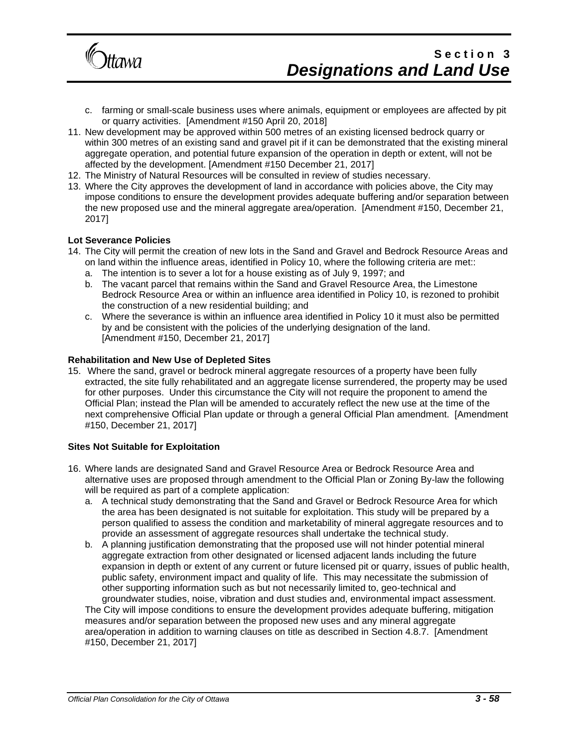

- c. farming or small-scale business uses where animals, equipment or employees are affected by pit or quarry activities. [Amendment #150 April 20, 2018]
- 11. New development may be approved within 500 metres of an existing licensed bedrock quarry or within 300 metres of an existing sand and gravel pit if it can be demonstrated that the existing mineral aggregate operation, and potential future expansion of the operation in depth or extent, will not be affected by the development. [Amendment #150 December 21, 2017]
- 12. The Ministry of Natural Resources will be consulted in review of studies necessary.
- 13. Where the City approves the development of land in accordance with policies above, the City may impose conditions to ensure the development provides adequate buffering and/or separation between the new proposed use and the mineral aggregate area/operation. [Amendment #150, December 21, 2017]

#### **Lot Severance Policies**

- 14. The City will permit the creation of new lots in the Sand and Gravel and Bedrock Resource Areas and on land within the influence areas, identified in Policy 10, where the following criteria are met::
	- a. The intention is to sever a lot for a house existing as of July 9, 1997; and
	- b. The vacant parcel that remains within the Sand and Gravel Resource Area, the Limestone Bedrock Resource Area or within an influence area identified in Policy 10, is rezoned to prohibit the construction of a new residential building; and
	- c. Where the severance is within an influence area identified in Policy 10 it must also be permitted by and be consistent with the policies of the underlying designation of the land. [Amendment #150, December 21, 2017]

#### **Rehabilitation and New Use of Depleted Sites**

15. Where the sand, gravel or bedrock mineral aggregate resources of a property have been fully extracted, the site fully rehabilitated and an aggregate license surrendered, the property may be used for other purposes. Under this circumstance the City will not require the proponent to amend the Official Plan; instead the Plan will be amended to accurately reflect the new use at the time of the next comprehensive Official Plan update or through a general Official Plan amendment. [Amendment #150, December 21, 2017]

#### **Sites Not Suitable for Exploitation**

- 16. Where lands are designated Sand and Gravel Resource Area or Bedrock Resource Area and alternative uses are proposed through amendment to the Official Plan or Zoning By-law the following will be required as part of a complete application:
	- a. A technical study demonstrating that the Sand and Gravel or Bedrock Resource Area for which the area has been designated is not suitable for exploitation. This study will be prepared by a person qualified to assess the condition and marketability of mineral aggregate resources and to provide an assessment of aggregate resources shall undertake the technical study.
	- b. A planning justification demonstrating that the proposed use will not hinder potential mineral aggregate extraction from other designated or licensed adjacent lands including the future expansion in depth or extent of any current or future licensed pit or quarry, issues of public health, public safety, environment impact and quality of life. This may necessitate the submission of other supporting information such as but not necessarily limited to, geo-technical and groundwater studies, noise, vibration and dust studies and, environmental impact assessment.

The City will impose conditions to ensure the development provides adequate buffering, mitigation measures and/or separation between the proposed new uses and any mineral aggregate area/operation in addition to warning clauses on title as described in Section 4.8.7. [Amendment #150, December 21, 2017]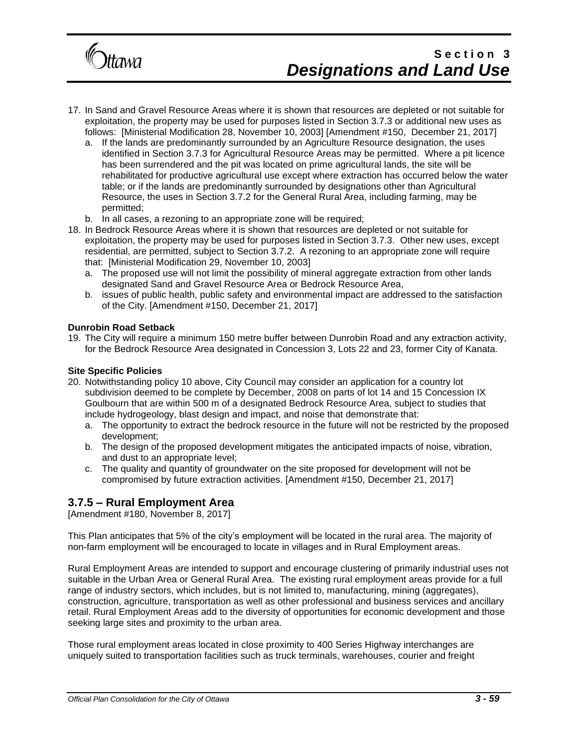

- 17. In Sand and Gravel Resource Areas where it is shown that resources are depleted or not suitable for exploitation, the property may be used for purposes listed in Section 3.7.3 or additional new uses as follows: [Ministerial Modification 28, November 10, 2003] [Amendment #150, December 21, 2017]
	- a. If the lands are predominantly surrounded by an Agriculture Resource designation, the uses identified in Section 3.7.3 for Agricultural Resource Areas may be permitted. Where a pit licence has been surrendered and the pit was located on prime agricultural lands, the site will be rehabilitated for productive agricultural use except where extraction has occurred below the water table; or if the lands are predominantly surrounded by designations other than Agricultural Resource, the uses in Section 3.7.2 for the General Rural Area, including farming, may be permitted;
	- b. In all cases, a rezoning to an appropriate zone will be required;
- 18. In Bedrock Resource Areas where it is shown that resources are depleted or not suitable for exploitation, the property may be used for purposes listed in Section 3.7.3. Other new uses, except residential, are permitted, subject to Section 3.7.2. A rezoning to an appropriate zone will require that: [Ministerial Modification 29, November 10, 2003]
	- a. The proposed use will not limit the possibility of mineral aggregate extraction from other lands designated Sand and Gravel Resource Area or Bedrock Resource Area,
	- b. issues of public health, public safety and environmental impact are addressed to the satisfaction of the City. [Amendment #150, December 21, 2017]

#### **Dunrobin Road Setback**

19. The City will require a minimum 150 metre buffer between Dunrobin Road and any extraction activity, for the Bedrock Resource Area designated in Concession 3, Lots 22 and 23, former City of Kanata.

#### **Site Specific Policies**

- 20. Notwithstanding policy 10 above, City Council may consider an application for a country lot subdivision deemed to be complete by December, 2008 on parts of lot 14 and 15 Concession IX Goulbourn that are within 500 m of a designated Bedrock Resource Area, subject to studies that include hydrogeology, blast design and impact, and noise that demonstrate that:
	- a. The opportunity to extract the bedrock resource in the future will not be restricted by the proposed development;
	- b. The design of the proposed development mitigates the anticipated impacts of noise, vibration, and dust to an appropriate level;
	- c. The quality and quantity of groundwater on the site proposed for development will not be compromised by future extraction activities. [Amendment #150, December 21, 2017]

### **3.7.5 – Rural Employment Area**

[Amendment #180, November 8, 2017]

This Plan anticipates that 5% of the city's employment will be located in the rural area. The majority of non-farm employment will be encouraged to locate in villages and in Rural Employment areas.

Rural Employment Areas are intended to support and encourage clustering of primarily industrial uses not suitable in the Urban Area or General Rural Area. The existing rural employment areas provide for a full range of industry sectors, which includes, but is not limited to, manufacturing, mining (aggregates), construction, agriculture, transportation as well as other professional and business services and ancillary retail. Rural Employment Areas add to the diversity of opportunities for economic development and those seeking large sites and proximity to the urban area.

Those rural employment areas located in close proximity to 400 Series Highway interchanges are uniquely suited to transportation facilities such as truck terminals, warehouses, courier and freight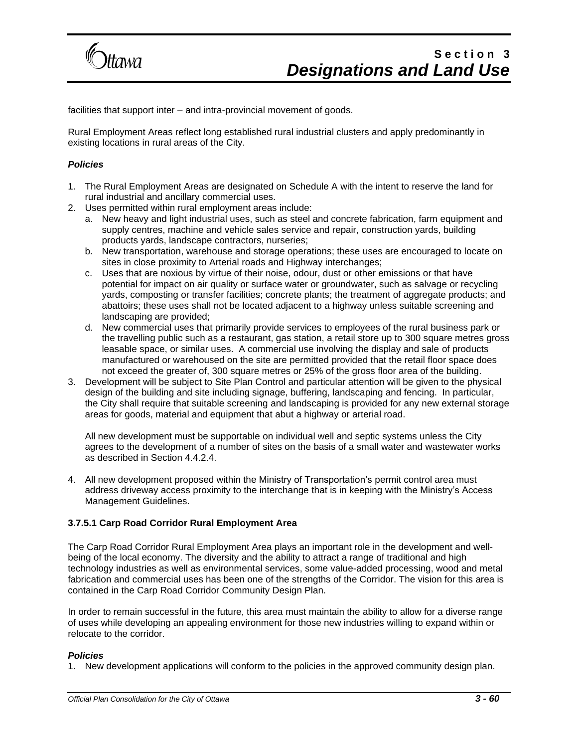

facilities that support inter – and intra-provincial movement of goods.

Rural Employment Areas reflect long established rural industrial clusters and apply predominantly in existing locations in rural areas of the City.

#### *Policies*

- 1. The Rural Employment Areas are designated on Schedule A with the intent to reserve the land for rural industrial and ancillary commercial uses.
- 2. Uses permitted within rural employment areas include:
	- a. New heavy and light industrial uses, such as steel and concrete fabrication, farm equipment and supply centres, machine and vehicle sales service and repair, construction yards, building products yards, landscape contractors, nurseries;
	- b. New transportation, warehouse and storage operations; these uses are encouraged to locate on sites in close proximity to Arterial roads and Highway interchanges;
	- c. Uses that are noxious by virtue of their noise, odour, dust or other emissions or that have potential for impact on air quality or surface water or groundwater, such as salvage or recycling yards, composting or transfer facilities; concrete plants; the treatment of aggregate products; and abattoirs; these uses shall not be located adjacent to a highway unless suitable screening and landscaping are provided;
	- d. New commercial uses that primarily provide services to employees of the rural business park or the travelling public such as a restaurant, gas station, a retail store up to 300 square metres gross leasable space, or similar uses. A commercial use involving the display and sale of products manufactured or warehoused on the site are permitted provided that the retail floor space does not exceed the greater of, 300 square metres or 25% of the gross floor area of the building.
- 3. Development will be subject to Site Plan Control and particular attention will be given to the physical design of the building and site including signage, buffering, landscaping and fencing. In particular, the City shall require that suitable screening and landscaping is provided for any new external storage areas for goods, material and equipment that abut a highway or arterial road.

All new development must be supportable on individual well and septic systems unless the City agrees to the development of a number of sites on the basis of a small water and wastewater works as described in Section 4.4.2.4.

4. All new development proposed within the Ministry of Transportation's permit control area must address driveway access proximity to the interchange that is in keeping with the Ministry's Access Management Guidelines.

#### **3.7.5.1 Carp Road Corridor Rural Employment Area**

The Carp Road Corridor Rural Employment Area plays an important role in the development and wellbeing of the local economy. The diversity and the ability to attract a range of traditional and high technology industries as well as environmental services, some value-added processing, wood and metal fabrication and commercial uses has been one of the strengths of the Corridor. The vision for this area is contained in the Carp Road Corridor Community Design Plan.

In order to remain successful in the future, this area must maintain the ability to allow for a diverse range of uses while developing an appealing environment for those new industries willing to expand within or relocate to the corridor.

#### *Policies*

1. New development applications will conform to the policies in the approved community design plan.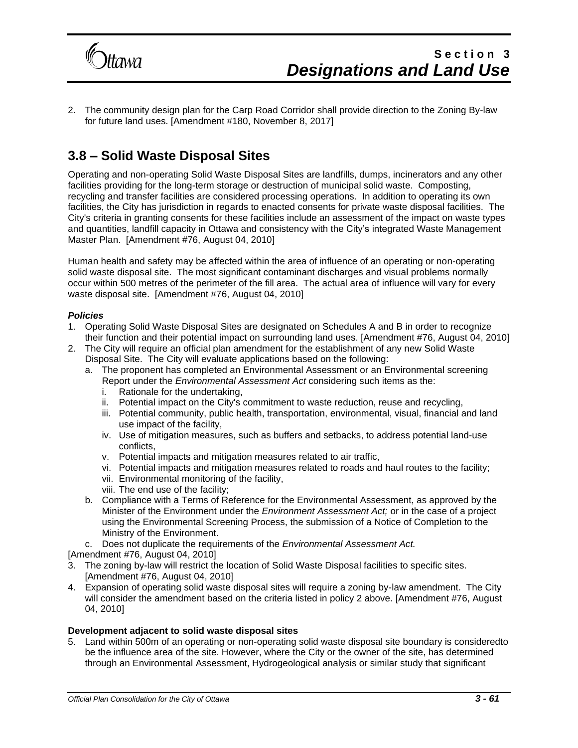

2. The community design plan for the Carp Road Corridor shall provide direction to the Zoning By-law for future land uses. [Amendment #180, November 8, 2017]

### **3.8 – Solid Waste Disposal Sites**

Operating and non-operating Solid Waste Disposal Sites are landfills, dumps, incinerators and any other facilities providing for the long-term storage or destruction of municipal solid waste. Composting, recycling and transfer facilities are considered processing operations. In addition to operating its own facilities, the City has jurisdiction in regards to enacted consents for private waste disposal facilities. The City's criteria in granting consents for these facilities include an assessment of the impact on waste types and quantities, landfill capacity in Ottawa and consistency with the City's integrated Waste Management Master Plan. [Amendment #76, August 04, 2010]

Human health and safety may be affected within the area of influence of an operating or non-operating solid waste disposal site. The most significant contaminant discharges and visual problems normally occur within 500 metres of the perimeter of the fill area. The actual area of influence will vary for every waste disposal site. [Amendment #76, August 04, 2010]

#### *Policies*

- 1. Operating Solid Waste Disposal Sites are designated on Schedules A and B in order to recognize their function and their potential impact on surrounding land uses. [Amendment #76, August 04, 2010]
- 2. The City will require an official plan amendment for the establishment of any new Solid Waste Disposal Site. The City will evaluate applications based on the following:
	- a. The proponent has completed an Environmental Assessment or an Environmental screening Report under the *Environmental Assessment Act* considering such items as the:
		- i. Rationale for the undertaking,
		- ii. Potential impact on the City's commitment to waste reduction, reuse and recycling,
		- iii. Potential community, public health, transportation, environmental, visual, financial and land use impact of the facility,
		- iv. Use of mitigation measures, such as buffers and setbacks, to address potential land-use conflicts,
		- v. Potential impacts and mitigation measures related to air traffic,
		- vi. Potential impacts and mitigation measures related to roads and haul routes to the facility;
		- vii. Environmental monitoring of the facility,
		- viii. The end use of the facility;
	- b. Compliance with a Terms of Reference for the Environmental Assessment, as approved by the Minister of the Environment under the *Environment Assessment Act;* or in the case of a project using the Environmental Screening Process, the submission of a Notice of Completion to the Ministry of the Environment.
	- c. Does not duplicate the requirements of the *Environmental Assessment Act.*

[Amendment #76, August 04, 2010]

- 3. The zoning by-law will restrict the location of Solid Waste Disposal facilities to specific sites. [Amendment #76, August 04, 2010]
- 4. Expansion of operating solid waste disposal sites will require a zoning by-law amendment. The City will consider the amendment based on the criteria listed in policy 2 above. [Amendment #76, August 04, 2010]

#### **Development adjacent to solid waste disposal sites**

5. Land within 500m of an operating or non-operating solid waste disposal site boundary is consideredto be the influence area of the site. However, where the City or the owner of the site, has determined through an Environmental Assessment, Hydrogeological analysis or similar study that significant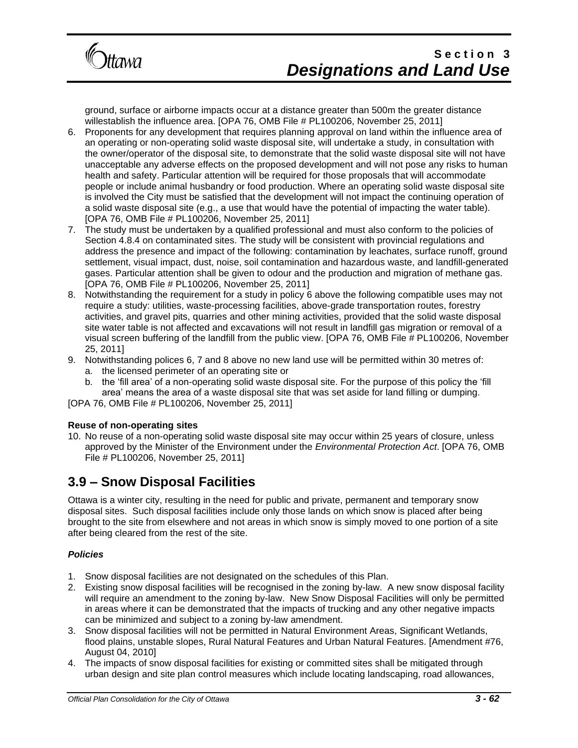

ground, surface or airborne impacts occur at a distance greater than 500m the greater distance willestablish the influence area. [OPA 76, OMB File # PL100206, November 25, 2011]

- 6. Proponents for any development that requires planning approval on land within the influence area of an operating or non-operating solid waste disposal site, will undertake a study, in consultation with the owner/operator of the disposal site, to demonstrate that the solid waste disposal site will not have unacceptable any adverse effects on the proposed development and will not pose any risks to human health and safety. Particular attention will be required for those proposals that will accommodate people or include animal husbandry or food production. Where an operating solid waste disposal site is involved the City must be satisfied that the development will not impact the continuing operation of a solid waste disposal site (e.g., a use that would have the potential of impacting the water table). [OPA 76, OMB File # PL100206, November 25, 2011]
- 7. The study must be undertaken by a qualified professional and must also conform to the policies of Section 4.8.4 on contaminated sites. The study will be consistent with provincial regulations and address the presence and impact of the following: contamination by leachates, surface runoff, ground settlement, visual impact, dust, noise, soil contamination and hazardous waste, and landfill-generated gases. Particular attention shall be given to odour and the production and migration of methane gas. [OPA 76, OMB File # PL100206, November 25, 2011]
- 8. Notwithstanding the requirement for a study in policy 6 above the following compatible uses may not require a study: utilities, waste-processing facilities, above-grade transportation routes, forestry activities, and gravel pits, quarries and other mining activities, provided that the solid waste disposal site water table is not affected and excavations will not result in landfill gas migration or removal of a visual screen buffering of the landfill from the public view. [OPA 76, OMB File # PL100206, November 25, 2011]
- 9. Notwithstanding polices 6, 7 and 8 above no new land use will be permitted within 30 metres of: a. the licensed perimeter of an operating site or
	- b. the 'fill area' of a non-operating solid waste disposal site. For the purpose of this policy the 'fill area' means the area of a waste disposal site that was set aside for land filling or dumping.

[OPA 76, OMB File # PL100206, November 25, 2011]

#### **Reuse of non-operating sites**

10. No reuse of a non-operating solid waste disposal site may occur within 25 years of closure, unless approved by the Minister of the Environment under the *Environmental Protection Act*. [OPA 76, OMB File # PL100206, November 25, 2011]

### **3.9 – Snow Disposal Facilities**

Ottawa is a winter city, resulting in the need for public and private, permanent and temporary snow disposal sites. Such disposal facilities include only those lands on which snow is placed after being brought to the site from elsewhere and not areas in which snow is simply moved to one portion of a site after being cleared from the rest of the site.

#### *Policies*

- 1. Snow disposal facilities are not designated on the schedules of this Plan.
- 2. Existing snow disposal facilities will be recognised in the zoning by-law. A new snow disposal facility will require an amendment to the zoning by-law. New Snow Disposal Facilities will only be permitted in areas where it can be demonstrated that the impacts of trucking and any other negative impacts can be minimized and subject to a zoning by-law amendment.
- 3. Snow disposal facilities will not be permitted in Natural Environment Areas, Significant Wetlands, flood plains, unstable slopes, Rural Natural Features and Urban Natural Features. [Amendment #76, August 04, 2010]
- 4. The impacts of snow disposal facilities for existing or committed sites shall be mitigated through urban design and site plan control measures which include locating landscaping, road allowances,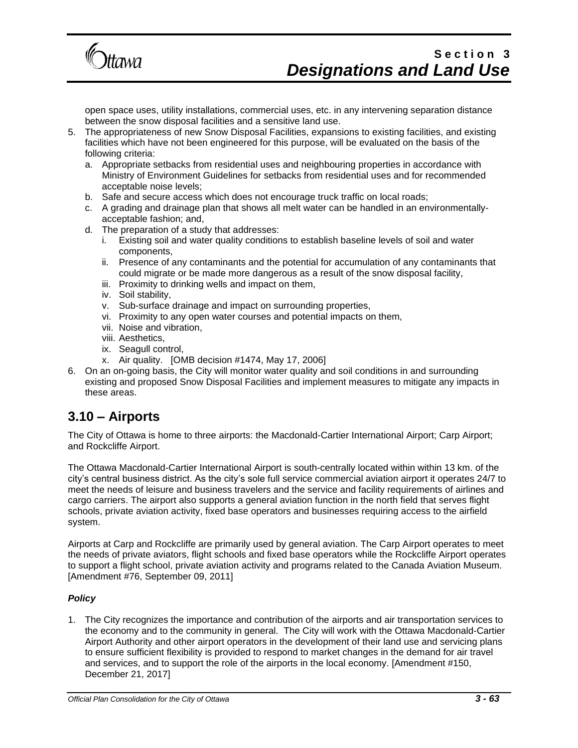

open space uses, utility installations, commercial uses, etc. in any intervening separation distance between the snow disposal facilities and a sensitive land use.

- 5. The appropriateness of new Snow Disposal Facilities, expansions to existing facilities, and existing facilities which have not been engineered for this purpose, will be evaluated on the basis of the following criteria:
	- a. Appropriate setbacks from residential uses and neighbouring properties in accordance with Ministry of Environment Guidelines for setbacks from residential uses and for recommended acceptable noise levels;
	- b. Safe and secure access which does not encourage truck traffic on local roads;
	- c. A grading and drainage plan that shows all melt water can be handled in an environmentallyacceptable fashion; and,
	- d. The preparation of a study that addresses:
		- i. Existing soil and water quality conditions to establish baseline levels of soil and water components,
		- ii. Presence of any contaminants and the potential for accumulation of any contaminants that could migrate or be made more dangerous as a result of the snow disposal facility,
		- iii. Proximity to drinking wells and impact on them,
		- iv. Soil stability,
		- v. Sub-surface drainage and impact on surrounding properties,
		- vi. Proximity to any open water courses and potential impacts on them,
		- vii. Noise and vibration,
		- viii. Aesthetics,
		- ix. Seagull control,
		- x. Air quality. [OMB decision #1474, May 17, 2006]
- 6. On an on-going basis, the City will monitor water quality and soil conditions in and surrounding existing and proposed Snow Disposal Facilities and implement measures to mitigate any impacts in these areas.

### **3.10 – Airports**

The City of Ottawa is home to three airports: the Macdonald-Cartier International Airport; Carp Airport; and Rockcliffe Airport.

The Ottawa Macdonald-Cartier International Airport is south-centrally located within within 13 km. of the city's central business district. As the city's sole full service commercial aviation airport it operates 24/7 to meet the needs of leisure and business travelers and the service and facility requirements of airlines and cargo carriers. The airport also supports a general aviation function in the north field that serves flight schools, private aviation activity, fixed base operators and businesses requiring access to the airfield system.

Airports at Carp and Rockcliffe are primarily used by general aviation. The Carp Airport operates to meet the needs of private aviators, flight schools and fixed base operators while the Rockcliffe Airport operates to support a flight school, private aviation activity and programs related to the Canada Aviation Museum. [Amendment #76, September 09, 2011]

#### *Policy*

1. The City recognizes the importance and contribution of the airports and air transportation services to the economy and to the community in general. The City will work with the Ottawa Macdonald-Cartier Airport Authority and other airport operators in the development of their land use and servicing plans to ensure sufficient flexibility is provided to respond to market changes in the demand for air travel and services, and to support the role of the airports in the local economy. [Amendment #150, December 21, 2017]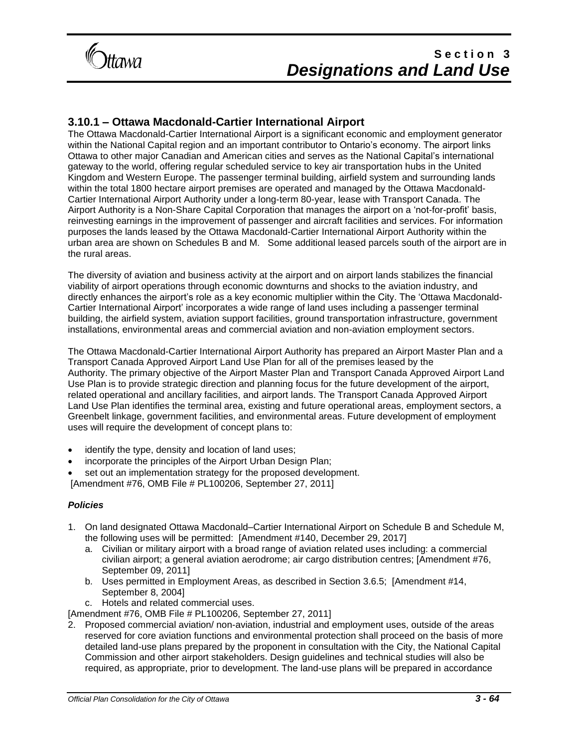

### **3.10.1 – Ottawa Macdonald-Cartier International Airport**

The Ottawa Macdonald-Cartier International Airport is a significant economic and employment generator within the National Capital region and an important contributor to Ontario's economy. The airport links Ottawa to other major Canadian and American cities and serves as the National Capital's international gateway to the world, offering regular scheduled service to key air transportation hubs in the United Kingdom and Western Europe. The passenger terminal building, airfield system and surrounding lands within the total 1800 hectare airport premises are operated and managed by the Ottawa Macdonald-Cartier International Airport Authority under a long-term 80-year, lease with Transport Canada. The Airport Authority is a Non-Share Capital Corporation that manages the airport on a 'not-for-profit' basis, reinvesting earnings in the improvement of passenger and aircraft facilities and services. For information purposes the lands leased by the Ottawa Macdonald-Cartier International Airport Authority within the urban area are shown on Schedules B and M. Some additional leased parcels south of the airport are in the rural areas.

The diversity of aviation and business activity at the airport and on airport lands stabilizes the financial viability of airport operations through economic downturns and shocks to the aviation industry, and directly enhances the airport's role as a key economic multiplier within the City. The 'Ottawa Macdonald-Cartier International Airport' incorporates a wide range of land uses including a passenger terminal building, the airfield system, aviation support facilities, ground transportation infrastructure, government installations, environmental areas and commercial aviation and non-aviation employment sectors.

The Ottawa Macdonald-Cartier International Airport Authority has prepared an Airport Master Plan and a Transport Canada Approved Airport Land Use Plan for all of the premises leased by the Authority. The primary objective of the Airport Master Plan and Transport Canada Approved Airport Land Use Plan is to provide strategic direction and planning focus for the future development of the airport, related operational and ancillary facilities, and airport lands. The Transport Canada Approved Airport Land Use Plan identifies the terminal area, existing and future operational areas, employment sectors, a Greenbelt linkage, government facilities, and environmental areas. Future development of employment uses will require the development of concept plans to:

- identify the type, density and location of land uses;
- incorporate the principles of the Airport Urban Design Plan;
- set out an implementation strategy for the proposed development.

[Amendment #76, OMB File # PL100206, September 27, 2011]

#### *Policies*

- 1. On land designated Ottawa Macdonald–Cartier International Airport on Schedule B and Schedule M, the following uses will be permitted: [Amendment #140, December 29, 2017]
	- a. Civilian or military airport with a broad range of aviation related uses including: a commercial civilian airport; a general aviation aerodrome; air cargo distribution centres; [Amendment #76, September 09, 2011]
	- b. Uses permitted in Employment Areas, as described in Section 3.6.5; [Amendment #14, September 8, 2004]
	- c. Hotels and related commercial uses.

[Amendment #76, OMB File # PL100206, September 27, 2011]

2. Proposed commercial aviation/ non-aviation, industrial and employment uses, outside of the areas reserved for core aviation functions and environmental protection shall proceed on the basis of more detailed land-use plans prepared by the proponent in consultation with the City, the National Capital Commission and other airport stakeholders. Design guidelines and technical studies will also be required, as appropriate, prior to development. The land-use plans will be prepared in accordance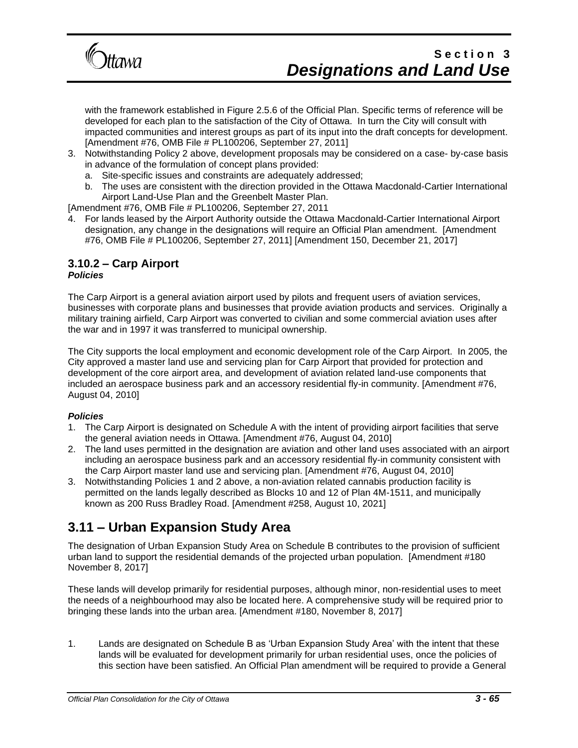

with the framework established in Figure 2.5.6 of the Official Plan. Specific terms of reference will be developed for each plan to the satisfaction of the City of Ottawa. In turn the City will consult with impacted communities and interest groups as part of its input into the draft concepts for development. [Amendment #76, OMB File # PL100206, September 27, 2011]

- 3. Notwithstanding Policy 2 above, development proposals may be considered on a case- by-case basis in advance of the formulation of concept plans provided:
	- a. Site-specific issues and constraints are adequately addressed;
	- b. The uses are consistent with the direction provided in the Ottawa Macdonald-Cartier International Airport Land-Use Plan and the Greenbelt Master Plan.

[Amendment #76, OMB File # PL100206, September 27, 2011

4. For lands leased by the Airport Authority outside the Ottawa Macdonald-Cartier International Airport designation, any change in the designations will require an Official Plan amendment. [Amendment #76, OMB File # PL100206, September 27, 2011] [Amendment 150, December 21, 2017]

#### **3.10.2 – Carp Airport**  *Policies*

The Carp Airport is a general aviation airport used by pilots and frequent users of aviation services, businesses with corporate plans and businesses that provide aviation products and services. Originally a military training airfield, Carp Airport was converted to civilian and some commercial aviation uses after the war and in 1997 it was transferred to municipal ownership.

The City supports the local employment and economic development role of the Carp Airport. In 2005, the City approved a master land use and servicing plan for Carp Airport that provided for protection and development of the core airport area, and development of aviation related land-use components that included an aerospace business park and an accessory residential fly-in community. [Amendment #76, August 04, 2010]

#### *Policies*

- 1. The Carp Airport is designated on Schedule A with the intent of providing airport facilities that serve the general aviation needs in Ottawa. [Amendment #76, August 04, 2010]
- 2. The land uses permitted in the designation are aviation and other land uses associated with an airport including an aerospace business park and an accessory residential fly-in community consistent with the Carp Airport master land use and servicing plan. [Amendment #76, August 04, 2010]
- 3. Notwithstanding Policies 1 and 2 above, a non-aviation related cannabis production facility is permitted on the lands legally described as Blocks 10 and 12 of Plan 4M-1511, and municipally known as 200 Russ Bradley Road. [Amendment #258, August 10, 2021]

### **3.11 – Urban Expansion Study Area**

The designation of Urban Expansion Study Area on Schedule B contributes to the provision of sufficient urban land to support the residential demands of the projected urban population. [Amendment #180 November 8, 2017]

These lands will develop primarily for residential purposes, although minor, non-residential uses to meet the needs of a neighbourhood may also be located here. A comprehensive study will be required prior to bringing these lands into the urban area. [Amendment #180, November 8, 2017]

1. Lands are designated on Schedule B as 'Urban Expansion Study Area' with the intent that these lands will be evaluated for development primarily for urban residential uses, once the policies of this section have been satisfied. An Official Plan amendment will be required to provide a General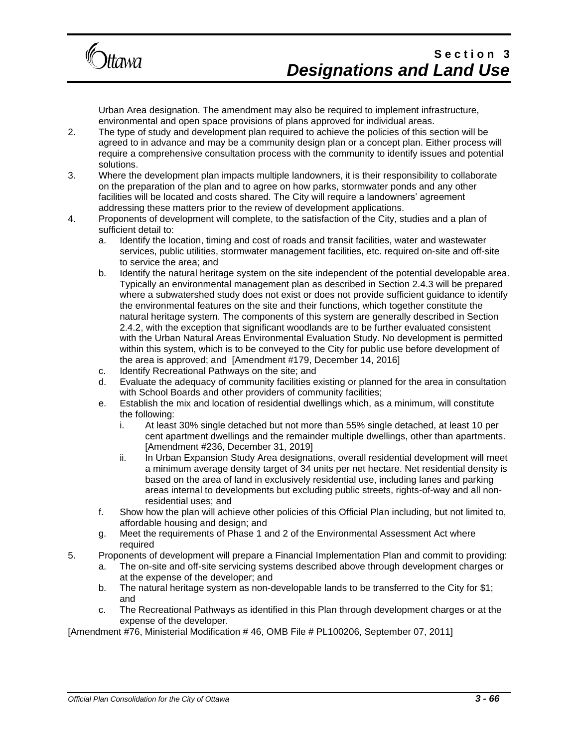

Urban Area designation. The amendment may also be required to implement infrastructure, environmental and open space provisions of plans approved for individual areas.

- 2. The type of study and development plan required to achieve the policies of this section will be agreed to in advance and may be a community design plan or a concept plan. Either process will require a comprehensive consultation process with the community to identify issues and potential solutions.
- 3. Where the development plan impacts multiple landowners, it is their responsibility to collaborate on the preparation of the plan and to agree on how parks, stormwater ponds and any other facilities will be located and costs shared. The City will require a landowners' agreement addressing these matters prior to the review of development applications.
- 4. Proponents of development will complete, to the satisfaction of the City, studies and a plan of sufficient detail to:
	- a. Identify the location, timing and cost of roads and transit facilities, water and wastewater services, public utilities, stormwater management facilities, etc. required on-site and off-site to service the area; and
	- b. Identify the natural heritage system on the site independent of the potential developable area. Typically an environmental management plan as described in Section 2.4.3 will be prepared where a subwatershed study does not exist or does not provide sufficient guidance to identify the environmental features on the site and their functions, which together constitute the natural heritage system. The components of this system are generally described in Section 2.4.2, with the exception that significant woodlands are to be further evaluated consistent with the Urban Natural Areas Environmental Evaluation Study. No development is permitted within this system, which is to be conveyed to the City for public use before development of the area is approved; and [Amendment #179, December 14, 2016]
	- c. Identify Recreational Pathways on the site; and
	- d. Evaluate the adequacy of community facilities existing or planned for the area in consultation with School Boards and other providers of community facilities;
	- e. Establish the mix and location of residential dwellings which, as a minimum, will constitute the following:
		- i. At least 30% single detached but not more than 55% single detached, at least 10 per cent apartment dwellings and the remainder multiple dwellings, other than apartments. [Amendment #236, December 31, 2019]
		- ii. In Urban Expansion Study Area designations, overall residential development will meet a minimum average density target of 34 units per net hectare. Net residential density is based on the area of land in exclusively residential use, including lanes and parking areas internal to developments but excluding public streets, rights-of-way and all nonresidential uses; and
	- f. Show how the plan will achieve other policies of this Official Plan including, but not limited to, affordable housing and design; and
	- g. Meet the requirements of Phase 1 and 2 of the Environmental Assessment Act where required
- 5. Proponents of development will prepare a Financial Implementation Plan and commit to providing:
	- a. The on-site and off-site servicing systems described above through development charges or at the expense of the developer; and
	- b. The natural heritage system as non-developable lands to be transferred to the City for \$1; and
	- c. The Recreational Pathways as identified in this Plan through development charges or at the expense of the developer.

[Amendment #76, Ministerial Modification # 46, OMB File # PL100206, September 07, 2011]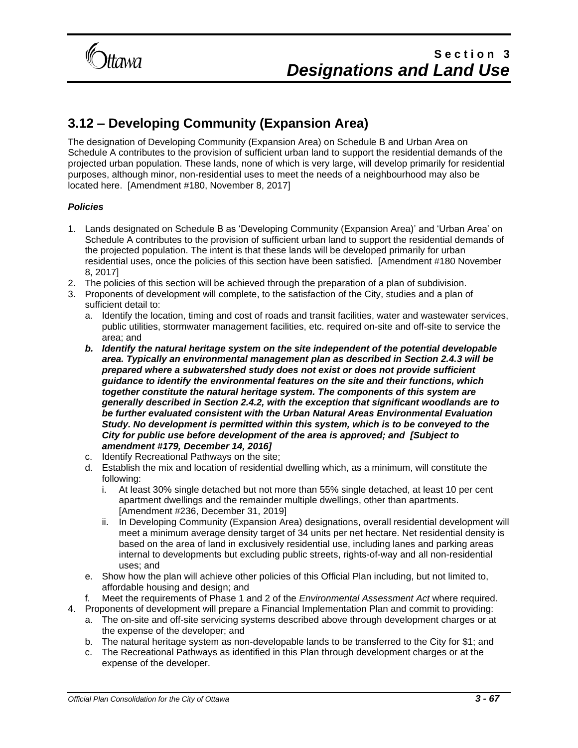

### **3.12 – Developing Community (Expansion Area)**

The designation of Developing Community (Expansion Area) on Schedule B and Urban Area on Schedule A contributes to the provision of sufficient urban land to support the residential demands of the projected urban population. These lands, none of which is very large, will develop primarily for residential purposes, although minor, non-residential uses to meet the needs of a neighbourhood may also be located here. [Amendment #180, November 8, 2017]

#### *Policies*

- 1. Lands designated on Schedule B as 'Developing Community (Expansion Area)' and 'Urban Area' on Schedule A contributes to the provision of sufficient urban land to support the residential demands of the projected population. The intent is that these lands will be developed primarily for urban residential uses, once the policies of this section have been satisfied. [Amendment #180 November 8, 2017]
- 2. The policies of this section will be achieved through the preparation of a plan of subdivision.
- 3. Proponents of development will complete, to the satisfaction of the City, studies and a plan of sufficient detail to:
	- a. Identify the location, timing and cost of roads and transit facilities, water and wastewater services, public utilities, stormwater management facilities, etc. required on-site and off-site to service the area; and
	- *b. Identify the natural heritage system on the site independent of the potential developable area. Typically an environmental management plan as described in Section 2.4.3 will be prepared where a subwatershed study does not exist or does not provide sufficient guidance to identify the environmental features on the site and their functions, which together constitute the natural heritage system. The components of this system are generally described in Section 2.4.2, with the exception that significant woodlands are to be further evaluated consistent with the Urban Natural Areas Environmental Evaluation Study. No development is permitted within this system, which is to be conveyed to the City for public use before development of the area is approved; and [Subject to amendment #179, December 14, 2016]*
	- c. Identify Recreational Pathways on the site;
	- d. Establish the mix and location of residential dwelling which, as a minimum, will constitute the following:
		- i. At least 30% single detached but not more than 55% single detached, at least 10 per cent apartment dwellings and the remainder multiple dwellings, other than apartments. [Amendment #236, December 31, 2019]
		- ii. In Developing Community (Expansion Area) designations, overall residential development will meet a minimum average density target of 34 units per net hectare. Net residential density is based on the area of land in exclusively residential use, including lanes and parking areas internal to developments but excluding public streets, rights-of-way and all non-residential uses; and
	- e. Show how the plan will achieve other policies of this Official Plan including, but not limited to, affordable housing and design; and
	- f. Meet the requirements of Phase 1 and 2 of the *Environmental Assessment Act* where required.
- 4. Proponents of development will prepare a Financial Implementation Plan and commit to providing:
	- a. The on-site and off-site servicing systems described above through development charges or at the expense of the developer; and
	- b. The natural heritage system as non-developable lands to be transferred to the City for \$1; and
	- c. The Recreational Pathways as identified in this Plan through development charges or at the expense of the developer.